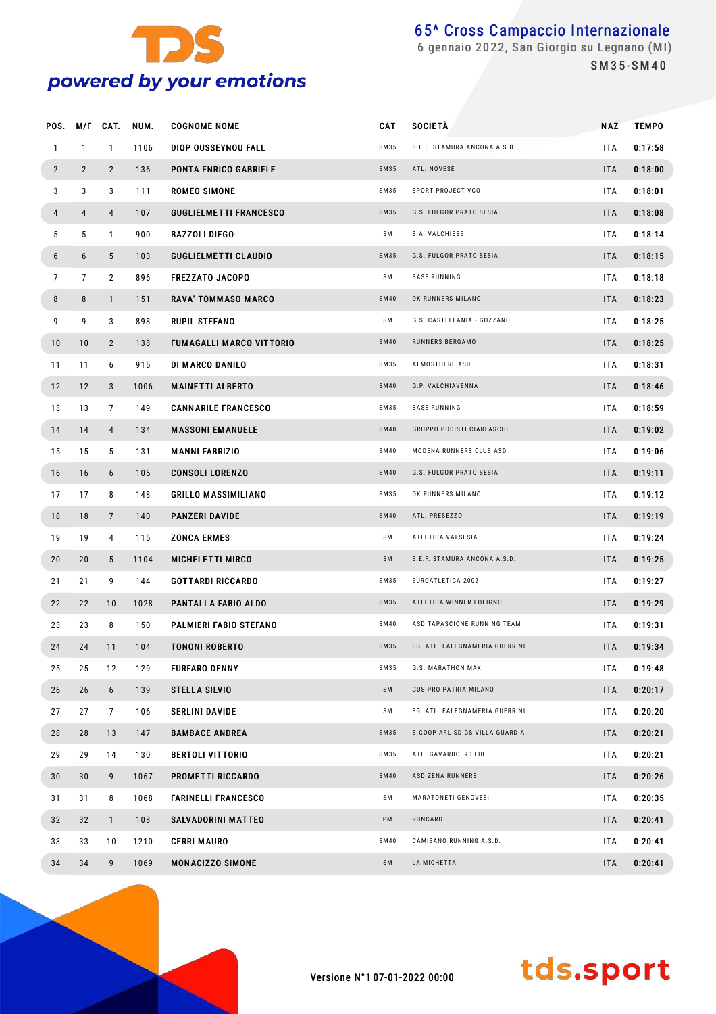

 gennaio 2022, San Giorgio su Legnano (MI) S M 3 5 - S M 4 0

| POS.           | M/F            | CAT.           | NUM. | <b>COGNOME NOME</b>             | CAT         | <b>SOCIETÀ</b>                 | <b>NAZ</b> | <b>TEMPO</b> |
|----------------|----------------|----------------|------|---------------------------------|-------------|--------------------------------|------------|--------------|
| $\mathbf{1}$   | $\mathbf{1}$   | $\mathbf{1}$   | 1106 | DIOP OUSSEYNOU FALL             | SM35        | S.E.F. STAMURA ANCONA A.S.D.   | <b>ITA</b> | 0:17:58      |
| $\overline{2}$ | $\overline{2}$ | $\overline{2}$ | 136  | <b>PONTA ENRICO GABRIELE</b>    | <b>SM35</b> | ATL. NOVESE                    | <b>ITA</b> | 0:18:00      |
| 3              | 3              | 3              | 111  | ROMEO SIMONE                    | SM35        | SPORT PROJECT VCO              | <b>ITA</b> | 0:18:01      |
| 4              | 4              | 4              | 107  | <b>GUGLIELMETTI FRANCESCO</b>   | <b>SM35</b> | G.S. FULGOR PRATO SESIA        | <b>ITA</b> | 0:18:08      |
| 5              | 5              | $\mathbf{1}$   | 900  | <b>BAZZOLI DIEGO</b>            | SM          | S.A. VALCHIESE                 | <b>ITA</b> | 0:18:14      |
| 6              | 6              | 5              | 103  | <b>GUGLIELMETTI CLAUDIO</b>     | SM35        | G.S. FULGOR PRATO SESIA        | <b>ITA</b> | 0:18:15      |
| $\overline{7}$ | $\overline{7}$ | $\overline{2}$ | 896  | <b>FREZZATO JACOPO</b>          | SM          | <b>BASE RUNNING</b>            | <b>ITA</b> | 0:18:18      |
| 8              | 8              | $\mathbf{1}$   | 151  | <b>RAVA' TOMMASO MARCO</b>      | <b>SM40</b> | DK RUNNERS MILANO              | <b>ITA</b> | 0:18:23      |
| 9              | 9              | 3              | 898  | RUPIL STEFANO                   | SM          | G.S. CASTELLANIA - GOZZANO     | <b>ITA</b> | 0:18:25      |
| 10             | 10             | 2              | 138  | <b>FUMAGALLI MARCO VITTORIO</b> | <b>SM40</b> | RUNNERS BERGAMO                | <b>ITA</b> | 0:18:25      |
| 11             | 11             | 6              | 915  | DI MARCO DANILO                 | SM35        | ALMOSTHERE ASD                 | <b>ITA</b> | 0:18:31      |
| 12             | 12             | 3              | 1006 | <b>MAINETTI ALBERTO</b>         | <b>SM40</b> | G.P. VALCHIAVENNA              | <b>ITA</b> | 0:18:46      |
| 13             | 13             | 7              | 149  | <b>CANNARILE FRANCESCO</b>      | SM35        | <b>BASE RUNNING</b>            | <b>ITA</b> | 0:18:59      |
| 14             | 14             | 4              | 134  | <b>MASSONI EMANUELE</b>         | <b>SM40</b> | GRUPPO PODISTI CIARLASCHI      | <b>ITA</b> | 0:19:02      |
| 15             | 15             | 5              | 131  | <b>MANNI FABRIZIO</b>           | <b>SM40</b> | MODENA RUNNERS CLUB ASD        | <b>ITA</b> | 0:19:06      |
| 16             | 16             | 6              | 105  | <b>CONSOLI LORENZO</b>          | <b>SM40</b> | G.S. FULGOR PRATO SESIA        | <b>ITA</b> | 0:19:11      |
| 17             | 17             | 8              | 148  | <b>GRILLO MASSIMILIANO</b>      | SM35        | DK RUNNERS MILANO              | <b>ITA</b> | 0:19:12      |
| 18             | 18             | $\overline{7}$ | 140  | <b>PANZERI DAVIDE</b>           | <b>SM40</b> | ATL. PRESEZZO                  | <b>ITA</b> | 0:19:19      |
| 19             | 19             | 4              | 115  | <b>ZONCA ERMES</b>              | SΜ          | ATLETICA VALSESIA              | <b>ITA</b> | 0:19:24      |
| 20             | 20             | 5              | 1104 | <b>MICHELETTI MIRCO</b>         | SM          | S.E.F. STAMURA ANCONA A.S.D.   | <b>ITA</b> | 0:19:25      |
| 21             | 21             | 9              | 144  | <b>GOTTARDI RICCARDO</b>        | SM35        | EUROATLETICA 2002              | <b>ITA</b> | 0:19:27      |
| 22             | 22             | 10             | 1028 | <b>PANTALLA FABIO ALDO</b>      | SM35        | ATLETICA WINNER FOLIGNO        | <b>ITA</b> | 0:19:29      |
| 23             | 23             | 8              | 150  | PALMIERI FABIO STEFANO          | <b>SM40</b> | ASD TAPASCIONE RUNNING TEAM    | ITA.       | 0:19:31      |
| 24             | 24             | 11             | 104  | <b>TONONI ROBERTO</b>           | SM35        | FG. ATL. FALEGNAMERIA GUERRINI | <b>ITA</b> | 0:19:34      |
| 25             | 25             | 12             | 129  | <b>FURFARO DENNY</b>            | SM35        | G.S. MARATHON MAX              | <b>ITA</b> | 0:19:48      |
| 26             | 26             | 6              | 139  | STELLA SILVIO                   | SM          | CUS PRO PATRIA MILANO          | <b>ITA</b> | 0:20:17      |
| 27             | 27             | 7              | 106  | SERLINI DAVIDE                  | SM          | FG. ATL. FALEGNAMERIA GUERRINI | ITA.       | 0:20:20      |
| 28             | 28             | 13             | 147  | <b>BAMBACE ANDREA</b>           | SM35        | S.COOP ARL SD GS VILLA GUARDIA | <b>ITA</b> | 0:20:21      |
| 29             | 29             | 14             | 130  | <b>BERTOLI VITTORIO</b>         | SM35        | ATL. GAVARDO '90 LIB.          | ITA.       | 0:20:21      |
| 30             | 30             | 9              | 1067 | <b>PROMETTI RICCARDO</b>        | <b>SM40</b> | ASD ZENA RUNNERS               | <b>ITA</b> | 0:20:26      |
| 31             | 31             | 8              | 1068 | <b>FARINELLI FRANCESCO</b>      | SM          | MARATONETI GENOVESI            | ITA.       | 0:20:35      |
| 32             | 32             | $\mathbf{1}$   | 108  | <b>SALVADORINI MATTEO</b>       | PM          | RUNCARD                        | <b>ITA</b> | 0:20:41      |
| 33             | 33             | 10             | 1210 | <b>CERRI MAURO</b>              | <b>SM40</b> | CAMISANO RUNNING A.S.D.        | <b>ITA</b> | 0:20:41      |
| 34             | 34             | 9              | 1069 | <b>MONACIZZO SIMONE</b>         | SM          | LA MICHETTA                    | <b>ITA</b> | 0:20:41      |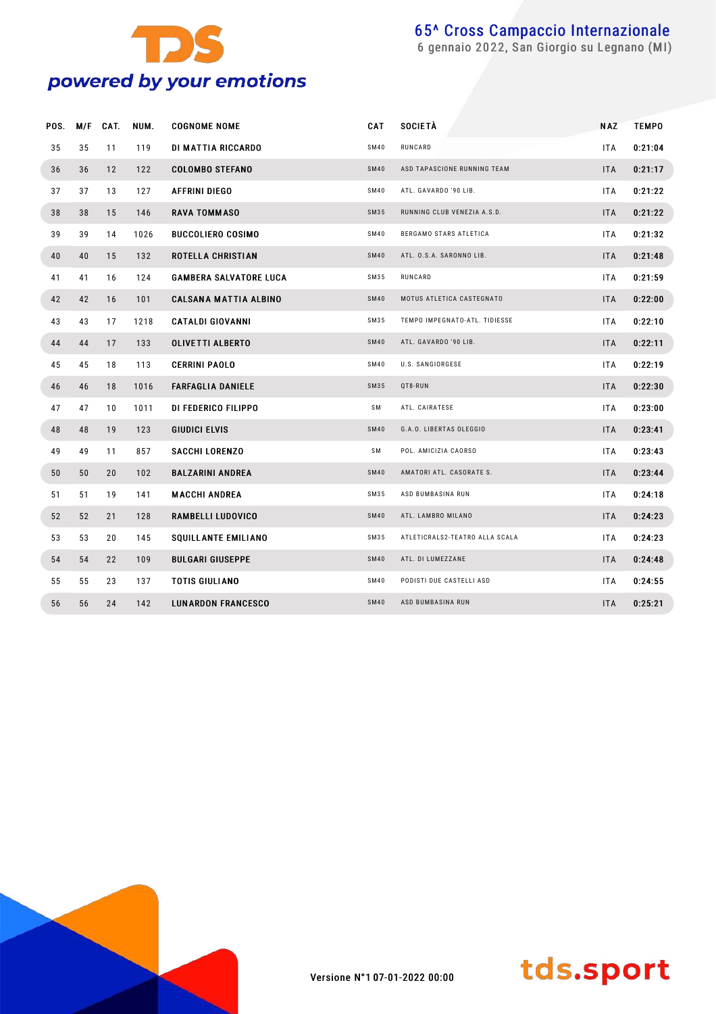

gennaio 2022, San Giorgio su Legnano (MI)

| POS. | M/F | CAT. | NUM. | <b>COGNOME NOME</b>           | <b>CAT</b>  | <b>SOCIETÀ</b>                 | <b>NAZ</b> | <b>TEMPO</b> |
|------|-----|------|------|-------------------------------|-------------|--------------------------------|------------|--------------|
| 35   | 35  | 11   | 119  | DI MATTIA RICCARDO            | SM40        | RUNCARD                        | <b>ITA</b> | 0:21:04      |
| 36   | 36  | 12   | 122  | <b>COLOMBO STEFANO</b>        | <b>SM40</b> | ASD TAPASCIONE RUNNING TEAM    | <b>ITA</b> | 0:21:17      |
| 37   | 37  | 13   | 127  | <b>AFFRINI DIEGO</b>          | SM40        | ATL. GAVARDO '90 LIB.          | <b>ITA</b> | 0:21:22      |
| 38   | 38  | 15   | 146  | <b>RAVA TOMMASO</b>           | SM35        | RUNNING CLUB VENEZIA A.S.D.    | <b>ITA</b> | 0:21:22      |
| 39   | 39  | 14   | 1026 | <b>BUCCOLIERO COSIMO</b>      | SM40        | BERGAMO STARS ATLETICA         | ITA        | 0:21:32      |
| 40   | 40  | 15   | 132  | ROTELLA CHRISTIAN             | <b>SM40</b> | ATL. O.S.A. SARONNO LIB.       | <b>ITA</b> | 0:21:48      |
| 41   | 41  | 16   | 124  | <b>GAMBERA SALVATORE LUCA</b> | SM35        | RUNCARD                        | <b>ITA</b> | 0:21:59      |
| 42   | 42  | 16   | 101  | <b>CALSANA MATTIA ALBINO</b>  | <b>SM40</b> | MOTUS ATLETICA CASTEGNATO      | <b>ITA</b> | 0:22:00      |
| 43   | 43  | 17   | 1218 | <b>CATALDI GIOVANNI</b>       | SM35        | TEMPO IMPEGNATO-ATL. TIDIESSE  | ITA        | 0:22:10      |
| 44   | 44  | 17   | 133  | <b>OLIVETTI ALBERTO</b>       | <b>SM40</b> | ATL. GAVARDO '90 LIB.          | <b>ITA</b> | 0:22:11      |
| 45   | 45  | 18   | 113  | <b>CERRINI PAOLO</b>          | SM40        | U.S. SANGIORGESE               | <b>ITA</b> | 0:22:19      |
| 46   | 46  | 18   | 1016 | <b>FARFAGLIA DANIELE</b>      | SM35        | QT8-RUN                        | <b>ITA</b> | 0:22:30      |
| 47   | 47  | 10   | 1011 | DI FEDERICO FILIPPO           | SM          | ATL. CAIRATESE                 | <b>ITA</b> | 0:23:00      |
| 48   | 48  | 19   | 123  | <b>GIUDICI ELVIS</b>          | <b>SM40</b> | G.A.O. LIBERTAS OLEGGIO        | <b>ITA</b> | 0:23:41      |
| 49   | 49  | 11   | 857  | <b>SACCHI LORENZO</b>         | SM          | POL. AMICIZIA CAORSO           | <b>ITA</b> | 0:23:43      |
| 50   | 50  | 20   | 102  | <b>BALZARINI ANDREA</b>       | <b>SM40</b> | AMATORI ATL. CASORATE S.       | <b>ITA</b> | 0:23:44      |
| 51   | 51  | 19   | 141  | <b>MACCHI ANDREA</b>          | SM35        | ASD BUMBASINA RUN              | <b>ITA</b> | 0:24:18      |
| 52   | 52  | 21   | 128  | RAMBELLI LUDOVICO             | <b>SM40</b> | ATL. LAMBRO MILANO             | <b>ITA</b> | 0:24:23      |
| 53   | 53  | 20   | 145  | <b>SQUILLANTE EMILIANO</b>    | SM35        | ATLETICRALS2-TEATRO ALLA SCALA | <b>ITA</b> | 0:24:23      |
| 54   | 54  | 22   | 109  | <b>BULGARI GIUSEPPE</b>       | <b>SM40</b> | ATL. DI LUMEZZANE              | ITA.       | 0:24:48      |
| 55   | 55  | 23   | 137  | <b>TOTIS GIULIANO</b>         | SM40        | PODISTI DUE CASTELLI ASD       | <b>ITA</b> | 0:24:55      |
| 56   | 56  | 24   | 142  | <b>LUNARDON FRANCESCO</b>     | <b>SM40</b> | ASD BUMBASINA RUN              | <b>ITA</b> | 0:25:21      |



Versione N°1 07-01-2022 00:00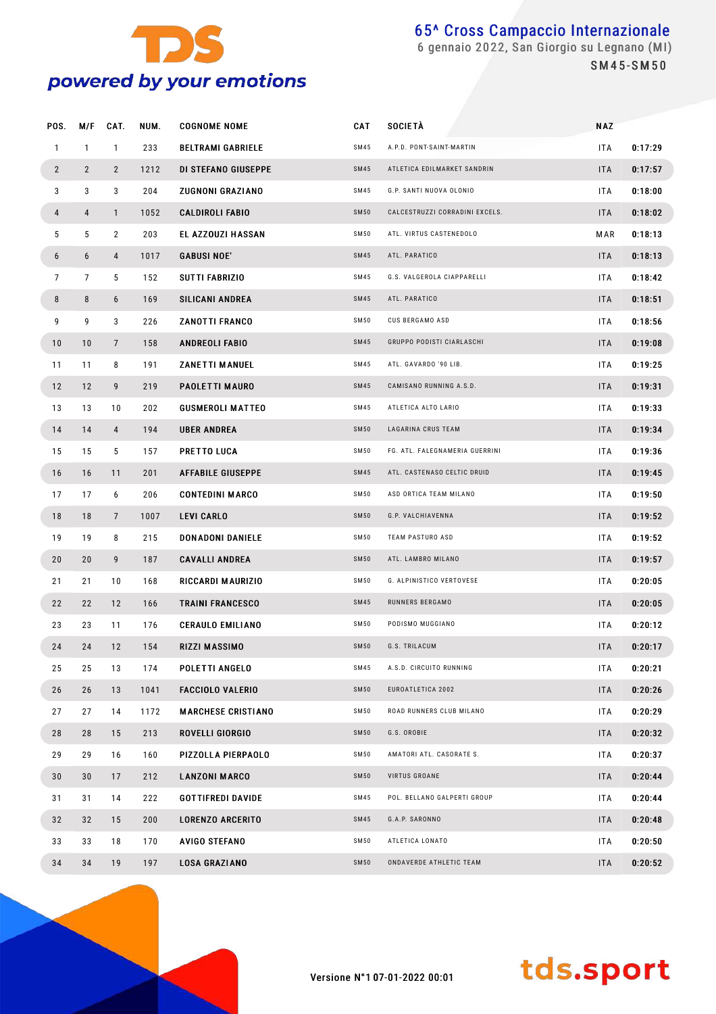

 gennaio 2022, San Giorgio su Legnano (MI) S M 4 5 - S M 5 0

| POS.            | M/F            | CAT.           | NUM. | <b>COGNOME NOME</b>       | <b>CAT</b>  | <b>SOCIETÀ</b>                 | <b>NAZ</b> |         |
|-----------------|----------------|----------------|------|---------------------------|-------------|--------------------------------|------------|---------|
| $\mathbf{1}$    | $\mathbf{1}$   | $\mathbf{1}$   | 233  | <b>BELTRAMI GABRIELE</b>  | SM45        | A.P.D. PONT-SAINT-MARTIN       | ITA        | 0:17:29 |
| $\overline{2}$  | $\overline{2}$ | $\mathbf{2}$   | 1212 | DI STEFANO GIUSEPPE       | <b>SM45</b> | ATLETICA EDILMARKET SANDRIN    | <b>ITA</b> | 0:17:57 |
| 3               | 3              | 3              | 204  | ZUGNONI GRAZIANO          | SM45        | G.P. SANTI NUOVA OLONIO        | <b>ITA</b> | 0:18:00 |
| 4               | 4              | $\mathbf{1}$   | 1052 | <b>CALDIROLI FABIO</b>    | <b>SM50</b> | CALCESTRUZZI CORRADINI EXCELS. | <b>ITA</b> | 0:18:02 |
| 5               | 5              | $\overline{2}$ | 203  | EL AZZOUZI HASSAN         | SM50        | ATL. VIRTUS CASTENEDOLO        | M AR       | 0:18:13 |
| 6               | 6              | 4              | 1017 | <b>GABUSI NOE'</b>        | <b>SM45</b> | ATL. PARATICO                  | <b>ITA</b> | 0:18:13 |
| $7\overline{ }$ | $\overline{7}$ | 5              | 152  | SUTTI FABRIZIO            | SM45        | G.S. VALGEROLA CIAPPARELLI     | <b>ITA</b> | 0:18:42 |
| 8               | 8              | 6              | 169  | <b>SILICANI ANDREA</b>    | <b>SM45</b> | ATL. PARATICO                  | <b>ITA</b> | 0:18:51 |
| 9               | 9              | 3              | 226  | <b>ZANOTTI FRANCO</b>     | SM50        | CUS BERGAMO ASD                | <b>ITA</b> | 0:18:56 |
| 10              | 10             | $\overline{7}$ | 158  | <b>ANDREOLI FABIO</b>     | <b>SM45</b> | GRUPPO PODISTI CIARLASCHI      | <b>ITA</b> | 0:19:08 |
| 11              | 11             | 8              | 191  | <b>ZANETTI MANUEL</b>     | SM45        | ATL. GAVARDO '90 LIB.          | <b>ITA</b> | 0:19:25 |
| 12              | 12             | 9              | 219  | <b>PAOLETTI MAURO</b>     | <b>SM45</b> | CAMISANO RUNNING A.S.D.        | <b>ITA</b> | 0:19:31 |
| 13              | 13             | 10             | 202  | <b>GUSMEROLI MATTEO</b>   | SM45        | ATLETICA ALTO LARIO            | ITA        | 0:19:33 |
| 14              | 14             | 4              | 194  | <b>UBER ANDREA</b>        | <b>SM50</b> | LAGARINA CRUS TEAM             | <b>ITA</b> | 0:19:34 |
| 15              | 15             | 5              | 157  | PRETTO LUCA               | SM50        | FG. ATL. FALEGNAMERIA GUERRINI | <b>ITA</b> | 0:19:36 |
| 16              | 16             | 11             | 201  | <b>AFFABILE GIUSEPPE</b>  | <b>SM45</b> | ATL. CASTENASO CELTIC DRUID    | <b>ITA</b> | 0:19:45 |
| 17              | 17             | 6              | 206  | <b>CONTEDINI MARCO</b>    | SM50        | ASD ORTICA TEAM MILANO         | <b>ITA</b> | 0:19:50 |
| 18              | 18             | $\overline{7}$ | 1007 | <b>LEVI CARLO</b>         | <b>SM50</b> | G.P. VALCHIAVENNA              | <b>ITA</b> | 0:19:52 |
| 19              | 19             | 8              | 215  | DON ADONI DANIELE         | SM50        | TEAM PASTURO ASD               | ITA        | 0:19:52 |
| 20              | 20             | 9              | 187  | <b>CAVALLI ANDREA</b>     | <b>SM50</b> | ATL. LAMBRO MILANO             | <b>ITA</b> | 0:19:57 |
| 21              | 21             | 10             | 168  | RICCARDI MAURIZIO         | SM50        | G. ALPINISTICO VERTOVESE       | <b>ITA</b> | 0:20:05 |
| 22              | 22             | 12             | 166  | <b>TRAINI FRANCESCO</b>   | <b>SM45</b> | RUNNERS BERGAMO                | <b>ITA</b> | 0:20:05 |
| 23              | 23             | 11             | 176  | <b>CERAULO EMILIANO</b>   | SM 50       | PODISMO MUGGIANO               | <b>ITA</b> | 0:20:12 |
| 24              | 24             | 12             | 154  | RIZZI MASSIMO             | <b>SM50</b> | G.S. TRILACUM                  | <b>ITA</b> | 0:20:17 |
| 25              | 25             | 13             | 174  | POLETTI ANGELO            | SM45        | A.S.D. CIRCUITO RUNNING        | <b>ITA</b> | 0:20:21 |
| 26              | 26             | 13             | 1041 | <b>FACCIOLO VALERIO</b>   | <b>SM50</b> | EUROATLETICA 2002              | <b>ITA</b> | 0:20:26 |
| 27              | 27             | 14             | 1172 | <b>MARCHESE CRISTIANO</b> | <b>SM50</b> | ROAD RUNNERS CLUB MILANO       | ITA        | 0:20:29 |
| 28              | 28             | 15             | 213  | ROVELLI GIORGIO           | <b>SM50</b> | G.S. OROBIE                    | <b>ITA</b> | 0:20:32 |
| 29              | 29             | 16             | 160  | PIZZOLLA PIERPAOLO        | <b>SM50</b> | AMATORI ATL. CASORATE S.       | ITA        | 0:20:37 |
| 30              | 30             | 17             | 212  | <b>LANZONI MARCO</b>      | <b>SM50</b> | VIRTUS GROANE                  | <b>ITA</b> | 0:20:44 |
| 31              | 31             | 14             | 222  | <b>GOTTIFREDI DAVIDE</b>  | SM45        | POL. BELLANO GALPERTI GROUP    | ITA        | 0:20:44 |
| 32              | 32             | 15             | 200  | <b>LORENZO ARCERITO</b>   | SM45        | G.A.P. SARONNO                 | <b>ITA</b> | 0:20:48 |
| 33              | 33             | 18             | 170  | AVIGO STEFANO             | SM50        | ATLETICA LONATO                | ITA        | 0:20:50 |
| 34              | 34             | 19             | 197  | <b>LOSA GRAZIANO</b>      | <b>SM50</b> | ONDAVERDE ATHLETIC TEAM        | <b>ITA</b> | 0:20:52 |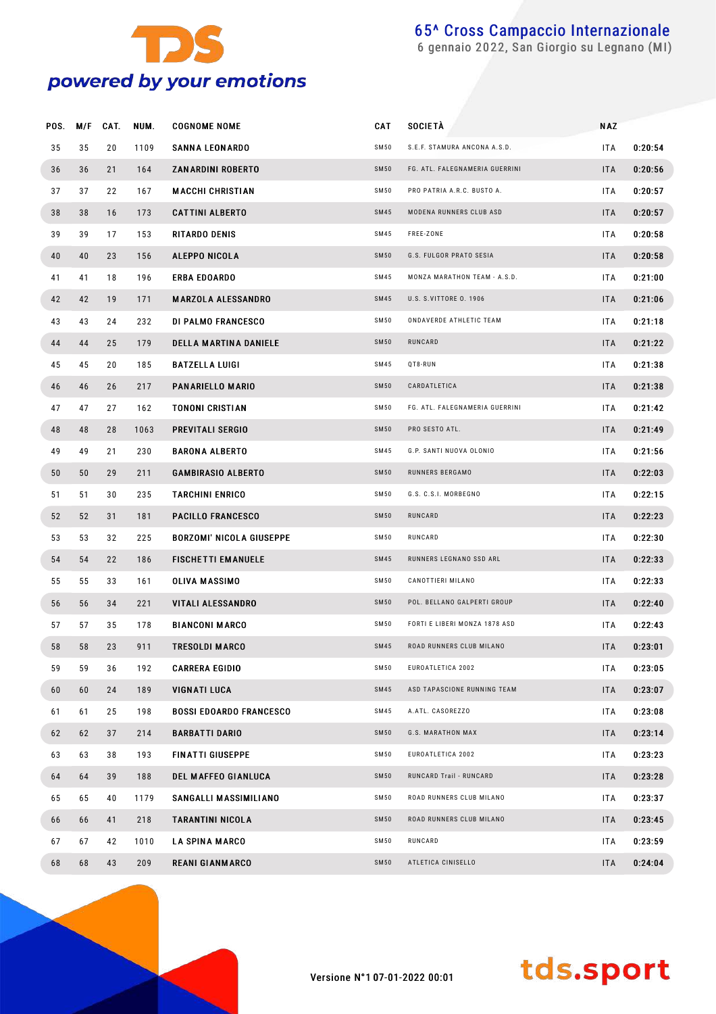

gennaio 2022, San Giorgio su Legnano (MI)

| POS. | M/F | CAT. | NUM. | <b>COGNOME NOME</b>             | <b>CAT</b>  | <b>SOCIETÀ</b>                 | <b>NAZ</b> |         |
|------|-----|------|------|---------------------------------|-------------|--------------------------------|------------|---------|
| 35   | 35  | 20   | 1109 | <b>SANNA LEONARDO</b>           | SM50        | S.E.F. STAMURA ANCONA A.S.D.   | ITA        | 0:20:54 |
| 36   | 36  | 21   | 164  | <b>ZANARDINI ROBERTO</b>        | <b>SM50</b> | FG. ATL. FALEGNAMERIA GUERRINI | <b>ITA</b> | 0:20:56 |
| 37   | 37  | 22   | 167  | <b>MACCHI CHRISTIAN</b>         | <b>SM50</b> | PRO PATRIA A.R.C. BUSTO A.     | <b>ITA</b> | 0:20:57 |
| 38   | 38  | 16   | 173  | <b>CATTINI ALBERTO</b>          | <b>SM45</b> | MODENA RUNNERS CLUB ASD        | <b>ITA</b> | 0:20:57 |
| 39   | 39  | 17   | 153  | <b>RITARDO DENIS</b>            | SM45        | FREE-ZONE                      | ITA        | 0:20:58 |
| 40   | 40  | 23   | 156  | <b>ALEPPO NICOLA</b>            | <b>SM50</b> | G.S. FULGOR PRATO SESIA        | <b>ITA</b> | 0:20:58 |
| 41   | 41  | 18   | 196  | ERBA EDOARDO                    | SM45        | MONZA MARATHON TEAM - A.S.D.   | <b>ITA</b> | 0:21:00 |
| 42   | 42  | 19   | 171  | <b>MARZOLA ALESSANDRO</b>       | SM45        | U.S. S.VITTORE 0. 1906         | ITA        | 0:21:06 |
| 43   | 43  | 24   | 232  | DI PALMO FRANCESCO              | SM50        | ONDAVERDE ATHLETIC TEAM        | <b>ITA</b> | 0:21:18 |
| 44   | 44  | 25   | 179  | <b>DELLA MARTINA DANIELE</b>    | <b>SM50</b> | RUNCARD                        | ITA        | 0:21:22 |
| 45   | 45  | 20   | 185  | <b>BATZELLA LUIGI</b>           | SM45        | QT8-RUN                        | ITA        | 0:21:38 |
| 46   | 46  | 26   | 217  | PANARIELLO MARIO                | <b>SM50</b> | CARDATLETICA                   | ITA        | 0:21:38 |
| 47   | 47  | 27   | 162  | <b>TONONI CRISTIAN</b>          | SM50        | FG. ATL. FALEGNAMERIA GUERRINI | <b>ITA</b> | 0:21:42 |
| 48   | 48  | 28   | 1063 | <b>PREVITALI SERGIO</b>         | <b>SM50</b> | PRO SESTO ATL.                 | ITA        | 0:21:49 |
| 49   | 49  | 21   | 230  | <b>BARONA ALBERTO</b>           | <b>SM45</b> | G.P. SANTI NUOVA OLONIO        | <b>ITA</b> | 0:21:56 |
| 50   | 50  | 29   | 211  | <b>GAMBIRASIO ALBERTO</b>       | <b>SM50</b> | RUNNERS BERGAMO                | ITA        | 0:22:03 |
| 51   | 51  | 30   | 235  | <b>TARCHINI ENRICO</b>          | SM50        | G.S. C.S.I. MORBEGNO           | <b>ITA</b> | 0:22:15 |
| 52   | 52  | 31   | 181  | <b>PACILLO FRANCESCO</b>        | <b>SM50</b> | RUNCARD                        | ITA        | 0:22:23 |
| 53   | 53  | 32   | 225  | <b>BORZOMI' NICOLA GIUSEPPE</b> | SM50        | RUNCARD                        | <b>ITA</b> | 0:22:30 |
| 54   | 54  | 22   | 186  | <b>FISCHETTI EMANUELE</b>       | <b>SM45</b> | RUNNERS LEGNANO SSD ARL        | <b>ITA</b> | 0:22:33 |
| 55   | 55  | 33   | 161  | <b>OLIVA MASSIMO</b>            | SM50        | CANOTTIERI MILANO              | ITA        | 0:22:33 |
| 56   | 56  | 34   | 221  | VITALI ALESSANDRO               | <b>SM50</b> | POL. BELLANO GALPERTI GROUP    | <b>ITA</b> | 0:22:40 |
| 57   | 57  | 35   | 178  | <b>BIANCONI MARCO</b>           | SM50        | FORTI E LIBERI MONZA 1878 ASD  | <b>ITA</b> | 0:22:43 |
| 58   | 58  | 23   | 911  | <b>TRESOLDI MARCO</b>           | <b>SM45</b> | ROAD RUNNERS CLUB MILANO       | <b>ITA</b> | 0:23:01 |
| 59   | 59  | 36   | 192  | <b>CARRERA EGIDIO</b>           | SM50        | EUROATLETICA 2002              | ITA        | 0:23:05 |
| 60   | 60  | 24   | 189  | VIGNATI LUCA                    | SM45        | ASD TAPASCIONE RUNNING TEAM    | <b>ITA</b> | 0:23:07 |
| 61   | 61  | 25   | 198  | <b>BOSSI EDOARDO FRANCESCO</b>  | SM45        | A.ATL. CASOREZZO               | <b>ITA</b> | 0:23:08 |
| 62   | 62  | 37   | 214  | <b>BARBATTI DARIO</b>           | SM50        | G.S. MARATHON MAX              | <b>ITA</b> | 0:23:14 |
| 63   | 63  | 38   | 193  | <b>FINATTI GIUSEPPE</b>         | SM50        | EUROATLETICA 2002              | <b>ITA</b> | 0:23:23 |
| 64   | 64  | 39   | 188  | <b>DEL MAFFEO GIANLUCA</b>      | SM50        | RUNCARD Trail - RUNCARD        | ITA        | 0:23:28 |
| 65   | 65  | 40   | 1179 | SANGALLI MASSIMILIANO           | SM50        | ROAD RUNNERS CLUB MILANO       | <b>ITA</b> | 0:23:37 |
| 66   | 66  | 41   | 218  | <b>TARANTINI NICOLA</b>         | SM50        | ROAD RUNNERS CLUB MILANO       | ITA        | 0:23:45 |
| 67   | 67  | 42   | 1010 | <b>LA SPINA MARCO</b>           | SM50        | RUNCARD                        | <b>ITA</b> | 0:23:59 |
| 68   | 68  | 43   | 209  | <b>REANI GIANMARCO</b>          | SM50        | ATLETICA CINISELLO             | ITA        | 0:24:04 |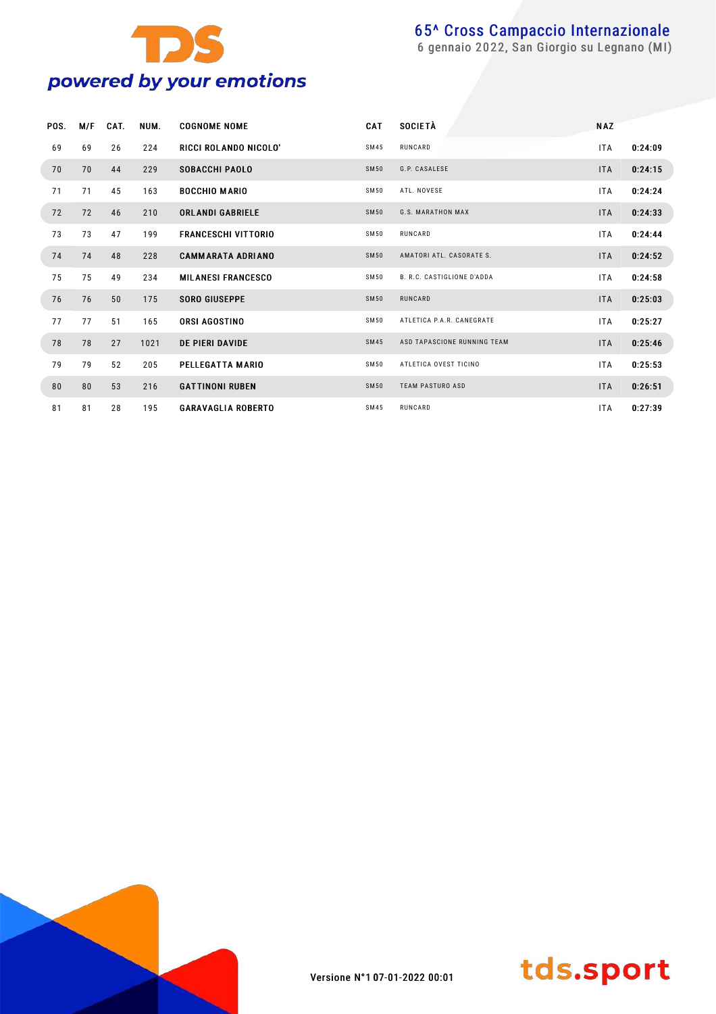

gennaio 2022, San Giorgio su Legnano (MI)

| POS. | M/F | CAT. | NUM. | <b>COGNOME NOME</b>        | CAT         | <b>SOCIETÀ</b>                    | <b>NAZ</b> |         |
|------|-----|------|------|----------------------------|-------------|-----------------------------------|------------|---------|
| 69   | 69  | 26   | 224  | RICCI ROLANDO NICOLO'      | SM45        | RUNCARD                           | <b>ITA</b> | 0:24:09 |
| 70   | 70  | 44   | 229  | <b>SOBACCHI PAOLO</b>      | SM50        | G.P. CASALESE                     | <b>ITA</b> | 0:24:15 |
| 71   | 71  | 45   | 163  | <b>BOCCHIO MARIO</b>       | SM50        | ATL. NOVESE                       | <b>ITA</b> | 0:24:24 |
| 72   | 72  | 46   | 210  | <b>ORLANDI GABRIELE</b>    | SM50        | <b>G.S. MARATHON MAX</b>          | <b>ITA</b> | 0:24:33 |
| 73   | 73  | 47   | 199  | <b>FRANCESCHI VITTORIO</b> | SM50        | RUNCARD                           | <b>ITA</b> | 0:24:44 |
| 74   | 74  | 48   | 228  | <b>CAMMARATA ADRIANO</b>   | <b>SM50</b> | AMATORI ATL. CASORATE S.          | <b>ITA</b> | 0:24:52 |
| 75   | 75  | 49   | 234  | <b>MILANESI FRANCESCO</b>  | SM50        | <b>B. R.C. CASTIGLIONE D'ADDA</b> | <b>ITA</b> | 0:24:58 |
| 76   | 76  | 50   | 175  | <b>SORO GIUSEPPE</b>       | <b>SM50</b> | RUNCARD                           | <b>ITA</b> | 0:25:03 |
| 77   | 77  | 51   | 165  | <b>ORSI AGOSTINO</b>       | SM50        | ATLETICA P.A.R. CANEGRATE         | <b>ITA</b> | 0:25:27 |
| 78   | 78  | 27   | 1021 | <b>DE PIERI DAVIDE</b>     | SM45        | ASD TAPASCIONE RUNNING TEAM       | <b>ITA</b> | 0:25:46 |
| 79   | 79  | 52   | 205  | PELLEGATTA MARIO           | SM50        | ATLETICA OVEST TICINO             | <b>ITA</b> | 0:25:53 |
| 80   | 80  | 53   | 216  | <b>GATTINONI RUBEN</b>     | SM50        | <b>TEAM PASTURO ASD</b>           | <b>ITA</b> | 0:26:51 |
| 81   | 81  | 28   | 195  | <b>GARAVAGLIA ROBERTO</b>  | SM45        | RUNCARD                           | <b>ITA</b> | 0:27:39 |



Versione N°1 07-01-2022 00:01

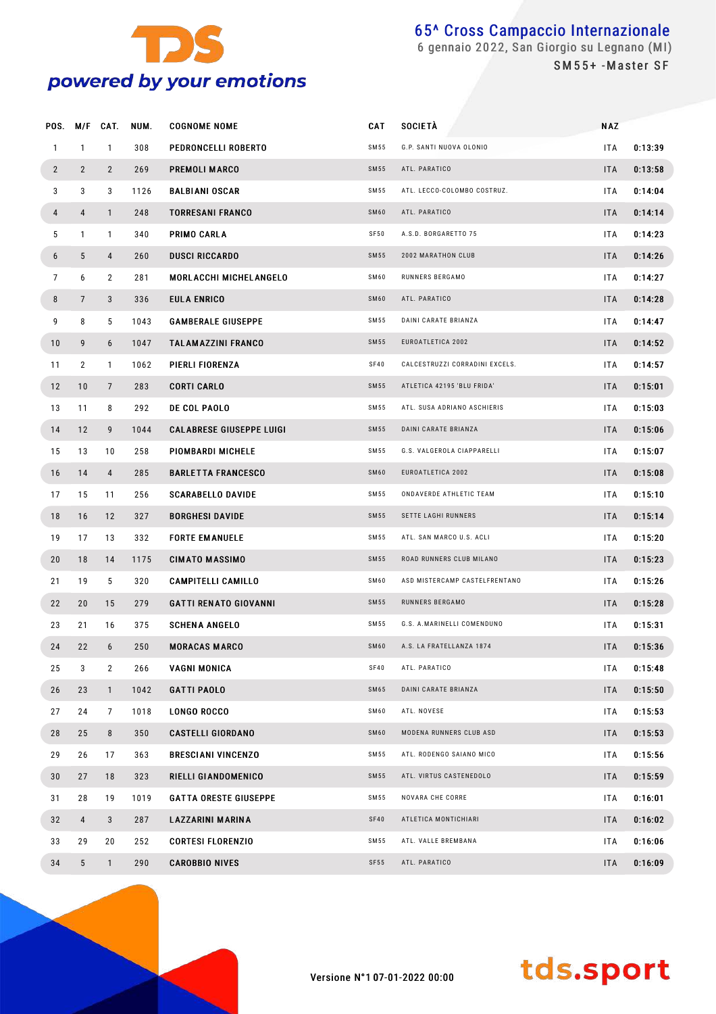

SM55+-Master SF

| POS.           |                | M/F CAT.       | NUM. | <b>COGNOME NOME</b>             | <b>CAT</b>  | <b>SOCIETÀ</b>                 | <b>NAZ</b> |         |
|----------------|----------------|----------------|------|---------------------------------|-------------|--------------------------------|------------|---------|
| $\mathbf{1}$   | $\mathbf{1}$   | $\mathbf{1}$   | 308  | PEDRONCELLI ROBERTO             | SM55        | G.P. SANTI NUOVA OLONIO        | <b>ITA</b> | 0:13:39 |
| $\overline{2}$ | $\overline{2}$ | $\overline{2}$ | 269  | PREMOLI MARCO                   | SM55        | ATL. PARATICO                  | <b>ITA</b> | 0:13:58 |
| 3              | 3              | 3              | 1126 | <b>BALBIANI OSCAR</b>           | SM55        | ATL. LECCO-COLOMBO COSTRUZ.    | <b>ITA</b> | 0:14:04 |
| 4              | 4              | $\mathbf{1}$   | 248  | <b>TORRESANI FRANCO</b>         | SM60        | ATL. PARATICO                  | <b>ITA</b> | 0:14:14 |
| 5              | $\mathbf{1}$   | $\mathbf{1}$   | 340  | PRIMO CARLA                     | SF50        | A.S.D. BORGARETTO 75           | <b>ITA</b> | 0:14:23 |
| 6              | 5              | 4              | 260  | <b>DUSCI RICCARDO</b>           | SM55        | 2002 MARATHON CLUB             | <b>ITA</b> | 0:14:26 |
| $\overline{7}$ | 6              | $\overline{2}$ | 281  | MORLACCHI MICHELANGELO          | SM60        | RUNNERS BERGAMO                | <b>ITA</b> | 0:14:27 |
| 8              | $\overline{7}$ | 3              | 336  | EULA ENRICO                     | SM60        | ATL. PARATICO                  | <b>ITA</b> | 0:14:28 |
| 9              | 8              | 5              | 1043 | <b>GAMBERALE GIUSEPPE</b>       | SM55        | DAINI CARATE BRIANZA           | <b>ITA</b> | 0:14:47 |
| 10             | 9              | 6              | 1047 | <b>TALAMAZZINI FRANCO</b>       | SM55        | EUROATLETICA 2002              | <b>ITA</b> | 0:14:52 |
| 11             | $\overline{2}$ | $\mathbf{1}$   | 1062 | PIERLI FIORENZA                 | SF40        | CALCESTRUZZI CORRADINI EXCELS. | <b>ITA</b> | 0:14:57 |
| 12             | 10             | $\overline{7}$ | 283  | <b>CORTI CARLO</b>              | SM55        | ATLETICA 42195 'BLU FRIDA'     | <b>ITA</b> | 0:15:01 |
| 13             | 11             | 8              | 292  | DE COL PAOLO                    | SM55        | ATL. SUSA ADRIANO ASCHIERIS    | <b>ITA</b> | 0:15:03 |
| 14             | 12             | 9              | 1044 | <b>CALABRESE GIUSEPPE LUIGI</b> | SM55        | DAINI CARATE BRIANZA           | <b>ITA</b> | 0:15:06 |
| 15             | 13             | 10             | 258  | PIOMBARDI MICHELE               | SM55        | G.S. VALGEROLA CIAPPARELLI     | <b>ITA</b> | 0:15:07 |
| 16             | 14             | $\overline{4}$ | 285  | <b>BARLETTA FRANCESCO</b>       | SM60        | EUROATLETICA 2002              | <b>ITA</b> | 0:15:08 |
| 17             | 15             | 11             | 256  | <b>SCARABELLO DAVIDE</b>        | SM55        | ONDAVERDE ATHLETIC TEAM        | <b>ITA</b> | 0:15:10 |
| 18             | 16             | 12             | 327  | <b>BORGHESI DAVIDE</b>          | SM55        | SETTE LAGHI RUNNERS            | <b>ITA</b> | 0:15:14 |
| 19             | 17             | 13             | 332  | <b>FORTE EMANUELE</b>           | SM55        | ATL. SAN MARCO U.S. ACLI       | <b>ITA</b> | 0:15:20 |
| 20             | 18             | 14             | 1175 | <b>CIMATO MASSIMO</b>           | SM55        | ROAD RUNNERS CLUB MILANO       | <b>ITA</b> | 0:15:23 |
| 21             | 19             | 5              | 320  | <b>CAMPITELLI CAMILLO</b>       | SM60        | ASD MISTERCAMP CASTELFRENTANO  | <b>ITA</b> | 0:15:26 |
| 22             | 20             | 15             | 279  | <b>GATTI RENATO GIOVANNI</b>    | SM55        | RUNNERS BERGAMO                | <b>ITA</b> | 0:15:28 |
| 23             | 21             | 16             | 375  | <b>SCHENA ANGELO</b>            | SM55        | G.S. A.MARINELLI COMENDUNO     | <b>ITA</b> | 0:15:31 |
| 24             | 22             | 6              | 250  | <b>MORACAS MARCO</b>            | <b>SM60</b> | A.S. LA FRATELLANZA 1874       | ITA.       | 0:15:36 |
| 25             | 3              | $\overline{2}$ | 266  | VAGNI MONICA                    | SF40        | ATL. PARATICO                  | ITA        | 0:15:48 |
| 26             | 23             | $\mathbf{1}$   | 1042 | <b>GATTI PAOLO</b>              | SM65        | DAINI CARATE BRIANZA           | <b>ITA</b> | 0:15:50 |
| 27             | 24             | 7              | 1018 | <b>LONGO ROCCO</b>              | SM60        | ATL. NOVESE                    | ITA.       | 0:15:53 |
| 28             | 25             | 8              | 350  | <b>CASTELLI GIORDANO</b>        | <b>SM60</b> | MODENA RUNNERS CLUB ASD        | <b>ITA</b> | 0:15:53 |
| 29             | 26             | 17             | 363  | <b>BRESCIANI VINCENZO</b>       | SM55        | ATL. RODENGO SAIANO MICO       | ITA.       | 0:15:56 |
| 30             | 27             | 18             | 323  | RIELLI GIANDOMENICO             | SM55        | ATL. VIRTUS CASTENEDOLO        | <b>ITA</b> | 0:15:59 |
| 31             | 28             | 19             | 1019 | <b>GATTA ORESTE GIUSEPPE</b>    | SM55        | NOVARA CHE CORRE               | ITA.       | 0:16:01 |
| 32             | 4              | 3              | 287  | LAZZARINI MARINA                | SF40        | ATLETICA MONTICHIARI           | <b>ITA</b> | 0:16:02 |
| 33             | 29             | 20             | 252  | <b>CORTESI FLORENZIO</b>        | SM55        | ATL. VALLE BREMBANA            | ITA.       | 0:16:06 |
| 34             | 5              | $\mathbf{1}$   | 290  | <b>CAROBBIO NIVES</b>           | SF55        | ATL. PARATICO                  | <b>ITA</b> | 0:16:09 |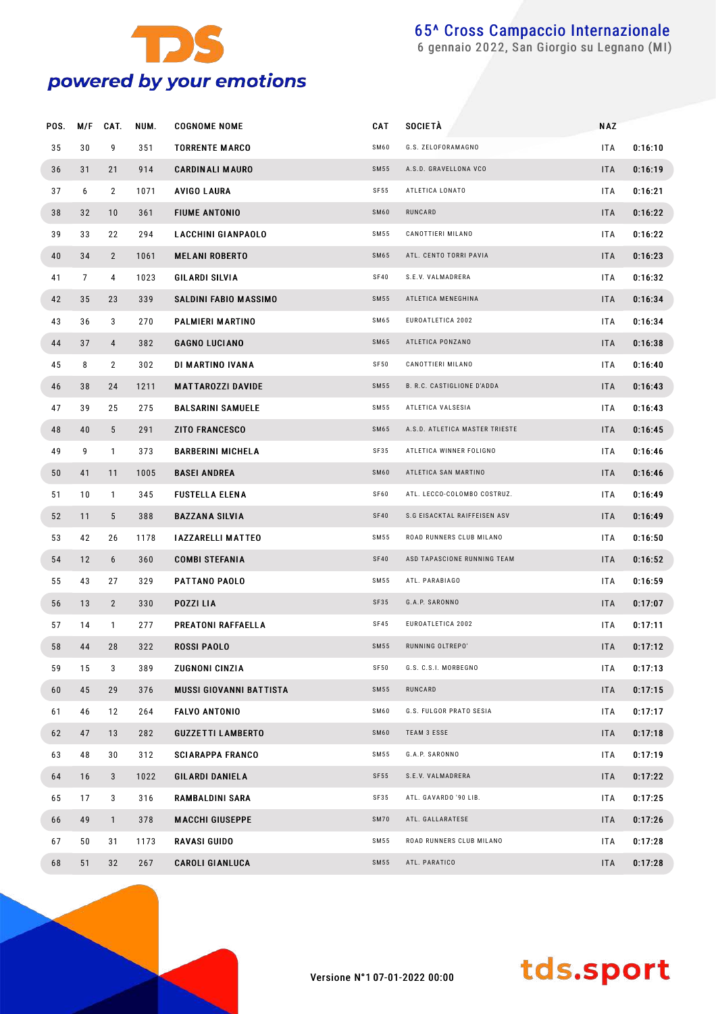

gennaio 2022, San Giorgio su Legnano (MI)

| POS. | M/F            | CAT.           | NUM. | <b>COGNOME NOME</b>            | <b>CAT</b>  | <b>SOCIETÀ</b>                    | <b>NAZ</b> |         |
|------|----------------|----------------|------|--------------------------------|-------------|-----------------------------------|------------|---------|
| 35   | 30             | 9              | 351  | <b>TORRENTE MARCO</b>          | SM60        | G.S. ZELOFORAMAGNO                | <b>ITA</b> | 0:16:10 |
| 36   | 31             | 21             | 914  | <b>CARDINALI MAURO</b>         | <b>SM55</b> | A.S.D. GRAVELLONA VCO             | <b>ITA</b> | 0:16:19 |
| 37   | 6              | $\overline{2}$ | 1071 | AVIGO LAURA                    | SF55        | ATLETICA LONATO                   | <b>ITA</b> | 0:16:21 |
| 38   | 32             | 10             | 361  | <b>FIUME ANTONIO</b>           | SM60        | RUNCARD                           | <b>ITA</b> | 0:16:22 |
| 39   | 33             | 22             | 294  | <b>LACCHINI GIANPAOLO</b>      | SM55        | CANOTTIERI MILANO                 | <b>ITA</b> | 0:16:22 |
| 40   | 34             | $\overline{2}$ | 1061 | <b>MELANI ROBERTO</b>          | <b>SM65</b> | ATL. CENTO TORRI PAVIA            | <b>ITA</b> | 0:16:23 |
| 41   | $\overline{7}$ | 4              | 1023 | GILARDI SILVIA                 | SF40        | S.E.V. VALMADRERA                 | <b>ITA</b> | 0:16:32 |
| 42   | 35             | 23             | 339  | SALDINI FABIO MASSIMO          | <b>SM55</b> | ATLETICA MENEGHINA                | <b>ITA</b> | 0:16:34 |
| 43   | 36             | 3              | 270  | PALMIERI MARTINO               | SM65        | EUROATLETICA 2002                 | <b>ITA</b> | 0:16:34 |
| 44   | 37             | $\overline{4}$ | 382  | <b>GAGNO LUCIANO</b>           | <b>SM65</b> | ATLETICA PONZANO                  | <b>ITA</b> | 0:16:38 |
| 45   | 8              | $\overline{2}$ | 302  | DI MARTINO IVANA               | SF50        | CANOTTIERI MILANO                 | <b>ITA</b> | 0:16:40 |
| 46   | 38             | 24             | 1211 | <b>MATTAROZZI DAVIDE</b>       | <b>SM55</b> | <b>B. R.C. CASTIGLIONE D'ADDA</b> | <b>ITA</b> | 0:16:43 |
| 47   | 39             | 25             | 275  | <b>BALSARINI SAMUELE</b>       | SM55        | ATLETICA VALSESIA                 | <b>ITA</b> | 0:16:43 |
| 48   | 40             | 5 <sup>5</sup> | 291  | <b>ZITO FRANCESCO</b>          | <b>SM65</b> | A.S.D. ATLETICA MASTER TRIESTE    | <b>ITA</b> | 0:16:45 |
| 49   | 9              | $\mathbf{1}$   | 373  | <b>BARBERINI MICHELA</b>       | SF35        | ATLETICA WINNER FOLIGNO           | <b>ITA</b> | 0:16:46 |
| 50   | 41             | 11             | 1005 | <b>BASEI ANDREA</b>            | SM60        | ATLETICA SAN MARTINO              | <b>ITA</b> | 0:16:46 |
| 51   | 10             | $\mathbf{1}$   | 345  | <b>FUSTELLA ELENA</b>          | SF60        | ATL. LECCO-COLOMBO COSTRUZ.       | <b>ITA</b> | 0:16:49 |
| 52   | 11             | $5^{\circ}$    | 388  | <b>BAZZANA SILVIA</b>          | <b>SF40</b> | S.G EISACKTAL RAIFFEISEN ASV      | <b>ITA</b> | 0:16:49 |
| 53   | 42             | 26             | 1178 | <b>IAZZARELLI MATTEO</b>       | SM55        | ROAD RUNNERS CLUB MILANO          | <b>ITA</b> | 0:16:50 |
| 54   | 12             | 6              | 360  | <b>COMBI STEFANIA</b>          | <b>SF40</b> | ASD TAPASCIONE RUNNING TEAM       | <b>ITA</b> | 0:16:52 |
| 55   | 43             | 27             | 329  | PATTANO PAOLO                  | SM55        | ATL. PARABIAGO                    | <b>ITA</b> | 0:16:59 |
| 56   | 13             | $\overline{2}$ | 330  | POZZI LIA                      | SF35        | G.A.P. SARONNO                    | <b>ITA</b> | 0:17:07 |
| 57   | 14             | $\mathbf{1}$   | 277  | <b>PREATONI RAFFAELLA</b>      | <b>SF45</b> | EUROATLETICA 2002                 | <b>ITA</b> | 0:17:11 |
| 58   | 44             | 28             | 322  | <b>ROSSI PAOLO</b>             | <b>SM55</b> | RUNNING OLTREPO'                  | <b>ITA</b> | 0:17:12 |
| 59   | 15             | 3              | 389  | <b>ZUGNONI CINZIA</b>          | SF50        | G.S. C.S.I. MORBEGNO              | <b>ITA</b> | 0:17:13 |
| 60   | 45             | 29             | 376  | <b>MUSSI GIOVANNI BATTISTA</b> | <b>SM55</b> | RUNCARD                           | <b>ITA</b> | 0:17:15 |
| 61   | 46             | 12             | 264  | <b>FALVO ANTONIO</b>           | SM60        | G.S. FULGOR PRATO SESIA           | <b>ITA</b> | 0:17:17 |
| 62   | 47             | 13             | 282  | <b>GUZZETTI LAMBERTO</b>       | SM60        | <b>TEAM 3 ESSE</b>                | <b>ITA</b> | 0:17:18 |
| 63   | 48             | 30             | 312  | <b>SCIARAPPA FRANCO</b>        | SM55        | G.A.P. SARONNO                    | <b>ITA</b> | 0:17:19 |
| 64   | 16             | 3              | 1022 | <b>GILARDI DANIELA</b>         | SF55        | S.E.V. VALMADRERA                 | <b>ITA</b> | 0:17:22 |
| 65   | 17             | 3              | 316  | RAMBALDINI SARA                | SF35        | ATL. GAVARDO '90 LIB.             | <b>ITA</b> | 0:17:25 |
| 66   | 49             | $\mathbf{1}$   | 378  | <b>MACCHI GIUSEPPE</b>         | SM70        | ATL. GALLARATESE                  | <b>ITA</b> | 0:17:26 |
| 67   | 50             | 31             | 1173 | <b>RAVASI GUIDO</b>            | SM55        | ROAD RUNNERS CLUB MILANO          | <b>ITA</b> | 0:17:28 |
| 68   | 51             | 32             | 267  | <b>CAROLI GIANLUCA</b>         | <b>SM55</b> | ATL. PARATICO                     | <b>ITA</b> | 0:17:28 |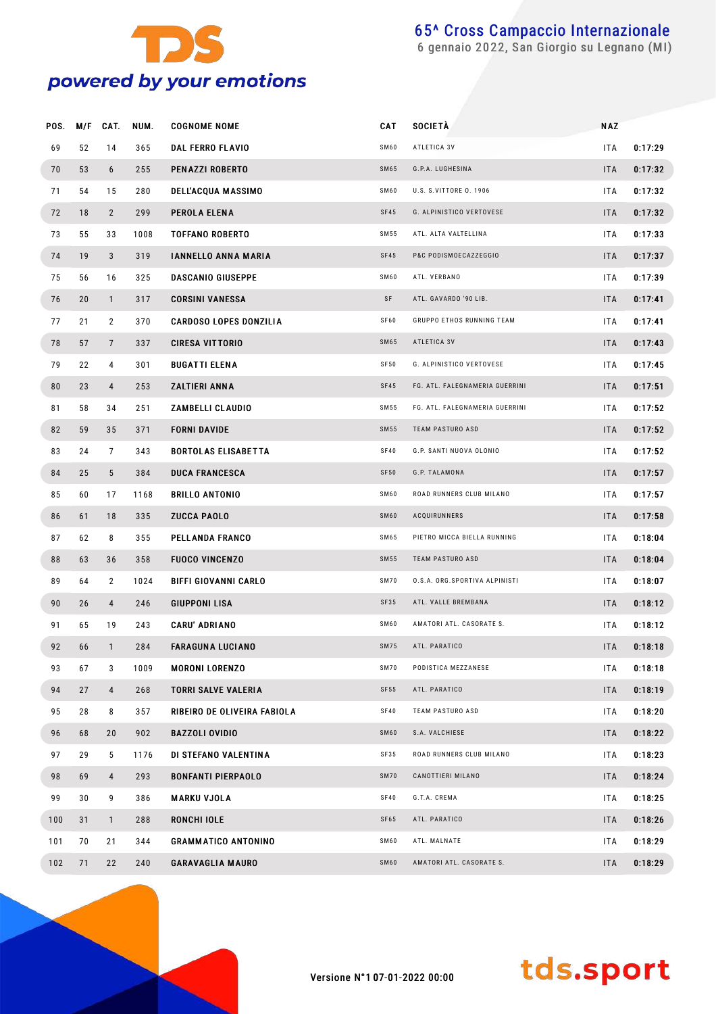

gennaio 2022, San Giorgio su Legnano (MI)

| POS. | M/F | CAT.           | NUM. | <b>COGNOME NOME</b>           | CAT         | <b>SOCIETÀ</b>                 | <b>NAZ</b> |         |
|------|-----|----------------|------|-------------------------------|-------------|--------------------------------|------------|---------|
| 69   | 52  | 14             | 365  | <b>DAL FERRO FLAVIO</b>       | SM60        | ATLETICA 3V                    | ITA        | 0:17:29 |
| 70   | 53  | 6              | 255  | PENAZZI ROBERTO               | <b>SM65</b> | G.P.A. LUGHESINA               | <b>ITA</b> | 0:17:32 |
| 71   | 54  | 15             | 280  | <b>DELL'ACQUA MASSIMO</b>     | SM60        | U.S. S.VITTORE 0. 1906         | <b>ITA</b> | 0:17:32 |
| 72   | 18  | $\overline{2}$ | 299  | PEROLA ELENA                  | <b>SF45</b> | G. ALPINISTICO VERTOVESE       | <b>ITA</b> | 0:17:32 |
| 73   | 55  | 33             | 1008 | <b>TOFFANO ROBERTO</b>        | SM 55       | ATL. ALTA VALTELLINA           | <b>ITA</b> | 0:17:33 |
| 74   | 19  | 3              | 319  | <b>IANNELLO ANNA MARIA</b>    | SF45        | P&C PODISMOECAZZEGGIO          | <b>ITA</b> | 0:17:37 |
| 75   | 56  | 16             | 325  | <b>DASCANIO GIUSEPPE</b>      | <b>SM60</b> | ATL. VERBANO                   | <b>ITA</b> | 0:17:39 |
| 76   | 20  | $\mathbf{1}$   | 317  | <b>CORSINI VANESSA</b>        | SF          | ATL. GAVARDO '90 LIB.          | <b>ITA</b> | 0:17:41 |
| 77   | 21  | $\overline{2}$ | 370  | <b>CARDOSO LOPES DONZILIA</b> | SF60        | GRUPPO ETHOS RUNNING TEAM      | <b>ITA</b> | 0:17:41 |
| 78   | 57  | $\overline{7}$ | 337  | <b>CIRESA VITTORIO</b>        | <b>SM65</b> | ATLETICA 3V                    | <b>ITA</b> | 0:17:43 |
| 79   | 22  | 4              | 301  | <b>BUGATTI ELENA</b>          | SF50        | G. ALPINISTICO VERTOVESE       | <b>ITA</b> | 0:17:45 |
| 80   | 23  | 4              | 253  | ZALTIERI ANNA                 | <b>SF45</b> | FG. ATL. FALEGNAMERIA GUERRINI | <b>ITA</b> | 0:17:51 |
| 81   | 58  | 34             | 251  | ZAMBELLI CLAUDIO              | SM 55       | FG. ATL. FALEGNAMERIA GUERRINI | ITA.       | 0:17:52 |
| 82   | 59  | 35             | 371  | <b>FORNI DAVIDE</b>           | <b>SM55</b> | TEAM PASTURO ASD               | <b>ITA</b> | 0:17:52 |
| 83   | 24  | $\overline{7}$ | 343  | <b>BORTOLAS ELISABETTA</b>    | SF40        | G.P. SANTI NUOVA OLONIO        | <b>ITA</b> | 0:17:52 |
| 84   | 25  | 5              | 384  | <b>DUCA FRANCESCA</b>         | <b>SF50</b> | G.P. TALAMONA                  | <b>ITA</b> | 0:17:57 |
| 85   | 60  | 17             | 1168 | <b>BRILLO ANTONIO</b>         | <b>SM60</b> | ROAD RUNNERS CLUB MILANO       | <b>ITA</b> | 0:17:57 |
| 86   | 61  | 18             | 335  | <b>ZUCCA PAOLO</b>            | <b>SM60</b> | ACQUIRUNNERS                   | <b>ITA</b> | 0:17:58 |
| 87   | 62  | 8              | 355  | <b>PELLANDA FRANCO</b>        | SM65        | PIETRO MICCA BIELLA RUNNING    | ITA.       | 0:18:04 |
| 88   | 63  | 36             | 358  | <b>FUOCO VINCENZO</b>         | <b>SM55</b> | TEAM PASTURO ASD               | <b>ITA</b> | 0:18:04 |
| 89   | 64  | 2              | 1024 | <b>BIFFI GIOVANNI CARLO</b>   | <b>SM70</b> | O.S.A. ORG.SPORTIVA ALPINISTI  | ITA.       | 0:18:07 |
| 90   | 26  | 4              | 246  | <b>GIUPPONI LISA</b>          | SF35        | ATL. VALLE BREMBANA            | <b>ITA</b> | 0:18:12 |
| 91   | 65  | 19             | 243  | <b>CARU' ADRIANO</b>          | <b>SM60</b> | AMATORI ATL. CASORATE S.       | <b>ITA</b> | 0:18:12 |
| 92   | 66  | $\mathbf{1}$   | 284  | <b>FARAGUNA LUCIANO</b>       | <b>SM75</b> | ATL. PARATICO                  | <b>ITA</b> | 0:18:18 |
| 93   | 67  | 3              | 1009 | <b>MORONI LORENZO</b>         | <b>SM70</b> | PODISTICA MEZZANESE            | ITA.       | 0:18:18 |
| 94   | 27  | 4              | 268  | <b>TORRI SALVE VALERIA</b>    | SF55        | ATL. PARATICO                  | <b>ITA</b> | 0:18:19 |
| 95   | 28  | 8              | 357  | RIBEIRO DE OLIVEIRA FABIOLA   | <b>SF40</b> | TEAM PASTURO ASD               | ITA.       | 0:18:20 |
| 96   | 68  | 20             | 902  | <b>BAZZOLI OVIDIO</b>         | <b>SM60</b> | S.A. VALCHIESE                 | <b>ITA</b> | 0:18:22 |
| 97   | 29  | 5              | 1176 | DI STEFANO VALENTINA          | SF35        | ROAD RUNNERS CLUB MILANO       | ITA.       | 0:18:23 |
| 98   | 69  | 4              | 293  | <b>BONFANTI PIERPAOLO</b>     | <b>SM70</b> | CANOTTIERI MILANO              | <b>ITA</b> | 0:18:24 |
| 99   | 30  | 9              | 386  | <b>MARKU VJOLA</b>            | SF40        | G.T.A. CREMA                   | ITA.       | 0:18:25 |
| 100  | 31  | $\mathbf{1}$   | 288  | RONCHI IOLE                   | SF65        | ATL. PARATICO                  | <b>ITA</b> | 0:18:26 |
| 101  | 70  | 21             | 344  | <b>GRAMMATICO ANTONINO</b>    | SM60        | ATL. MALNATE                   | ITA.       | 0:18:29 |
| 102  | 71  | 22             | 240  | <b>GARAVAGLIA MAURO</b>       | <b>SM60</b> | AMATORI ATL. CASORATE S.       | <b>ITA</b> | 0:18:29 |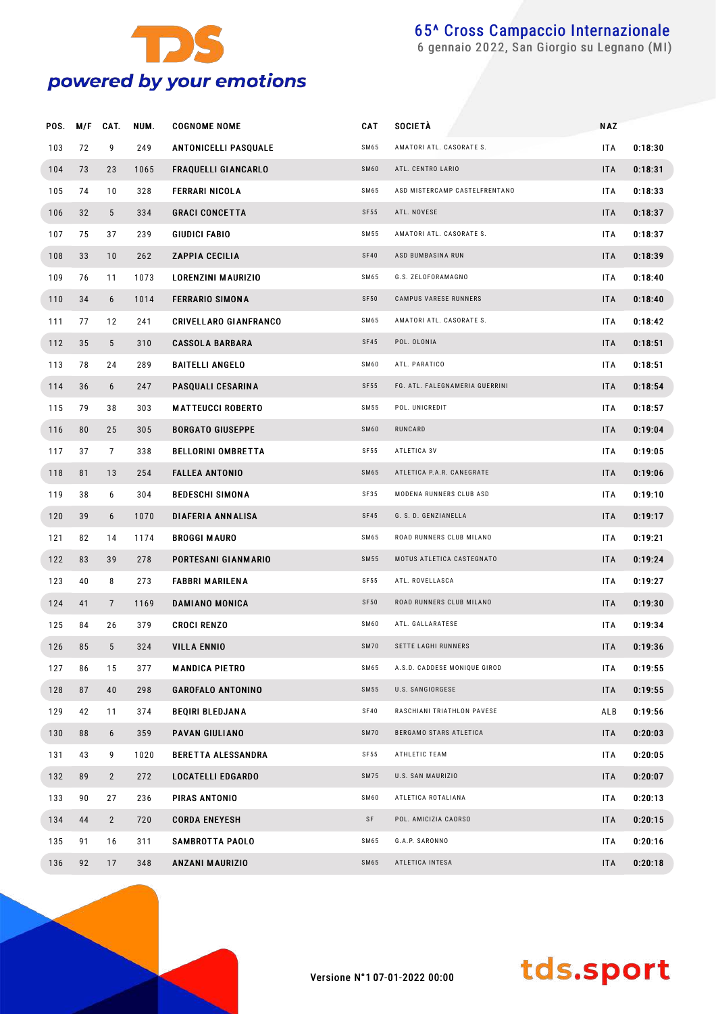

gennaio 2022, San Giorgio su Legnano (MI)

| POS. | M/F | CAT.           | NUM. | <b>COGNOME NOME</b>          | CAT         | SOCIETÀ                        | <b>NAZ</b> |         |
|------|-----|----------------|------|------------------------------|-------------|--------------------------------|------------|---------|
| 103  | 72  | 9              | 249  | <b>ANTONICELLI PASQUALE</b>  | SM65        | AMATORI ATL. CASORATE S.       | ITA        | 0:18:30 |
| 104  | 73  | 23             | 1065 | <b>FRAQUELLI GIANCARLO</b>   | SM60        | ATL. CENTRO LARIO              | <b>ITA</b> | 0:18:31 |
| 105  | 74  | 10             | 328  | <b>FERRARI NICOLA</b>        | SM65        | ASD MISTERCAMP CASTELFRENTANO  | ITA        | 0:18:33 |
| 106  | 32  | 5              | 334  | <b>GRACI CONCETTA</b>        | <b>SF55</b> | ATL. NOVESE                    | <b>ITA</b> | 0:18:37 |
| 107  | 75  | 37             | 239  | GIUDICI FABIO                | SM 55       | AMATORI ATL. CASORATE S.       | ITA        | 0:18:37 |
| 108  | 33  | 10             | 262  | <b>ZAPPIA CECILIA</b>        | <b>SF40</b> | ASD BUMBASINA RUN              | <b>ITA</b> | 0:18:39 |
| 109  | 76  | 11             | 1073 | LORENZINI MAURIZIO           | SM65        | G.S. ZELOFORAMAGNO             | ITA        | 0:18:40 |
| 110  | 34  | 6              | 1014 | <b>FERRARIO SIMONA</b>       | <b>SF50</b> | CAMPUS VARESE RUNNERS          | <b>ITA</b> | 0:18:40 |
| 111  | 77  | 12             | 241  | <b>CRIVELLARO GIANFRANCO</b> | SM65        | AMATORI ATL. CASORATE S.       | ITA        | 0:18:42 |
| 112  | 35  | 5              | 310  | <b>CASSOLA BARBARA</b>       | SF45        | POL. OLONIA                    | <b>ITA</b> | 0:18:51 |
| 113  | 78  | 24             | 289  | <b>BAITELLI ANGELO</b>       | SM60        | ATL. PARATICO                  | ITA        | 0:18:51 |
| 114  | 36  | 6              | 247  | PASQUALI CESARINA            | SF55        | FG. ATL. FALEGNAMERIA GUERRINI | <b>ITA</b> | 0:18:54 |
| 115  | 79  | 38             | 303  | <b>MATTEUCCI ROBERTO</b>     | SM 55       | POL. UNICREDIT                 | ITA        | 0:18:57 |
| 116  | 80  | 25             | 305  | <b>BORGATO GIUSEPPE</b>      | SM60        | RUNCARD                        | <b>ITA</b> | 0:19:04 |
| 117  | 37  | 7              | 338  | <b>BELLORINI OMBRETTA</b>    | SF55        | ATLETICA 3V                    | ITA        | 0:19:05 |
| 118  | 81  | 13             | 254  | <b>FALLEA ANTONIO</b>        | SM65        | ATLETICA P.A.R. CANEGRATE      | <b>ITA</b> | 0:19:06 |
| 119  | 38  | 6              | 304  | <b>BEDESCHI SIMONA</b>       | SF35        | MODENA RUNNERS CLUB ASD        | ITA        | 0:19:10 |
| 120  | 39  | 6              | 1070 | DIAFERIA ANNALISA            | SF45        | G. S. D. GENZIANELLA           | <b>ITA</b> | 0:19:17 |
| 121  | 82  | 14             | 1174 | <b>BROGGI MAURO</b>          | SM65        | ROAD RUNNERS CLUB MILANO       | ITA        | 0:19:21 |
| 122  | 83  | 39             | 278  | PORTESANI GIANMARIO          | SM55        | MOTUS ATLETICA CASTEGNATO      | <b>ITA</b> | 0:19:24 |
| 123  | 40  | 8              | 273  | <b>FABBRI MARILENA</b>       | SF55        | ATL. ROVELLASCA                | ITA        | 0:19:27 |
| 124  | 41  | $\overline{7}$ | 1169 | DAMIANO MONICA               | <b>SF50</b> | ROAD RUNNERS CLUB MILANO       | <b>ITA</b> | 0:19:30 |
| 125  | 84  | 26             | 379  | <b>CROCI RENZO</b>           | SM60        | ATL. GALLARATESE               | ITA        | 0:19:34 |
| 126  | 85  | 5              | 324  | <b>VILLA ENNIO</b>           | <b>SM70</b> | <b>SETTE LAGHI RUNNERS</b>     | <b>ITA</b> | 0:19:36 |
| 127  | 86  | 15             | 377  | <b>MANDICA PIETRO</b>        | SM65        | A.S.D. CADDESE MONIQUE GIROD   | <b>ITA</b> | 0:19:55 |
| 128  | 87  | 40             | 298  | <b>GAROFALO ANTONINO</b>     | SM55        | U.S. SANGIORGESE               | <b>ITA</b> | 0:19:55 |
| 129  | 42  | 11             | 374  | <b>BEQIRI BLEDJANA</b>       | SF40        | RASCHIANI TRIATHLON PAVESE     | ALB        | 0:19:56 |
| 130  | 88  | 6              | 359  | <b>PAVAN GIULIANO</b>        | <b>SM70</b> | BERGAMO STARS ATLETICA         | <b>ITA</b> | 0:20:03 |
| 131  | 43  | 9              | 1020 | <b>BERETTA ALESSANDRA</b>    | SF55        | ATHLETIC TEAM                  | ITA        | 0:20:05 |
| 132  | 89  | $\overline{2}$ | 272  | <b>LOCATELLI EDGARDO</b>     | <b>SM75</b> | U.S. SAN MAURIZIO              | <b>ITA</b> | 0:20:07 |
| 133  | 90  | 27             | 236  | PIRAS ANTONIO                | SM60        | ATLETICA ROTALIANA             | ITA        | 0:20:13 |
| 134  | 44  | $\overline{2}$ | 720  | <b>CORDA ENEYESH</b>         | SF          | POL. AMICIZIA CAORSO           | <b>ITA</b> | 0:20:15 |
| 135  | 91  | 16             | 311  | SAMBROTTA PAOLO              | SM65        | G.A.P. SARONNO                 | ITA        | 0:20:16 |
| 136  | 92  | 17             | 348  | ANZANI MAURIZIO              | SM65        | ATLETICA INTESA                | ITA        | 0:20:18 |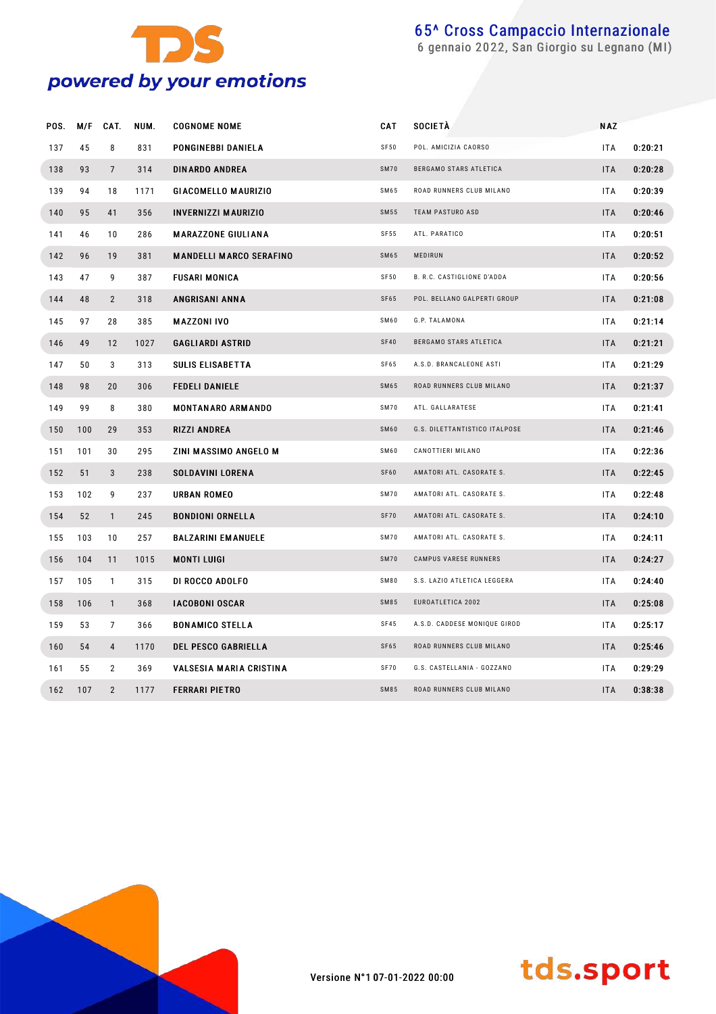

gennaio 2022, San Giorgio su Legnano (MI)

| POS. | M/F | CAT.            | NUM. | <b>COGNOME NOME</b>            | <b>CAT</b>  | SOCIETÀ                           | <b>NAZ</b> |         |
|------|-----|-----------------|------|--------------------------------|-------------|-----------------------------------|------------|---------|
| 137  | 45  | 8               | 831  | PONGINEBBI DANIELA             | SF50        | POL. AMICIZIA CAORSO              | ITA        | 0:20:21 |
| 138  | 93  | $7\overline{ }$ | 314  | <b>DINARDO ANDREA</b>          | <b>SM70</b> | BERGAMO STARS ATLETICA            | <b>ITA</b> | 0:20:28 |
| 139  | 94  | 18              | 1171 | GIACOMELLO MAURIZIO            | SM65        | ROAD RUNNERS CLUB MILANO          | <b>ITA</b> | 0:20:39 |
| 140  | 95  | 41              | 356  | <b>INVERNIZZI MAURIZIO</b>     | SM55        | <b>TEAM PASTURO ASD</b>           | <b>ITA</b> | 0:20:46 |
| 141  | 46  | 10              | 286  | <b>MARAZZONE GIULIANA</b>      | SF55        | ATL. PARATICO                     | <b>ITA</b> | 0:20:51 |
| 142  | 96  | 19              | 381  | <b>MANDELLI MARCO SERAFINO</b> | SM65        | MEDIRUN                           | <b>ITA</b> | 0:20:52 |
| 143  | 47  | 9               | 387  | FUSARI MONICA                  | SF50        | <b>B. R.C. CASTIGLIONE D'ADDA</b> | <b>ITA</b> | 0:20:56 |
| 144  | 48  | $\overline{2}$  | 318  | ANGRISANI ANNA                 | SF65        | POL. BELLANO GALPERTI GROUP       | <b>ITA</b> | 0:21:08 |
| 145  | 97  | 28              | 385  | <b>MAZZONI IVO</b>             | <b>SM60</b> | G.P. TALAMONA                     | ITA        | 0:21:14 |
| 146  | 49  | 12              | 1027 | <b>GAGLIARDI ASTRID</b>        | <b>SF40</b> | BERGAMO STARS ATLETICA            | <b>ITA</b> | 0:21:21 |
| 147  | 50  | 3               | 313  | <b>SULIS ELISABETTA</b>        | SF65        | A.S.D. BRANCALEONE ASTI           | <b>ITA</b> | 0:21:29 |
| 148  | 98  | 20              | 306  | <b>FEDELI DANIELE</b>          | <b>SM65</b> | ROAD RUNNERS CLUB MILANO          | <b>ITA</b> | 0:21:37 |
| 149  | 99  | 8               | 380  | <b>MONTANARO ARMANDO</b>       | <b>SM70</b> | ATL. GALLARATESE                  | ITA        | 0:21:41 |
| 150  | 100 | 29              | 353  | RIZZI ANDREA                   | SM60        | G.S. DILETTANTISTICO ITALPOSE     | <b>ITA</b> | 0:21:46 |
| 151  | 101 | 30              | 295  | ZINI MASSIMO ANGELO M          | <b>SM60</b> | CANOTTIERI MILANO                 | <b>ITA</b> | 0:22:36 |
| 152  | 51  | 3               | 238  | <b>SOLDAVINI LORENA</b>        | SF60        | AMATORI ATL. CASORATE S.          | <b>ITA</b> | 0:22:45 |
| 153  | 102 | 9               | 237  | <b>URBAN ROMEO</b>             | <b>SM70</b> | AMATORI ATL. CASORATE S.          | <b>ITA</b> | 0:22:48 |
| 154  | 52  | $\mathbf{1}$    | 245  | <b>BONDIONI ORNELLA</b>        | <b>SF70</b> | AMATORI ATL. CASORATE S.          | <b>ITA</b> | 0:24:10 |
| 155  | 103 | 10              | 257  | <b>BALZARINI EMANUELE</b>      | <b>SM70</b> | AMATORI ATL. CASORATE S.          | <b>ITA</b> | 0:24:11 |
| 156  | 104 | 11              | 1015 | <b>MONTI LUIGI</b>             | <b>SM70</b> | CAMPUS VARESE RUNNERS             | <b>ITA</b> | 0:24:27 |
| 157  | 105 | $\mathbf{1}$    | 315  | DI ROCCO ADOLFO                | <b>SM80</b> | S.S. LAZIO ATLETICA LEGGERA       | <b>ITA</b> | 0:24:40 |
| 158  | 106 | $\mathbf{1}$    | 368  | <b>IACOBONI OSCAR</b>          | SM85        | EUROATLETICA 2002                 | <b>ITA</b> | 0:25:08 |
| 159  | 53  | $\overline{7}$  | 366  | <b>BONAMICO STELLA</b>         | SF45        | A.S.D. CADDESE MONIQUE GIROD      | ITA        | 0:25:17 |
| 160  | 54  | $\overline{4}$  | 1170 | <b>DEL PESCO GABRIELLA</b>     | SF65        | ROAD RUNNERS CLUB MILANO          | <b>ITA</b> | 0:25:46 |
| 161  | 55  | $\overline{2}$  | 369  | VALSESIA MARIA CRISTINA        | SF70        | G.S. CASTELLANIA - GOZZANO        | <b>ITA</b> | 0:29:29 |
| 162  | 107 | $\overline{2}$  | 1177 | <b>FERRARI PIETRO</b>          | SM85        | ROAD RUNNERS CLUB MILANO          | <b>ITA</b> | 0:38:38 |

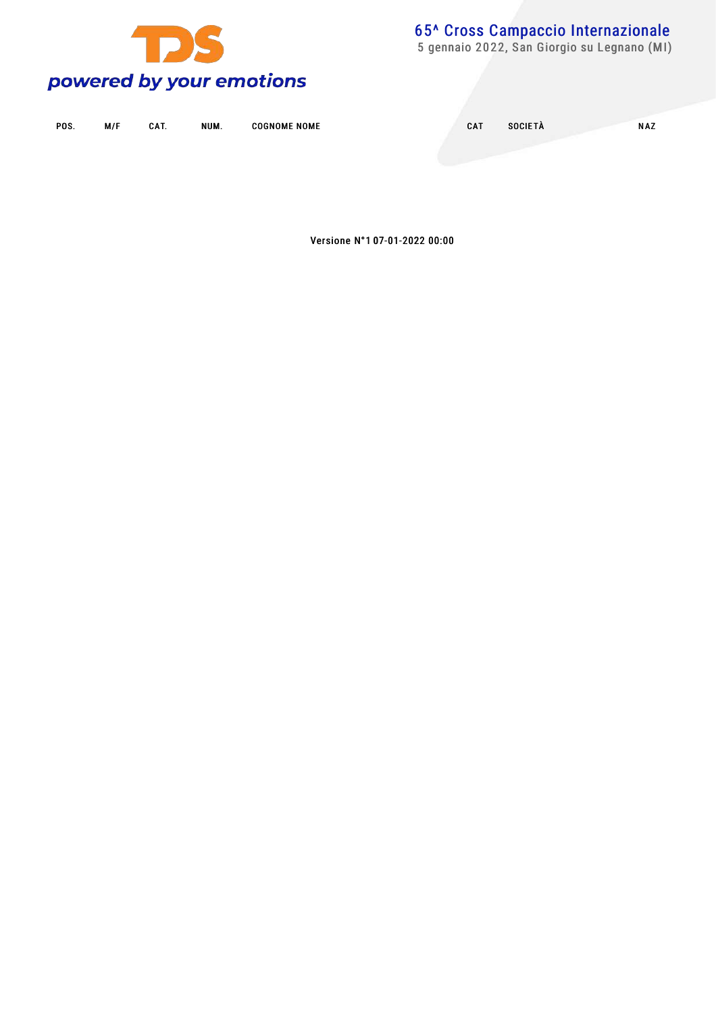

5 gennaio 2022, San Giorgio su Legnano (MI)

| POS. | M/F | CAT. | NUM. | <b>COGNOME NOME</b> | CAT | <b>SOCIETÀ</b> | <b>NAZ</b> |
|------|-----|------|------|---------------------|-----|----------------|------------|
|      |     |      |      |                     |     |                |            |

Versione N°1 07-01-2022 00:00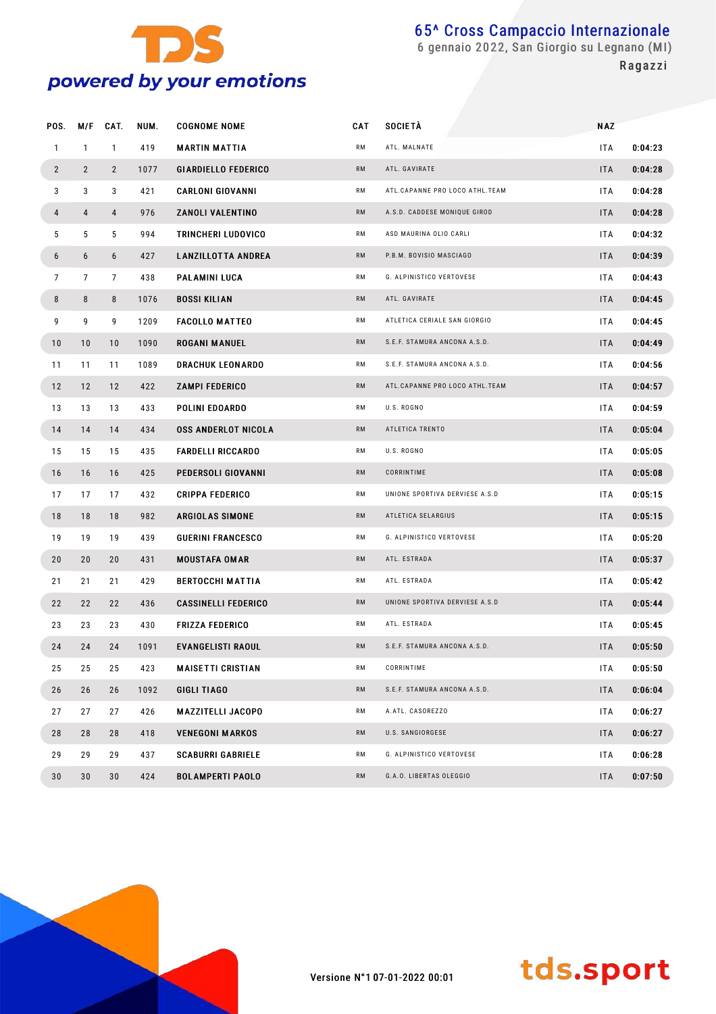

 gennaio 2022, San Giorgio su Legnano (MI) **Ragazzi** 

| POS.           |                | M/F CAT.       | NUM. | <b>COGNOME NOME</b>        | <b>CAT</b> | <b>SOCIETÀ</b>                 | <b>NAZ</b> |         |
|----------------|----------------|----------------|------|----------------------------|------------|--------------------------------|------------|---------|
| $\mathbf{1}$   | $\mathbf{1}$   | $\mathbf{1}$   | 419  | <b>MARTIN MATTIA</b>       | RM         | ATL. MALNATE                   | ITA        | 0:04:23 |
| $\overline{2}$ | $\overline{2}$ | $\overline{2}$ | 1077 | <b>GIARDIELLO FEDERICO</b> | <b>RM</b>  | ATL. GAVIRATE                  | <b>ITA</b> | 0:04:28 |
| 3              | 3              | 3              | 421  | <b>CARLONI GIOVANNI</b>    | RM         | ATL.CAPANNE PRO LOCO ATHL.TEAM | ITA        | 0:04:28 |
| $\overline{4}$ | 4              | $\overline{4}$ | 976  | ZANOLI VALENTINO           | <b>RM</b>  | A.S.D. CADDESE MONIQUE GIROD   | <b>ITA</b> | 0:04:28 |
| 5              | 5              | 5              | 994  | TRINCHERI LUDOVICO         | RM         | ASD MAURINA OLIO CARLI         | ITA        | 0:04:32 |
| 6              | 6              | 6              | 427  | <b>LANZILLOTTA ANDREA</b>  | <b>RM</b>  | P.B.M. BOVISIO MASCIAGO        | <b>ITA</b> | 0:04:39 |
| $\overline{7}$ | $\overline{7}$ | $\overline{7}$ | 438  | PALAMINI LUCA              | RM         | G. ALPINISTICO VERTOVESE       | ITA        | 0:04:43 |
| 8              | 8              | 8              | 1076 | <b>BOSSI KILIAN</b>        | <b>RM</b>  | ATL. GAVIRATE                  | <b>ITA</b> | 0:04:45 |
| 9              | 9              | 9              | 1209 | <b>FACOLLO MATTEO</b>      | RM         | ATLETICA CERIALE SAN GIORGIO   | ITA        | 0:04:45 |
| 10             | 10             | 10             | 1090 | <b>ROGANI MANUEL</b>       | <b>RM</b>  | S.E.F. STAMURA ANCONA A.S.D.   | <b>ITA</b> | 0:04:49 |
| 11             | 11             | 11             | 1089 | <b>DRACHUK LEONARDO</b>    | RM         | S.E.F. STAMURA ANCONA A.S.D.   | ITA        | 0:04:56 |
| 12             | 12             | 12             | 422  | <b>ZAMPI FEDERICO</b>      | <b>RM</b>  | ATL.CAPANNE PRO LOCO ATHL.TEAM | <b>ITA</b> | 0:04:57 |
| 13             | 13             | 13             | 433  | POLINI EDOARDO             | RM         | U.S. ROGNO                     | ITA        | 0:04:59 |
| 14             | 14             | 14             | 434  | <b>OSS ANDERLOT NICOLA</b> | <b>RM</b>  | ATLETICA TRENTO                | <b>ITA</b> | 0:05:04 |
| 15             | 15             | 15             | 435  | <b>FARDELLI RICCARDO</b>   | RM         | U.S. ROGNO                     | ITA        | 0:05:05 |
| 16             | 16             | 16             | 425  | PEDERSOLI GIOVANNI         | <b>RM</b>  | CORRINTIME                     | <b>ITA</b> | 0:05:08 |
| 17             | 17             | 17             | 432  | <b>CRIPPA FEDERICO</b>     | RM         | UNIONE SPORTIVA DERVIESE A.S.D | ITA        | 0:05:15 |
| 18             | 18             | 18             | 982  | ARGIOLAS SIMONE            | <b>RM</b>  | ATLETICA SELARGIUS             | <b>ITA</b> | 0:05:15 |
| 19             | 19             | 19             | 439  | <b>GUERINI FRANCESCO</b>   | RM         | G. ALPINISTICO VERTOVESE       | ITA        | 0:05:20 |
| 20             | 20             | 20             | 431  | <b>MOUSTAFA OMAR</b>       | <b>RM</b>  | ATL. ESTRADA                   | <b>ITA</b> | 0:05:37 |
| 21             | 21             | 21             | 429  | <b>BERTOCCHI MATTIA</b>    | RM         | ATL. ESTRADA                   | ITA        | 0:05:42 |
| 22             | 22             | 22             | 436  | <b>CASSINELLI FEDERICO</b> | <b>RM</b>  | UNIONE SPORTIVA DERVIESE A.S.D | <b>ITA</b> | 0:05:44 |
| 23             | 23             | 23             | 430  | <b>FRIZZA FEDERICO</b>     | RM         | ATL. ESTRADA                   | ITA        | 0:05:45 |
| 24             | 24             | 24             | 1091 | <b>EVANGELISTI RAOUL</b>   | <b>RM</b>  | S.E.F. STAMURA ANCONA A.S.D.   | <b>ITA</b> | 0:05:50 |
| 25             | 25             | 25             | 423  | <b>MAISETTI CRISTIAN</b>   | RM         | CORRINTIME                     | ITA        | 0:05:50 |
| 26             | 26             | 26             | 1092 | GIGLI TIAGO                | RM         | S.E.F. STAMURA ANCONA A.S.D.   | <b>ITA</b> | 0:06:04 |
| 27             | 27             | 27             | 426  | MAZZITELLI JACOPO          | RM         | A.ATL. CASOREZZO               | ITA        | 0:06:27 |
| 28             | 28             | 28             | 418  | <b>VENEGONI MARKOS</b>     | RM         | U.S. SANGIORGESE               | <b>ITA</b> | 0:06:27 |
| 29             | 29             | 29             | 437  | <b>SCABURRI GABRIELE</b>   | RM         | G. ALPINISTICO VERTOVESE       | ITA        | 0:06:28 |
| 30             | $30\,$         | 30             | 424  | <b>BOLAMPERTI PAOLO</b>    | RM         | G.A.O. LIBERTAS OLEGGIO        | <b>ITA</b> | 0:07:50 |

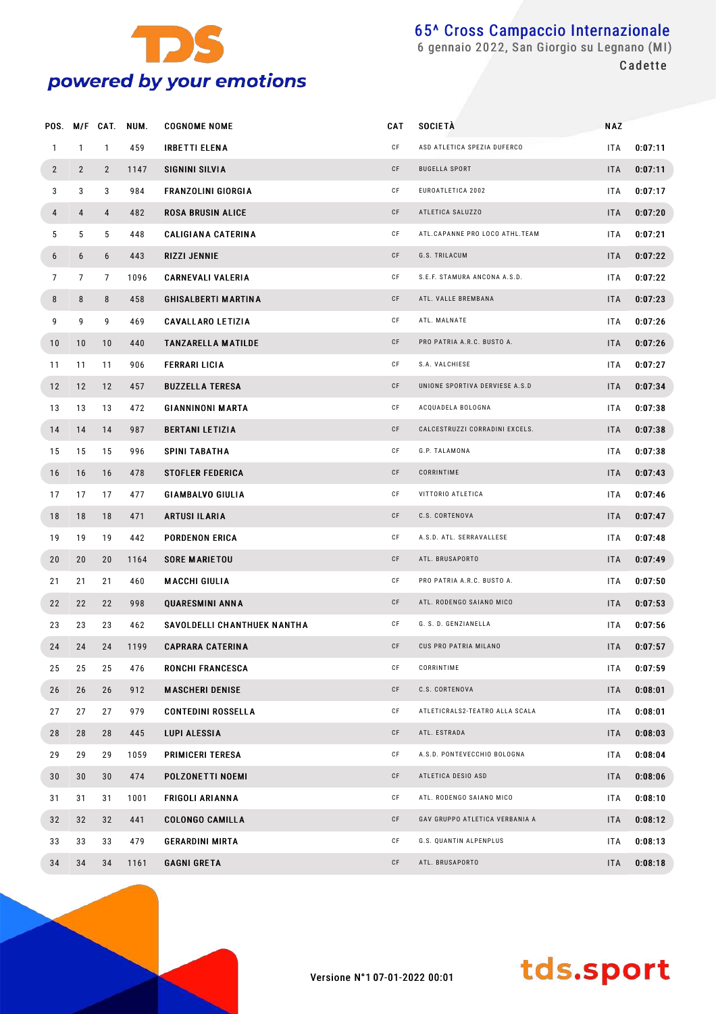

|                |                | POS. M/F CAT.  | NUM. | <b>COGNOME NOME</b>         | CAT | <b>SOCIETÀ</b>                 | <b>NAZ</b> |         |
|----------------|----------------|----------------|------|-----------------------------|-----|--------------------------------|------------|---------|
| $\mathbf{1}$   | $\mathbf{1}$   | $\mathbf{1}$   | 459  | <b>IRBETTI ELENA</b>        | СF  | ASD ATLETICA SPEZIA DUFERCO    | <b>ITA</b> | 0:07:11 |
| $\overline{2}$ | $\overline{2}$ | $\overline{2}$ | 1147 | SIGNINI SILVIA              | CF  | <b>BUGELLA SPORT</b>           | <b>ITA</b> | 0:07:11 |
| 3              | 3              | 3              | 984  | <b>FRANZOLINI GIORGIA</b>   | СF  | EUROATLETICA 2002              | ITA        | 0:07:17 |
| 4              | 4              | 4              | 482  | <b>ROSA BRUSIN ALICE</b>    | CF  | ATLETICA SALUZZO               | <b>ITA</b> | 0:07:20 |
| 5              | 5              | 5              | 448  | <b>CALIGIANA CATERINA</b>   | CF  | ATL.CAPANNE PRO LOCO ATHL.TEAM | ITA        | 0:07:21 |
| 6              | 6              | 6              | 443  | RIZZI JENNIE                | CF  | G.S. TRILACUM                  | <b>ITA</b> | 0:07:22 |
| $\overline{7}$ | $\overline{7}$ | 7              | 1096 | <b>CARNEVALI VALERIA</b>    | CF  | S.E.F. STAMURA ANCONA A.S.D.   | <b>ITA</b> | 0:07:22 |
| 8              | 8              | 8              | 458  | <b>GHISALBERTI MARTINA</b>  | CF  | ATL. VALLE BREMBANA            | <b>ITA</b> | 0:07:23 |
| 9              | 9              | 9              | 469  | <b>CAVALLARO LETIZIA</b>    | CF  | ATL. MALNATE                   | ITA        | 0:07:26 |
| 10             | 10             | 10             | 440  | <b>TANZARELLA MATILDE</b>   | CF  | PRO PATRIA A.R.C. BUSTO A.     | <b>ITA</b> | 0:07:26 |
| 11             | 11             | 11             | 906  | <b>FERRARI LICIA</b>        | CF  | S.A. VALCHIESE                 | ITA        | 0:07:27 |
| 12             | 12             | 12             | 457  | <b>BUZZELLA TERESA</b>      | CF  | UNIONE SPORTIVA DERVIESE A.S.D | <b>ITA</b> | 0:07:34 |
| 13             | 13             | 13             | 472  | <b>GIANNINONI MARTA</b>     | CF  | ACQUADELA BOLOGNA              | ITA        | 0:07:38 |
| 14             | 14             | 14             | 987  | <b>BERTANI LETIZIA</b>      | CF  | CALCESTRUZZI CORRADINI EXCELS. | <b>ITA</b> | 0:07:38 |
| 15             | 15             | 15             | 996  | SPINI TABATHA               | CF  | G.P. TALAMONA                  | ITA        | 0:07:38 |
| 16             | 16             | 16             | 478  | <b>STOFLER FEDERICA</b>     | CF  | CORRINTIME                     | <b>ITA</b> | 0:07:43 |
| 17             | 17             | 17             | 477  | <b>GIAMBALVO GIULIA</b>     | CF  | VITTORIO ATLETICA              | ITA        | 0:07:46 |
| 18             | 18             | 18             | 471  | <b>ARTUSI ILARIA</b>        | CF  | C.S. CORTENOVA                 | <b>ITA</b> | 0:07:47 |
| 19             | 19             | 19             | 442  | PORDENON ERICA              | CF  | A.S.D. ATL. SERRAVALLESE       | ITA        | 0:07:48 |
| 20             | 20             | 20             | 1164 | <b>SORE MARIETOU</b>        | CF  | ATL. BRUSAPORTO                | <b>ITA</b> | 0:07:49 |
| 21             | 21             | 21             | 460  | MACCHI GIULIA               | CF  | PRO PATRIA A.R.C. BUSTO A.     | ITA        | 0:07:50 |
| 22             | 22             | 22             | 998  | <b>QUARESMINI ANNA</b>      | CF  | ATL. RODENGO SAIANO MICO       | <b>ITA</b> | 0:07:53 |
| 23             | 23             | 23             | 462  | SAVOLDELLI CHANTHUEK NANTHA | CF  | G. S. D. GENZIANELLA           | ITA        | 0:07:56 |
| 24             | 24             | 24             | 1199 | <b>CAPRARA CATERINA</b>     | CF  | CUS PRO PATRIA MILANO          | <b>ITA</b> | 0:07:57 |
| 25             | 25             | 25             | 476  | <b>RONCHI FRANCESCA</b>     | СF  | CORRINTIME                     | ITA        | 0:07:59 |
| 26             | 26             | 26             | 912  | <b>MASCHERI DENISE</b>      | CF  | C.S. CORTENOVA                 | <b>ITA</b> | 0:08:01 |
| 27             | 27             | 27             | 979  | <b>CONTEDINI ROSSELLA</b>   | СF  | ATLETICRALS2-TEATRO ALLA SCALA | ITA        | 0:08:01 |
| 28             | 28             | 28             | 445  | LUPI ALESSIA                | CF  | ATL. ESTRADA                   | <b>ITA</b> | 0:08:03 |
| 29             | 29             | 29             | 1059 | <b>PRIMICERI TERESA</b>     | СF  | A.S.D. PONTEVECCHIO BOLOGNA    | ITA        | 0:08:04 |
| 30             | 30             | 30             | 474  | POLZONETTI NOEMI            | CF  | ATLETICA DESIO ASD             | <b>ITA</b> | 0:08:06 |
| 31             | 31             | 31             | 1001 | <b>FRIGOLI ARIANNA</b>      | СF  | ATL. RODENGO SAIANO MICO       | ITA        | 0:08:10 |
| 32             | 32             | 32             | 441  | <b>COLONGO CAMILLA</b>      | CF  | GAV GRUPPO ATLETICA VERBANIA A | <b>ITA</b> | 0:08:12 |
| 33             | 33             | 33             | 479  | <b>GERARDINI MIRTA</b>      | CF  | G.S. QUANTIN ALPENPLUS         | ITA        | 0:08:13 |
| 34             | 34             | 34             | 1161 | GAGNI GRETA                 | CF  | ATL. BRUSAPORTO                | <b>ITA</b> | 0:08:18 |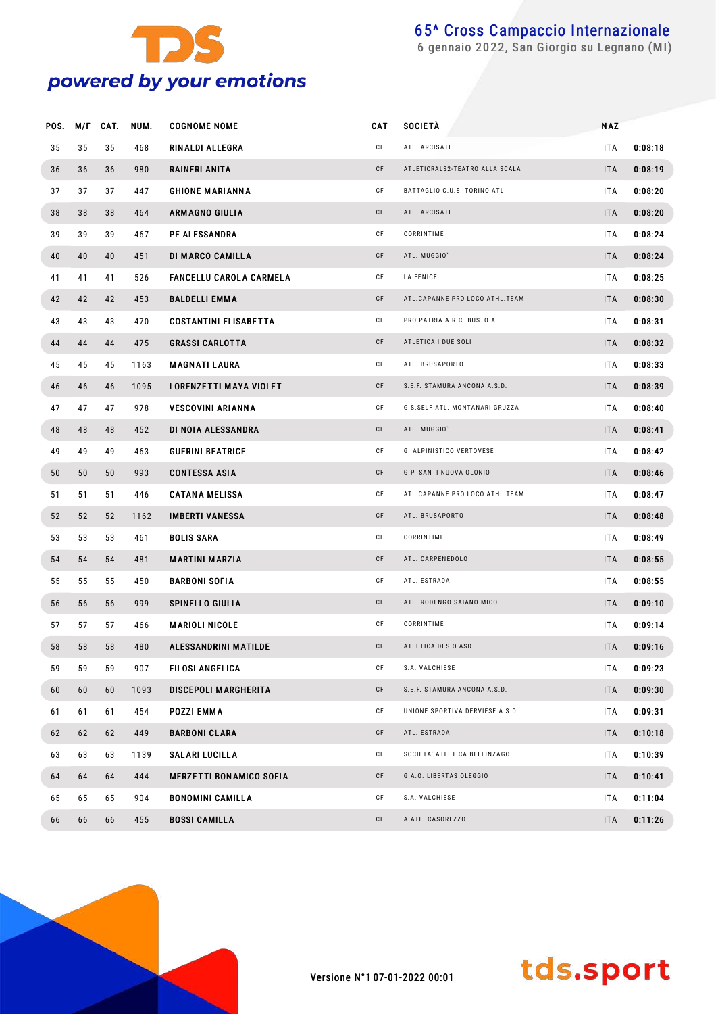

| POS. | M/F | CAT. | NUM. | <b>COGNOME NOME</b>            | <b>CAT</b> | <b>SOCIETÀ</b>                 | <b>NAZ</b> |         |
|------|-----|------|------|--------------------------------|------------|--------------------------------|------------|---------|
| 35   | 35  | 35   | 468  | RINALDI ALLEGRA                | СF         | ATL. ARCISATE                  | <b>ITA</b> | 0:08:18 |
| 36   | 36  | 36   | 980  | RAINERI ANITA                  | CF         | ATLETICRALS2-TEATRO ALLA SCALA | <b>ITA</b> | 0:08:19 |
| 37   | 37  | 37   | 447  | <b>GHIONE MARIANNA</b>         | СF         | BATTAGLIO C.U.S. TORINO ATL    | <b>ITA</b> | 0:08:20 |
| 38   | 38  | 38   | 464  | <b>ARMAGNO GIULIA</b>          | CF         | ATL. ARCISATE                  | <b>ITA</b> | 0:08:20 |
| 39   | 39  | 39   | 467  | <b>PE ALESSANDRA</b>           | СF         | CORRINTIME                     | <b>ITA</b> | 0:08:24 |
| 40   | 40  | 40   | 451  | DI MARCO CAMILLA               | CF         | ATL. MUGGIO'                   | <b>ITA</b> | 0:08:24 |
| 41   | 41  | 41   | 526  | <b>FANCELLU CAROLA CARMELA</b> | СF         | LA FENICE                      | <b>ITA</b> | 0:08:25 |
| 42   | 42  | 42   | 453  | <b>BALDELLI EMMA</b>           | СF         | ATL.CAPANNE PRO LOCO ATHL.TEAM | <b>ITA</b> | 0:08:30 |
| 43   | 43  | 43   | 470  | <b>COSTANTINI ELISABETTA</b>   | СF         | PRO PATRIA A.R.C. BUSTO A.     | <b>ITA</b> | 0:08:31 |
| 44   | 44  | 44   | 475  | <b>GRASSI CARLOTTA</b>         | СF         | ATLETICA I DUE SOLI            | <b>ITA</b> | 0:08:32 |
| 45   | 45  | 45   | 1163 | <b>MAGNATILAURA</b>            | СF         | ATL. BRUSAPORTO                | ITA        | 0:08:33 |
| 46   | 46  | 46   | 1095 | <b>LORENZETTI MAYA VIOLET</b>  | СF         | S.E.F. STAMURA ANCONA A.S.D.   | <b>ITA</b> | 0:08:39 |
| 47   | 47  | 47   | 978  | <b>VESCOVINI ARIANNA</b>       | СF         | G.S.SELF ATL. MONTANARI GRUZZA | <b>ITA</b> | 0:08:40 |
| 48   | 48  | 48   | 452  | DI NOIA ALESSANDRA             | СF         | ATL. MUGGIO'                   | <b>ITA</b> | 0:08:41 |
| 49   | 49  | 49   | 463  | <b>GUERINI BEATRICE</b>        | СF         | G. ALPINISTICO VERTOVESE       | <b>ITA</b> | 0:08:42 |
| 50   | 50  | 50   | 993  | <b>CONTESSA ASIA</b>           | СF         | G.P. SANTI NUOVA OLONIO        | <b>ITA</b> | 0:08:46 |
| 51   | 51  | 51   | 446  | <b>CATANA MELISSA</b>          | СF         | ATL.CAPANNE PRO LOCO ATHL.TEAM | ITA.       | 0:08:47 |
| 52   | 52  | 52   | 1162 | <b>IMBERTI VANESSA</b>         | СF         | ATL. BRUSAPORTO                | <b>ITA</b> | 0:08:48 |
| 53   | 53  | 53   | 461  | <b>BOLIS SARA</b>              | СF         | CORRINTIME                     | ITA        | 0:08:49 |
| 54   | 54  | 54   | 481  | <b>MARTINI MARZIA</b>          | CF         | ATL. CARPENEDOLO               | <b>ITA</b> | 0:08:55 |
| 55   | 55  | 55   | 450  | <b>BARBONI SOFIA</b>           | СF         | ATL. ESTRADA                   | ITA        | 0:08:55 |
| 56   | 56  | 56   | 999  | <b>SPINELLO GIULIA</b>         | СF         | ATL. RODENGO SAIANO MICO       | <b>ITA</b> | 0:09:10 |
| 57   | 57  | 57   | 466  | <b>MARIOLI NICOLE</b>          | СF         | CORRINTIME                     | <b>ITA</b> | 0:09:14 |
| 58   | 58  | 58   | 480  | ALESSANDRINI MATILDE           | СF         | ATLETICA DESIO ASD             | <b>ITA</b> | 0:09:16 |
| 59   | 59  | 59   | 907  | <b>FILOSI ANGELICA</b>         | СF         | S.A. VALCHIESE                 | ITA        | 0:09:23 |
| 60   | 60  | 60   | 1093 | <b>DISCEPOLI MARGHERITA</b>    | СF         | S.E.F. STAMURA ANCONA A.S.D.   | <b>ITA</b> | 0:09:30 |
| 61   | 61  | 61   | 454  | POZZI EMMA                     | СF         | UNIONE SPORTIVA DERVIESE A.S.D | ITA.       | 0:09:31 |
| 62   | 62  | 62   | 449  | <b>BARBONI CLARA</b>           | СF         | ATL. ESTRADA                   | <b>ITA</b> | 0:10:18 |
| 63   | 63  | 63   | 1139 | <b>SALARI LUCILLA</b>          | СF         | SOCIETA' ATLETICA BELLINZAGO   | ITA.       | 0:10:39 |
| 64   | 64  | 64   | 444  | <b>MERZETTI BONAMICO SOFIA</b> | CF         | G.A.O. LIBERTAS OLEGGIO        | <b>ITA</b> | 0:10:41 |
| 65   | 65  | 65   | 904  | <b>BONOMINI CAMILLA</b>        | СF         | S.A. VALCHIESE                 | ITA        | 0:11:04 |
| 66   | 66  | 66   | 455  | <b>BOSSI CAMILLA</b>           | СF         | A.ATL. CASOREZZO               | <b>ITA</b> | 0:11:26 |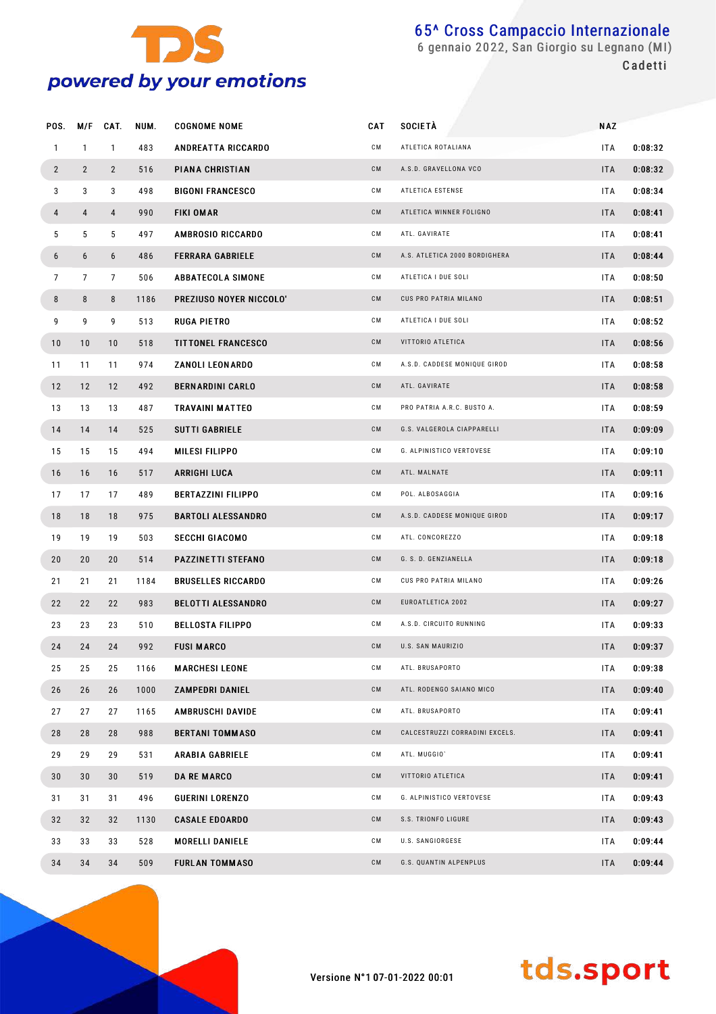

 gennaio 2022, San Giorgio su Legnano (MI) **Cadetti** 

| POS.           | M/F            | CAT.           | NUM. | <b>COGNOME NOME</b>       | CAT | <b>SOCIETA</b>                 | <b>NAZ</b> |         |
|----------------|----------------|----------------|------|---------------------------|-----|--------------------------------|------------|---------|
| $\mathbf{1}$   | $\mathbf{1}$   | $\mathbf{1}$   | 483  | <b>ANDREATTA RICCARDO</b> | СM  | ATLETICA ROTALIANA             | ITA.       | 0:08:32 |
| $\mathbf{2}$   | $\overline{2}$ | $\overline{2}$ | 516  | PIANA CHRISTIAN           | CM  | A.S.D. GRAVELLONA VCO          | <b>ITA</b> | 0:08:32 |
| 3              | 3              | 3              | 498  | <b>BIGONI FRANCESCO</b>   | СM  | ATLETICA ESTENSE               | ITA.       | 0:08:34 |
| 4              | 4              | $\overline{4}$ | 990  | <b>FIKI OMAR</b>          | CM  | ATLETICA WINNER FOLIGNO        | <b>ITA</b> | 0:08:41 |
| 5              | 5              | 5              | 497  | <b>AMBROSIO RICCARDO</b>  | СM  | ATL. GAVIRATE                  | ITA.       | 0:08:41 |
| 6              | 6              | 6              | 486  | <b>FERRARA GABRIELE</b>   | CM  | A.S. ATLETICA 2000 BORDIGHERA  | <b>ITA</b> | 0:08:44 |
| $\overline{7}$ | $\overline{7}$ | $7^{\circ}$    | 506  | <b>ABBATECOLA SIMONE</b>  | СM  | ATLETICA I DUE SOLI            | ITA.       | 0:08:50 |
| 8              | 8              | 8              | 1186 | PREZIUSO NOYER NICCOLO'   | CМ  | CUS PRO PATRIA MILANO          | <b>ITA</b> | 0:08:51 |
| 9              | 9              | 9              | 513  | RUGA PIETRO               | СM  | ATLETICA I DUE SOLI            | ITA.       | 0:08:52 |
| 10             | 10             | 10             | 518  | <b>TITTONEL FRANCESCO</b> | CM  | VITTORIO ATLETICA              | <b>ITA</b> | 0:08:56 |
| 11             | 11             | 11             | 974  | ZANOLI LEONARDO           | СM  | A.S.D. CADDESE MONIQUE GIROD   | ITA.       | 0:08:58 |
| 12             | 12             | 12             | 492  | <b>BERNARDINI CARLO</b>   | CM  | ATL. GAVIRATE                  | <b>ITA</b> | 0:08:58 |
| 13             | 13             | 13             | 487  | TRAVAINI MATTEO           | СM  | PRO PATRIA A.R.C. BUSTO A.     | ITA.       | 0:08:59 |
| 14             | 14             | 14             | 525  | <b>SUTTI GABRIELE</b>     | CM  | G.S. VALGEROLA CIAPPARELLI     | <b>ITA</b> | 0:09:09 |
| 15             | 15             | 15             | 494  | MILESI FILIPPO            | СM  | G. ALPINISTICO VERTOVESE       | ITA.       | 0:09:10 |
| 16             | 16             | 16             | 517  | ARRIGHI LUCA              | CM  | ATL. MALNATE                   | <b>ITA</b> | 0:09:11 |
| 17             | 17             | 17             | 489  | <b>BERTAZZINI FILIPPO</b> | СM  | POL. ALBOSAGGIA                | ITA.       | 0:09:16 |
| 18             | 18             | 18             | 975  | <b>BARTOLI ALESSANDRO</b> | CM  | A.S.D. CADDESE MONIQUE GIROD   | <b>ITA</b> | 0:09:17 |
| 19             | 19             | 19             | 503  | <b>SECCHI GIACOMO</b>     | СM  | ATL. CONCOREZZO                | ITA.       | 0:09:18 |
| 20             | 20             | 20             | 514  | PAZZINETTI STEFANO        | CM  | G. S. D. GENZIANELLA           | <b>ITA</b> | 0:09:18 |
| 21             | 21             | 21             | 1184 | <b>BRUSELLES RICCARDO</b> | СM  | CUS PRO PATRIA MILANO          | ITA.       | 0:09:26 |
| 22             | 22             | 22             | 983  | <b>BELOTTI ALESSANDRO</b> | CM  | EUROATLETICA 2002              | <b>ITA</b> | 0:09:27 |
| 23             | 23             | 23             | 510  | <b>BELLOSTA FILIPPO</b>   | CМ  | A.S.D. CIRCUITO RUNNING        | ITA.       | 0:09:33 |
| 24             | 24             | 24             | 992  | <b>FUSI MARCO</b>         | CM  | U.S. SAN MAURIZIO              | <b>ITA</b> | 0:09:37 |
| 25             | 25             | 25             | 1166 | <b>MARCHESI LEONE</b>     | CМ  | ATL. BRUSAPORTO                | ITA.       | 0:09:38 |
| 26             | 26             | 26             | 1000 | <b>ZAMPEDRI DANIEL</b>    | CM  | ATL. RODENGO SAIANO MICO       | <b>ITA</b> | 0:09:40 |
| 27             | 27             | 27             | 1165 | <b>AMBRUSCHI DAVIDE</b>   | CМ  | ATL. BRUSAPORTO                | ITA.       | 0:09:41 |
| 28             | 28             | 28             | 988  | <b>BERTANI TOMMASO</b>    | CM  | CALCESTRUZZI CORRADINI EXCELS. | <b>ITA</b> | 0:09:41 |
| 29             | 29             | 29             | 531  | <b>ARABIA GABRIELE</b>    | CМ  | ATL. MUGGIO'                   | ITA.       | 0:09:41 |
| 30             | 30             | 30             | 519  | <b>DA RE MARCO</b>        | CM  | VITTORIO ATLETICA              | <b>ITA</b> | 0:09:41 |
| 31             | 31             | 31             | 496  | <b>GUERINI LORENZO</b>    | CМ  | G. ALPINISTICO VERTOVESE       | ITA.       | 0:09:43 |
| 32             | 32             | 32             | 1130 | <b>CASALE EDOARDO</b>     | CM  | S.S. TRIONFO LIGURE            | <b>ITA</b> | 0:09:43 |
| 33             | 33             | 33             | 528  | <b>MORELLI DANIELE</b>    | CМ  | U.S. SANGIORGESE               | ITA.       | 0:09:44 |
| 34             | 34             | 34             | 509  | <b>FURLAN TOMMASO</b>     | CM  | G.S. QUANTIN ALPENPLUS         | <b>ITA</b> | 0:09:44 |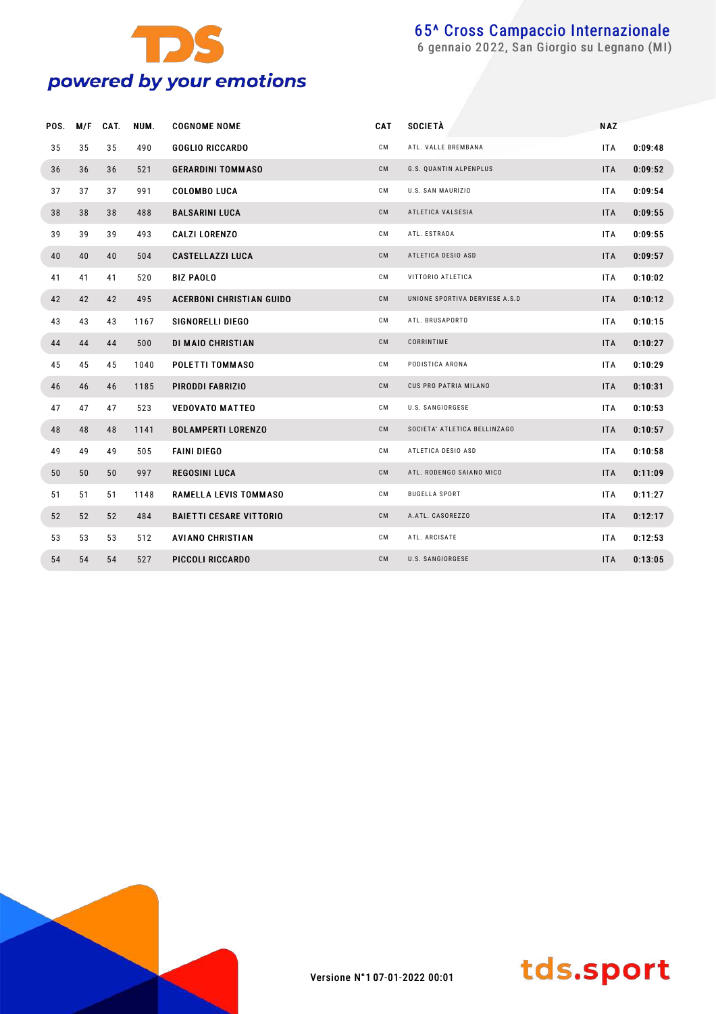

| POS. | M/F | CAT. | NUM. | <b>COGNOME NOME</b>             | CAT | <b>SOCIETÀ</b>                 | <b>NAZ</b> |         |
|------|-----|------|------|---------------------------------|-----|--------------------------------|------------|---------|
| 35   | 35  | 35   | 490  | <b>GOGLIO RICCARDO</b>          | СM  | ATL. VALLE BREMBANA            | <b>ITA</b> | 0:09:48 |
| 36   | 36  | 36   | 521  | <b>GERARDINI TOMMASO</b>        | CM  | G.S. QUANTIN ALPENPLUS         | <b>ITA</b> | 0:09:52 |
| 37   | 37  | 37   | 991  | <b>COLOMBO LUCA</b>             | CМ  | U.S. SAN MAURIZIO              | ITA.       | 0:09:54 |
| 38   | 38  | 38   | 488  | <b>BALSARINI LUCA</b>           | CM  | ATLETICA VALSESIA              | <b>ITA</b> | 0:09:55 |
| 39   | 39  | 39   | 493  | <b>CALZI LORENZO</b>            | СM  | ATL. ESTRADA                   | <b>ITA</b> | 0:09:55 |
| 40   | 40  | 40   | 504  | <b>CASTELLAZZI LUCA</b>         | CM  | ATLETICA DESIO ASD             | <b>ITA</b> | 0:09:57 |
| 41   | 41  | 41   | 520  | <b>BIZ PAOLO</b>                | СM  | VITTORIO ATLETICA              | <b>ITA</b> | 0:10:02 |
| 42   | 42  | 42   | 495  | <b>ACERBONI CHRISTIAN GUIDO</b> | CM  | UNIONE SPORTIVA DERVIESE A.S.D | <b>ITA</b> | 0:10:12 |
| 43   | 43  | 43   | 1167 | SIGNORELLI DIEGO                | СM  | ATL. BRUSAPORTO                | <b>ITA</b> | 0:10:15 |
| 44   | 44  | 44   | 500  | DI MAIO CHRISTIAN               | CM  | CORRINTIME                     | <b>ITA</b> | 0:10:27 |
| 45   | 45  | 45   | 1040 | POLETTI TOMMASO                 | СM  | PODISTICA ARONA                | <b>ITA</b> | 0:10:29 |
| 46   | 46  | 46   | 1185 | PIRODDI FABRIZIO                | CM  | CUS PRO PATRIA MILANO          | <b>ITA</b> | 0:10:31 |
| 47   | 47  | 47   | 523  | <b>VEDOVATO MATTEO</b>          | СM  | U.S. SANGIORGESE               | <b>ITA</b> | 0:10:53 |
| 48   | 48  | 48   | 1141 | <b>BOLAMPERTI LORENZO</b>       | CM  | SOCIETA' ATLETICA BELLINZAGO   | <b>ITA</b> | 0:10:57 |
| 49   | 49  | 49   | 505  | <b>FAINI DIEGO</b>              | СM  | ATLETICA DESIO ASD             | <b>ITA</b> | 0:10:58 |
| 50   | 50  | 50   | 997  | <b>REGOSINI LUCA</b>            | CM  | ATL. RODENGO SAIANO MICO       | <b>ITA</b> | 0:11:09 |
| 51   | 51  | 51   | 1148 | RAMELLA LEVIS TOMMASO           | СM  | <b>BUGELLA SPORT</b>           | ITA        | 0:11:27 |
| 52   | 52  | 52   | 484  | <b>BAIETTI CESARE VITTORIO</b>  | CМ  | A.ATL. CASOREZZO               | <b>ITA</b> | 0:12:17 |
| 53   | 53  | 53   | 512  | <b>AVIANO CHRISTIAN</b>         | CМ  | ATL. ARCISATE                  | <b>ITA</b> | 0:12:53 |
| 54   | 54  | 54   | 527  | PICCOLI RICCARDO                | CM  | U.S. SANGIORGESE               | <b>ITA</b> | 0:13:05 |



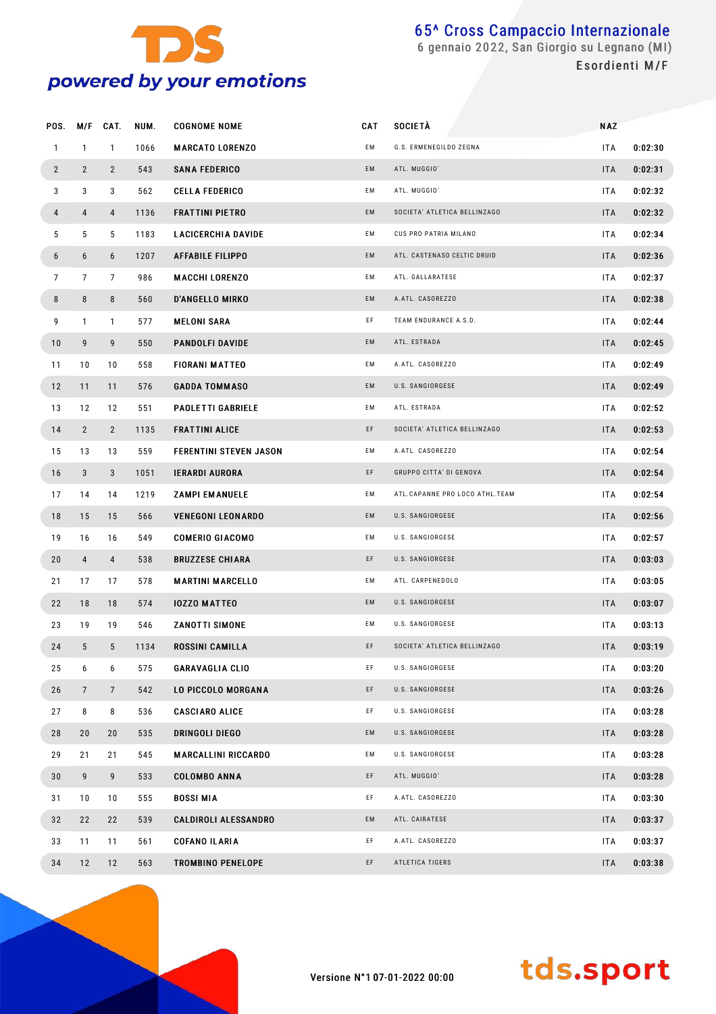

| POS.           | M/F             | CAT.            | NUM. | <b>COGNOME NOME</b>           | CAT | <b>SOCIETA</b>                 | <b>NAZ</b> |         |
|----------------|-----------------|-----------------|------|-------------------------------|-----|--------------------------------|------------|---------|
| $\mathbf{1}$   | $\mathbf{1}$    | $\mathbf{1}$    | 1066 | <b>MARCATO LORENZO</b>        | ЕM  | G.S. ERMENEGILDO ZEGNA         | ITA.       | 0:02:30 |
| $\overline{2}$ | $\overline{2}$  | $\overline{2}$  | 543  | <b>SANA FEDERICO</b>          | EM  | ATL. MUGGIO'                   | <b>ITA</b> | 0:02:31 |
| 3              | 3               | 3               | 562  | <b>CELLA FEDERICO</b>         | EM  | ATL. MUGGIO'                   | ITA        | 0:02:32 |
| 4              | 4               | $\overline{4}$  | 1136 | <b>FRATTINI PIETRO</b>        | EM  | SOCIETA' ATLETICA BELLINZAGO   | <b>ITA</b> | 0:02:32 |
| 5              | 5               | 5               | 1183 | <b>LACICERCHIA DAVIDE</b>     | EM  | CUS PRO PATRIA MILANO          | ITA        | 0:02:34 |
| 6              | 6               | 6               | 1207 | <b>AFFABILE FILIPPO</b>       | EM  | ATL. CASTENASO CELTIC DRUID    | <b>ITA</b> | 0:02:36 |
| $\overline{7}$ | 7               | $\overline{7}$  | 986  | <b>MACCHI LORENZO</b>         | EM  | ATL. GALLARATESE               | ITA        | 0:02:37 |
| 8              | 8               | 8               | 560  | <b>D'ANGELLO MIRKO</b>        | EM  | A.ATL. CASOREZZO               | <b>ITA</b> | 0:02:38 |
| 9              | $\mathbf{1}$    | $\mathbf{1}$    | 577  | <b>MELONI SARA</b>            | EF  | TEAM ENDURANCE A.S.D.          | ITA        | 0:02:44 |
| 10             | 9               | 9               | 550  | <b>PANDOLFI DAVIDE</b>        | EM  | ATL. ESTRADA                   | <b>ITA</b> | 0:02:45 |
| 11             | 10              | 10              | 558  | <b>FIORANI MATTEO</b>         | EM  | A.ATL. CASOREZZO               | ITA        | 0:02:49 |
| 12             | 11              | 11              | 576  | <b>GADDA TOMMASO</b>          | EM  | U.S. SANGIORGESE               | <b>ITA</b> | 0:02:49 |
| 13             | 12              | 12              | 551  | <b>PAOLETTI GABRIELE</b>      | EM  | ATL. ESTRADA                   | ITA        | 0:02:52 |
| 14             | $\overline{2}$  | $\overline{2}$  | 1135 | <b>FRATTINI ALICE</b>         | EF  | SOCIETA' ATLETICA BELLINZAGO   | <b>ITA</b> | 0:02:53 |
| 15             | 13              | 13              | 559  | <b>FERENTINI STEVEN JASON</b> | EM  | A.ATL. CASOREZZO               | ITA        | 0:02:54 |
| 16             | 3               | 3               | 1051 | <b>IERARDI AURORA</b>         | EF  | GRUPPO CITTA' DI GENOVA        | <b>ITA</b> | 0:02:54 |
| 17             | 14              | 14              | 1219 | <b>ZAMPI EMANUELE</b>         | EM  | ATL.CAPANNE PRO LOCO ATHL.TEAM | ITA        | 0:02:54 |
| 18             | 15              | 15              | 566  | <b>VENEGONI LEONARDO</b>      | EM  | U.S. SANGIORGESE               | <b>ITA</b> | 0:02:56 |
| 19             | 16              | 16              | 549  | <b>COMERIO GIACOMO</b>        | ЕM  | U.S. SANGIORGESE               | ITA        | 0:02:57 |
| 20             | $\overline{4}$  | $\overline{4}$  | 538  | <b>BRUZZESE CHIARA</b>        | EF  | U.S. SANGIORGESE               | <b>ITA</b> | 0:03:03 |
| 21             | 17              | 17              | 578  | <b>MARTINI MARCELLO</b>       | ЕM  | ATL. CARPENEDOLO               | ITA        | 0:03:05 |
| 22             | 18              | 18              | 574  | <b>IOZZO MATTEO</b>           | EM  | U.S. SANGIORGESE               | <b>ITA</b> | 0:03:07 |
| 23             | 19              | 19              | 546  | <b>ZANOTTI SIMONE</b>         | ЕM  | U.S. SANGIORGESE               | ITA        | 0:03:13 |
| 24             | 5               | $5\phantom{.0}$ | 1134 | <b>ROSSINI CAMILLA</b>        | EF  | SOCIETA' ATLETICA BELLINZAGO   | <b>ITA</b> | 0:03:19 |
| 25             | 6               | 6               | 575  | <b>GARAVAGLIA CLIO</b>        | EF  | U.S. SANGIORGESE               | <b>ITA</b> | 0:03:20 |
| 26             | $7\overline{ }$ | $7\phantom{.0}$ | 542  | LO PICCOLO MORGANA            | EF  | U.S. SANGIORGESE               | <b>ITA</b> | 0:03:26 |
| 27             | 8               | 8               | 536  | <b>CASCIARO ALICE</b>         | EF  | U.S. SANGIORGESE               | ITA.       | 0:03:28 |
| 28             | 20              | 20              | 535  | DRINGOLI DIEGO                | EM  | U.S. SANGIORGESE               | <b>ITA</b> | 0:03:28 |
| 29             | 21              | 21              | 545  | <b>MARCALLINI RICCARDO</b>    | EM  | U.S. SANGIORGESE               | ITA.       | 0:03:28 |
| 30             | 9               | 9               | 533  | <b>COLOMBO ANNA</b>           | EF  | ATL. MUGGIO'                   | <b>ITA</b> | 0:03:28 |
| 31             | 10              | 10              | 555  | <b>BOSSIMIA</b>               | EF  | A.ATL. CASOREZZO               | ITA.       | 0:03:30 |
| 32             | 22              | 22              | 539  | <b>CALDIROLI ALESSANDRO</b>   | EM  | ATL. CAIRATESE                 | <b>ITA</b> | 0:03:37 |
| 33             | 11              | 11              | 561  | <b>COFANO ILARIA</b>          | EF  | A.ATL. CASOREZZO               | ITA.       | 0:03:37 |
| 34             | 12              | 12              | 563  | TROMBINO PENELOPE             | EF  | ATLETICA TIGERS                | <b>ITA</b> | 0:03:38 |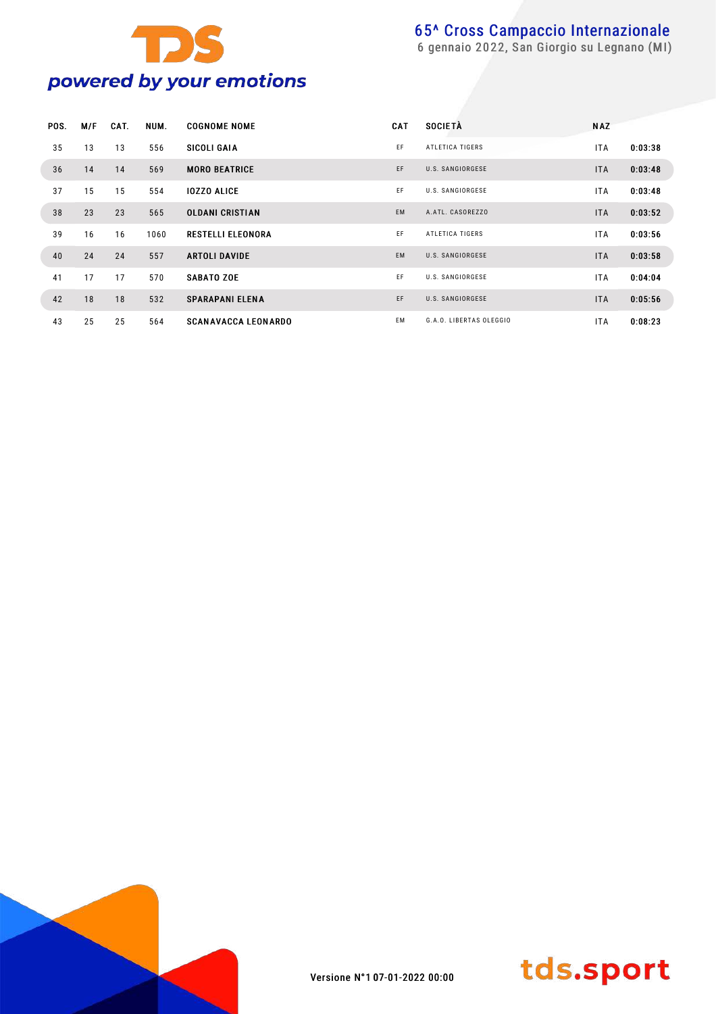

| POS. | M/F | CAT. | NUM. | <b>COGNOME NOME</b>        | <b>CAT</b> | <b>SOCIETÀ</b>          | <b>NAZ</b> |         |
|------|-----|------|------|----------------------------|------------|-------------------------|------------|---------|
| 35   | 13  | 13   | 556  | SICOLI GAIA                | EF         | ATLETICA TIGERS         | <b>ITA</b> | 0:03:38 |
| 36   | 14  | 14   | 569  | <b>MORO BEATRICE</b>       | EF         | U.S. SANGIORGESE        | <b>ITA</b> | 0:03:48 |
| 37   | 15  | 15   | 554  | <b>IOZZO ALICE</b>         | EF         | U.S. SANGIORGESE        | <b>ITA</b> | 0:03:48 |
| 38   | 23  | 23   | 565  | <b>OLDANI CRISTIAN</b>     | <b>EM</b>  | A.ATL. CASOREZZO        | <b>ITA</b> | 0:03:52 |
| 39   | 16  | 16   | 1060 | <b>RESTELLI ELEONORA</b>   | EF         | ATLETICA TIGERS         | <b>ITA</b> | 0:03:56 |
| 40   | 24  | 24   | 557  | <b>ARTOLI DAVIDE</b>       | <b>EM</b>  | U.S. SANGIORGESE        | <b>ITA</b> | 0:03:58 |
| 41   | 17  | 17   | 570  | <b>SABATO ZOE</b>          | EF         | U.S. SANGIORGESE        | <b>ITA</b> | 0:04:04 |
| 42   | 18  | 18   | 532  | <b>SPARAPANI ELENA</b>     | EF         | U.S. SANGIORGESE        | <b>ITA</b> | 0:05:56 |
| 43   | 25  | 25   | 564  | <b>SCANAVACCA LEONARDO</b> | EM         | G.A.O. LIBERTAS OLEGGIO | <b>ITA</b> | 0:08:23 |



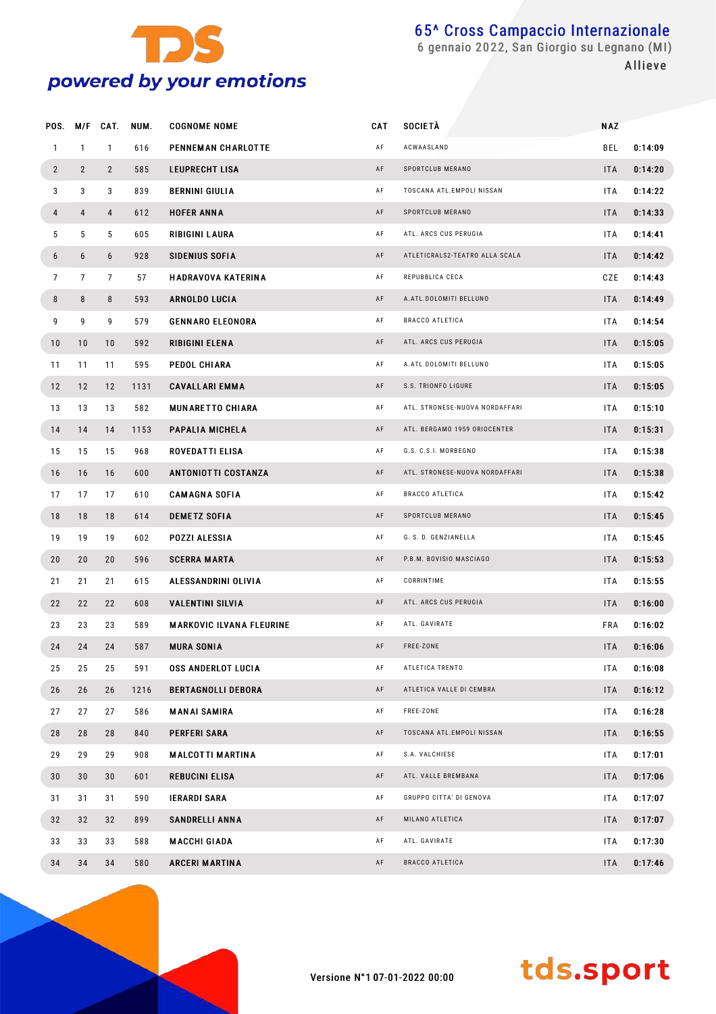

Allieve

| POS.            | M/F            | CAT.           | NUM. | <b>COGNOME NOME</b>             | CAT | <b>SOCIETÀ</b>                 | <b>NAZ</b> |         |  |
|-----------------|----------------|----------------|------|---------------------------------|-----|--------------------------------|------------|---------|--|
| $\mathbf{1}$    | $\mathbf{1}$   | $\mathbf{1}$   | 616  | PENNEMAN CHARLOTTE              | AF  | ACWAASLAND                     | BEL        | 0:14:09 |  |
| $\overline{2}$  | $\overline{2}$ | $\overline{2}$ | 585  | <b>LEUPRECHT LISA</b>           | AF  | SPORTCLUB MERANO               | <b>ITA</b> | 0:14:20 |  |
| 3               | 3              | 3              | 839  | <b>BERNINI GIULIA</b>           | AF  | TOSCANA ATL.EMPOLI NISSAN      | ITA        | 0:14:22 |  |
| 4               | 4              | $\overline{4}$ | 612  | <b>HOFER ANNA</b>               | AF  | SPORTCLUB MERANO               | <b>ITA</b> | 0:14:33 |  |
| 5               | 5              | 5              | 605  | RIBIGINI LAURA                  | AF  | ATL. ARCS CUS PERUGIA          | ITA        | 0:14:41 |  |
| 6               | 6              | 6              | 928  | <b>SIDENIUS SOFIA</b>           | AF  | ATLETICRALS2-TEATRO ALLA SCALA | <b>ITA</b> | 0:14:42 |  |
| $\overline{7}$  | $\overline{7}$ | 7              | 57   | <b>HADRAVOVA KATERINA</b>       | AF  | REPUBBLICA CECA                | CZE        | 0:14:43 |  |
| 8               | 8              | 8              | 593  | <b>ARNOLDO LUCIA</b>            | AF  | A.ATL.DOLOMITI BELLUNO         | <b>ITA</b> | 0:14:49 |  |
| 9               | 9              | 9              | 579  | <b>GENNARO ELEONORA</b>         | AF  | <b>BRACCO ATLETICA</b>         | ITA        | 0:14:54 |  |
| 10              | 10             | 10             | 592  | RIBIGINI ELENA                  | AF  | ATL. ARCS CUS PERUGIA          | <b>ITA</b> | 0:15:05 |  |
| 11              | 11             | 11             | 595  | PEDOL CHIARA                    | AF  | A.ATL.DOLOMITI BELLUNO         | ITA        | 0:15:05 |  |
| 12              | 12             | 12             | 1131 | <b>CAVALLARI EMMA</b>           | AF  | S.S. TRIONFO LIGURE            | <b>ITA</b> | 0:15:05 |  |
| 13              | 13             | 13             | 582  | <b>MUNARETTO CHIARA</b>         | AF  | ATL. STRONESE-NUOVA NORDAFFARI | ITA        | 0:15:10 |  |
| 14              | 14             | 14             | 1153 | PAPALIA MICHELA                 | AF  | ATL. BERGAMO 1959 ORIOCENTER   | <b>ITA</b> | 0:15:31 |  |
| 15              | 15             | 15             | 968  | <b>ROVEDATTI ELISA</b>          | AF  | G.S. C.S.I. MORBEGNO           | ITA        | 0:15:38 |  |
| 16              | 16             | 16             | 600  | <b>ANTONIOTTI COSTANZA</b>      | AF  | ATL. STRONESE-NUOVA NORDAFFARI | <b>ITA</b> | 0:15:38 |  |
| 17              | 17             | 17             | 610  | <b>CAMAGNA SOFIA</b>            | AF  | <b>BRACCO ATLETICA</b>         | ITA        | 0:15:42 |  |
| 18              | 18             | 18             | 614  | <b>DEMETZ SOFIA</b>             | AF  | SPORTCLUB MERANO               | <b>ITA</b> | 0:15:45 |  |
| 19              | 19             | 19             | 602  | POZZI ALESSIA                   | AF  | G. S. D. GENZIANELLA           | ITA        | 0:15:45 |  |
| 20              | 20             | 20             | 596  | <b>SCERRA MARTA</b>             | AF  | P.B.M. BOVISIO MASCIAGO        | <b>ITA</b> | 0:15:53 |  |
| 21              | 21             | 21             | 615  | ALESSANDRINI OLIVIA             | AF  | CORRINTIME                     | ITA        | 0:15:55 |  |
| 22              | 22             | 22             | 608  | <b>VALENTINI SILVIA</b>         | AF  | ATL. ARCS CUS PERUGIA          | <b>ITA</b> | 0:16:00 |  |
| 23              | 23             | 23             | 589  | <b>MARKOVIC ILVANA FLEURINE</b> | AF  | ATL. GAVIRATE                  | <b>FRA</b> | 0:16:02 |  |
| 24              | 24             | 24             | 587  | <b>MURA SONIA</b>               | AF  | FREE-ZONE                      | <b>ITA</b> | 0:16:06 |  |
| 25              | 25             | 25             | 591  | <b>OSS ANDERLOT LUCIA</b>       | AF  | ATLETICA TRENTO                | ITA        | 0:16:08 |  |
| 26              | 26             | 26             | 1216 | <b>BERTAGNOLLI DEBORA</b>       | AF  | ATLETICA VALLE DI CEMBRA       | <b>ITA</b> | 0:16:12 |  |
| 27              | 27             | 27             | 586  | <b>MANAI SAMIRA</b>             | AF  | FREE-ZONE                      | ITA        | 0:16:28 |  |
| 28              | 28             | 28             | 840  | <b>PERFERI SARA</b>             | AF  | TOSCANA ATL.EMPOLI NISSAN      | <b>ITA</b> | 0:16:55 |  |
| 29              | 29             | 29             | 908  | <b>MALCOTTI MARTINA</b>         | AF  | S.A. VALCHIESE                 | ITA        | 0:17:01 |  |
| 30 <sub>o</sub> | 30             | 30             | 601  | <b>REBUCINI ELISA</b>           | AF  | ATL. VALLE BREMBANA            | <b>ITA</b> | 0:17:06 |  |
| 31              | 31             | 31             | 590  | <b>IERARDI SARA</b>             | AF  | GRUPPO CITTA' DI GENOVA        | ITA        | 0:17:07 |  |
| 32              | 32             | 32             | 899  | <b>SANDRELLI ANNA</b>           | AF  | MILANO ATLETICA                | <b>ITA</b> | 0:17:07 |  |
| 33              | 33             | 33             | 588  | <b>MACCHI GIADA</b>             | AF  | ATL. GAVIRATE                  | ITA        | 0:17:30 |  |
| 34              | 34             | 34             | 580  | <b>ARCERI MARTINA</b>           | AF  | BRACCO ATLETICA                | <b>ITA</b> | 0:17:46 |  |
|                 |                |                |      |                                 |     |                                |            |         |  |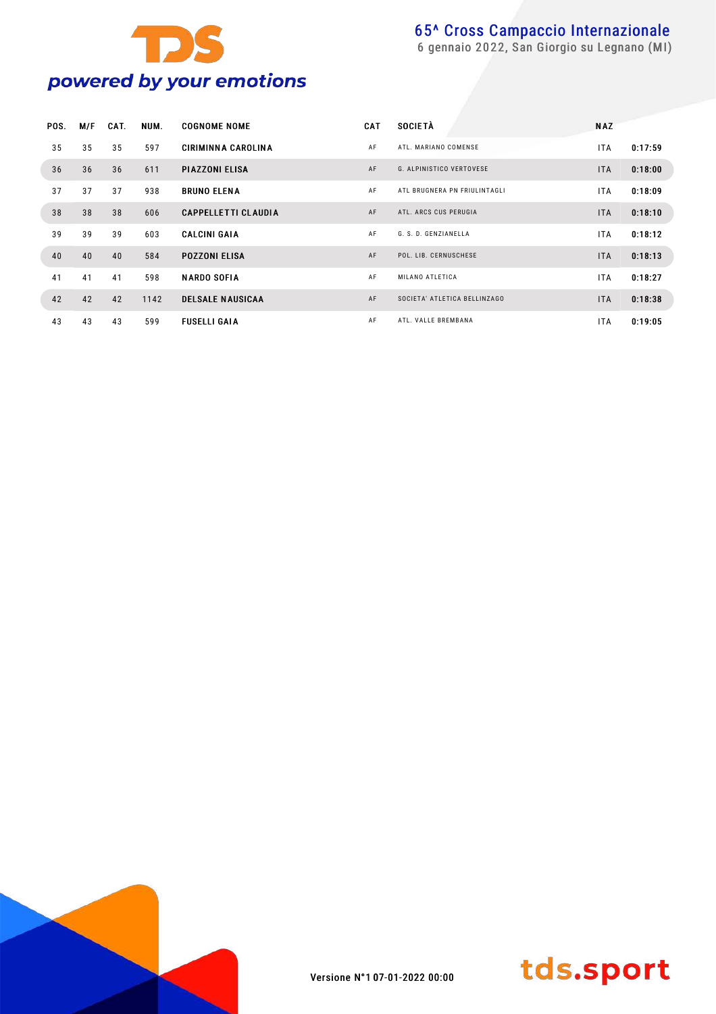

|    | POS.<br>M/F | CAT. | NUM. | <b>COGNOME NOME</b>        | <b>CAT</b> | <b>SOCIETÀ</b>                  | <b>NAZ</b> |         |
|----|-------------|------|------|----------------------------|------------|---------------------------------|------------|---------|
|    | 35<br>35    | 35   | 597  | <b>CIRIMINNA CAROLINA</b>  | AF         | ATL. MARIANO COMENSE            | <b>ITA</b> | 0:17:59 |
|    | 36<br>36    | 36   | 611  | <b>PIAZZONI ELISA</b>      | AF         | <b>G. ALPINISTICO VERTOVESE</b> | <b>ITA</b> | 0:18:00 |
|    | 37<br>37    | 37   | 938  | <b>BRUNO ELENA</b>         | AF         | ATL BRUGNERA PN FRIULINTAGLI    | <b>ITA</b> | 0:18:09 |
|    | 38<br>38    | 38   | 606  | <b>CAPPELLETTI CLAUDIA</b> | AF         | ATL. ARCS CUS PERUGIA           | <b>ITA</b> | 0:18:10 |
|    | 39<br>39    | 39   | 603  | <b>CALCINI GAIA</b>        | AF         | G. S. D. GENZIANELLA            | <b>ITA</b> | 0:18:12 |
|    | 40<br>40    | 40   | 584  | <b>POZZONI ELISA</b>       | AF         | POL. LIB. CERNUSCHESE           | <b>ITA</b> | 0:18:13 |
| 41 | 41          | 41   | 598  | <b>NARDO SOFIA</b>         | AF         | MILANO ATLETICA                 | <b>ITA</b> | 0:18:27 |
|    | 42<br>42    | 42   | 1142 | <b>DELSALE NAUSICAA</b>    | AF         | SOCIETA' ATLETICA BELLINZAGO    | <b>ITA</b> | 0:18:38 |
|    | 43<br>43    | 43   | 599  | <b>FUSELLI GAIA</b>        | AF         | ATL. VALLE BREMBANA             | ITA.       | 0:19:05 |



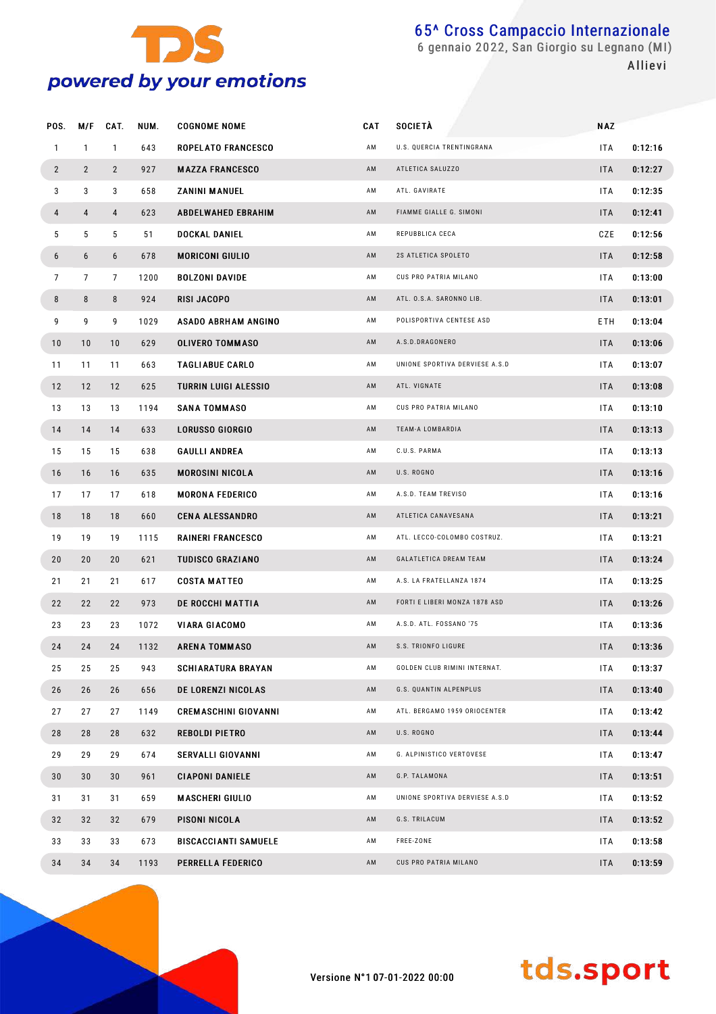

 gennaio 2022, San Giorgio su Legnano (MI) Allievi

| POS.           | M/F            | CAT.           | NUM. | <b>COGNOME NOME</b>         | CAT | <b>SOCIETÀ</b>                 | <b>NAZ</b> |         |
|----------------|----------------|----------------|------|-----------------------------|-----|--------------------------------|------------|---------|
| $\mathbf{1}$   | $\mathbf{1}$   | $\mathbf{1}$   | 643  | <b>ROPELATO FRANCESCO</b>   | ΑM  | U.S. QUERCIA TRENTINGRANA      | ITA.       | 0:12:16 |
| $\mathbf{2}$   | $\overline{2}$ | $\mathbf{2}$   | 927  | <b>MAZZA FRANCESCO</b>      | AM  | ATLETICA SALUZZO               | ITA        | 0:12:27 |
| 3              | 3              | 3              | 658  | <b>ZANINI MANUEL</b>        | ΑM  | ATL. GAVIRATE                  | ITA.       | 0:12:35 |
| 4              | 4              | 4              | 623  | <b>ABDELWAHED EBRAHIM</b>   | AM  | FIAMME GIALLE G. SIMONI        | <b>ITA</b> | 0:12:41 |
| 5              | 5              | 5              | 51   | DOCKAL DANIEL               | ΑM  | REPUBBLICA CECA                | CZE        | 0:12:56 |
| 6              | 6              | 6              | 678  | <b>MORICONI GIULIO</b>      | AM  | 2S ATLETICA SPOLETO            | ITA        | 0:12:58 |
| $\overline{7}$ | $\overline{7}$ | $\overline{7}$ | 1200 | <b>BOLZONI DAVIDE</b>       | AM  | CUS PRO PATRIA MILANO          | ITA.       | 0:13:00 |
| 8              | 8              | 8              | 924  | RISI JACOPO                 | AM  | ATL. O.S.A. SARONNO LIB.       | ITA        | 0:13:01 |
| 9              | 9              | 9              | 1029 | <b>ASADO ABRHAM ANGINO</b>  | AM  | POLISPORTIVA CENTESE ASD       | ETH        | 0:13:04 |
| 10             | 10             | 10             | 629  | <b>OLIVERO TOMMASO</b>      | AM  | A.S.D.DRAGONERO                | <b>ITA</b> | 0:13:06 |
| 11             | 11             | 11             | 663  | <b>TAGLIABUE CARLO</b>      | AM  | UNIONE SPORTIVA DERVIESE A.S.D | ITA.       | 0:13:07 |
| 12             | 12             | 12             | 625  | <b>TURRIN LUIGI ALESSIO</b> | AM  | ATL. VIGNATE                   | <b>ITA</b> | 0:13:08 |
| 13             | 13             | 13             | 1194 | <b>SANA TOMMASO</b>         | AM  | CUS PRO PATRIA MILANO          | ITA        | 0:13:10 |
| 14             | 14             | 14             | 633  | <b>LORUSSO GIORGIO</b>      | AM  | TEAM-A LOMBARDIA               | <b>ITA</b> | 0:13:13 |
| 15             | 15             | 15             | 638  | <b>GAULLI ANDREA</b>        | AM  | C.U.S. PARMA                   | ITA        | 0:13:13 |
| 16             | 16             | 16             | 635  | <b>MOROSINI NICOLA</b>      | AM  | U.S. ROGNO                     | <b>ITA</b> | 0:13:16 |
| 17             | 17             | 17             | 618  | <b>MORONA FEDERICO</b>      | AM  | A.S.D. TEAM TREVISO            | ITA.       | 0:13:16 |
| 18             | 18             | 18             | 660  | <b>CENA ALESSANDRO</b>      | AM  | ATLETICA CANAVESANA            | <b>ITA</b> | 0:13:21 |
| 19             | 19             | 19             | 1115 | <b>RAINERI FRANCESCO</b>    | AM  | ATL. LECCO-COLOMBO COSTRUZ.    | ITA.       | 0:13:21 |
| 20             | 20             | 20             | 621  | <b>TUDISCO GRAZIANO</b>     | AM  | GALATLETICA DREAM TEAM         | ITA        | 0:13:24 |
| 21             | 21             | 21             | 617  | <b>COSTA MATTEO</b>         | AM  | A.S. LA FRATELLANZA 1874       | ITA.       | 0:13:25 |
| 22             | 22             | 22             | 973  | <b>DE ROCCHI MATTIA</b>     | AM  | FORTI E LIBERI MONZA 1878 ASD  | ITA        | 0:13:26 |
| 23             | 23             | 23             | 1072 | <b>VIARA GIACOMO</b>        | AM  | A.S.D. ATL. FOSSANO '75        | ITA.       | 0:13:36 |
| 24             | 24             | 24             | 1132 | <b>ARENA TOMMASO</b>        | AM  | S.S. TRIONFO LIGURE            | ITA        | 0:13:36 |
| 25             | 25             | 25             | 943  | <b>SCHIARATURA BRAYAN</b>   | ΑM  | GOLDEN CLUB RIMINI INTERNAT.   | ITA        | 0:13:37 |
| 26             | 26             | 26             | 656  | DE LORENZI NICOLAS          | AM  | G.S. QUANTIN ALPENPLUS         | <b>ITA</b> | 0:13:40 |
| 27             | 27             | 27             | 1149 | <b>CREMASCHINI GIOVANNI</b> | AM  | ATL. BERGAMO 1959 ORIOCENTER   | ITA.       | 0:13:42 |
| 28             | 28             | 28             | 632  | <b>REBOLDI PIETRO</b>       | AM  | U.S. ROGNO                     | <b>ITA</b> | 0:13:44 |
| 29             | 29             | 29             | 674  | <b>SERVALLI GIOVANNI</b>    | AM  | G. ALPINISTICO VERTOVESE       | ITA.       | 0:13:47 |
| 30             | 30             | 30             | 961  | <b>CIAPONI DANIELE</b>      | AM  | G.P. TALAMONA                  | <b>ITA</b> | 0:13:51 |
| 31             | 31             | 31             | 659  | <b>MASCHERI GIULIO</b>      | AM  | UNIONE SPORTIVA DERVIESE A.S.D | ITA.       | 0:13:52 |
| 32             | 32             | 32             | 679  | PISONI NICOLA               | AM  | G.S. TRILACUM                  | <b>ITA</b> | 0:13:52 |
| 33             | 33             | 33             | 673  | <b>BISCACCIANTI SAMUELE</b> | AM  | FREE-ZONE                      | ITA.       | 0:13:58 |
| 34             | 34             | 34             | 1193 | PERRELLA FEDERICO           | AM  | CUS PRO PATRIA MILANO          | <b>ITA</b> | 0:13:59 |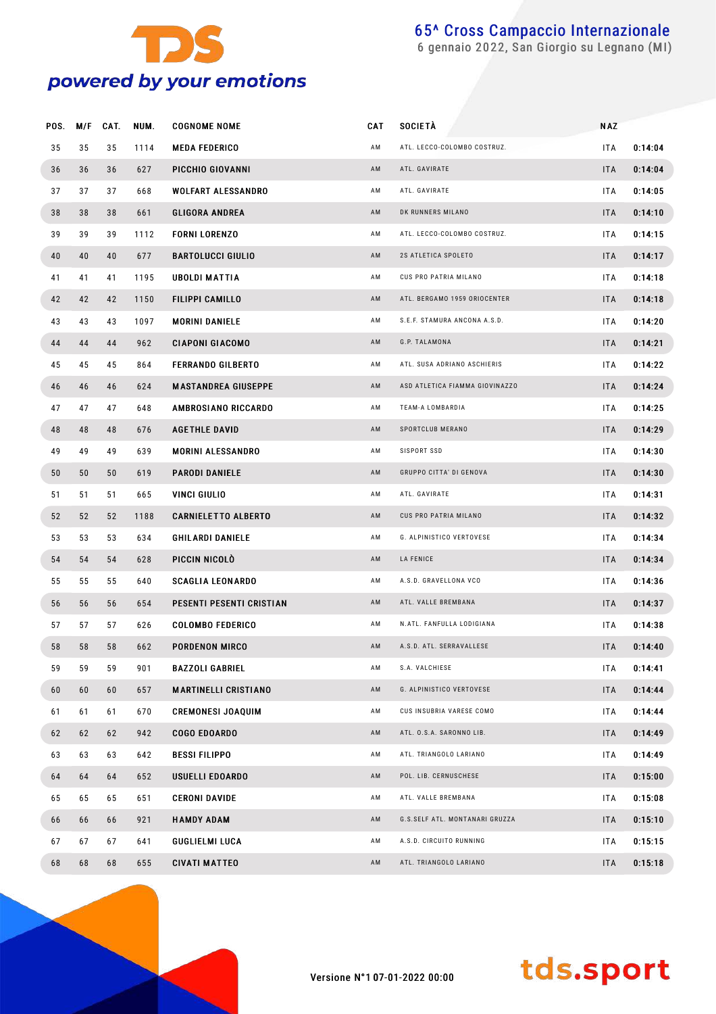

gennaio 2022, San Giorgio su Legnano (MI)

| POS. | M/F | CAT. | NUM. | <b>COGNOME NOME</b>         | CAT | <b>SOCIETÀ</b>                 | <b>NAZ</b> |         |
|------|-----|------|------|-----------------------------|-----|--------------------------------|------------|---------|
| 35   | 35  | 35   | 1114 | <b>MEDA FEDERICO</b>        | AM  | ATL. LECCO-COLOMBO COSTRUZ.    | <b>ITA</b> | 0:14:04 |
| 36   | 36  | 36   | 627  | PICCHIO GIOVANNI            | AM  | ATL. GAVIRATE                  | <b>ITA</b> | 0:14:04 |
| 37   | 37  | 37   | 668  | <b>WOLFART ALESSANDRO</b>   | AM  | ATL. GAVIRATE                  | <b>ITA</b> | 0:14:05 |
| 38   | 38  | 38   | 661  | <b>GLIGORA ANDREA</b>       | AM  | DK RUNNERS MILANO              | <b>ITA</b> | 0:14:10 |
| 39   | 39  | 39   | 1112 | <b>FORNI LORENZO</b>        | AM  | ATL. LECCO-COLOMBO COSTRUZ.    | <b>ITA</b> | 0:14:15 |
| 40   | 40  | 40   | 677  | <b>BARTOLUCCI GIULIO</b>    | AM  | 2S ATLETICA SPOLETO            | <b>ITA</b> | 0:14:17 |
| 41   | 41  | 41   | 1195 | <b>UBOLDI MATTIA</b>        | AM  | CUS PRO PATRIA MILANO          | <b>ITA</b> | 0:14:18 |
| 42   | 42  | 42   | 1150 | <b>FILIPPI CAMILLO</b>      | AM  | ATL. BERGAMO 1959 ORIOCENTER   | <b>ITA</b> | 0:14:18 |
| 43   | 43  | 43   | 1097 | <b>MORINI DANIELE</b>       | AM  | S.E.F. STAMURA ANCONA A.S.D.   | <b>ITA</b> | 0:14:20 |
| 44   | 44  | 44   | 962  | <b>CIAPONI GIACOMO</b>      | AM  | G.P. TALAMONA                  | <b>ITA</b> | 0:14:21 |
| 45   | 45  | 45   | 864  | <b>FERRANDO GILBERTO</b>    | AM  | ATL. SUSA ADRIANO ASCHIERIS    | <b>ITA</b> | 0:14:22 |
| 46   | 46  | 46   | 624  | <b>MASTANDREA GIUSEPPE</b>  | AM  | ASD ATLETICA FIAMMA GIOVINAZZO | <b>ITA</b> | 0:14:24 |
| 47   | 47  | 47   | 648  | AMBROSIANO RICCARDO         | AM  | TEAM-A LOMBARDIA               | <b>ITA</b> | 0:14:25 |
| 48   | 48  | 48   | 676  | <b>AGETHLE DAVID</b>        | AM  | SPORTCLUB MERANO               | <b>ITA</b> | 0:14:29 |
| 49   | 49  | 49   | 639  | <b>MORINI ALESSANDRO</b>    | AM  | SISPORT SSD                    | <b>ITA</b> | 0:14:30 |
| 50   | 50  | 50   | 619  | <b>PARODI DANIELE</b>       | AM  | GRUPPO CITTA' DI GENOVA        | <b>ITA</b> | 0:14:30 |
| 51   | 51  | 51   | 665  | VINCI GIULIO                | AM  | ATL. GAVIRATE                  | <b>ITA</b> | 0:14:31 |
| 52   | 52  | 52   | 1188 | <b>CARNIELETTO ALBERTO</b>  | AM  | CUS PRO PATRIA MILANO          | <b>ITA</b> | 0:14:32 |
| 53   | 53  | 53   | 634  | <b>GHILARDI DANIELE</b>     | AM  | G. ALPINISTICO VERTOVESE       | <b>ITA</b> | 0:14:34 |
| 54   | 54  | 54   | 628  | PICCIN NICOLÒ               | AM  | LA FENICE                      | <b>ITA</b> | 0:14:34 |
| 55   | 55  | 55   | 640  | <b>SCAGLIA LEONARDO</b>     | AM  | A.S.D. GRAVELLONA VCO          | ITA        | 0:14:36 |
| 56   | 56  | 56   | 654  | PESENTI PESENTI CRISTIAN    | AM  | ATL. VALLE BREMBANA            | <b>ITA</b> | 0:14:37 |
| 57   | 57  | 57   | 626  | <b>COLOMBO FEDERICO</b>     | AM  | N.ATL. FANFULLA LODIGIANA      | <b>ITA</b> | 0:14:38 |
| 58   | 58  | 58   | 662  | <b>PORDENON MIRCO</b>       | AM  | A.S.D. ATL. SERRAVALLESE       | <b>ITA</b> | 0:14:40 |
| 59   | 59  | 59   | 901  | <b>BAZZOLI GABRIEL</b>      | AM  | S.A. VALCHIESE                 | ITA        | 0:14:41 |
| 60   | 60  | 60   | 657  | <b>MARTINELLI CRISTIANO</b> | AM  | G. ALPINISTICO VERTOVESE       | <b>ITA</b> | 0:14:44 |
| 61   | 61  | 61   | 670  | <b>CREMONESI JOAQUIM</b>    | AM  | CUS INSUBRIA VARESE COMO       | ITA        | 0:14:44 |
| 62   | 62  | 62   | 942  | <b>COGO EDOARDO</b>         | AM  | ATL. O.S.A. SARONNO LIB.       | <b>ITA</b> | 0:14:49 |
| 63   | 63  | 63   | 642  | <b>BESSI FILIPPO</b>        | AM  | ATL. TRIANGOLO LARIANO         | <b>ITA</b> | 0:14:49 |
| 64   | 64  | 64   | 652  | USUELLI EDOARDO             | AM  | POL. LIB. CERNUSCHESE          | <b>ITA</b> | 0:15:00 |
| 65   | 65  | 65   | 651  | <b>CERONI DAVIDE</b>        | AM  | ATL. VALLE BREMBANA            | <b>ITA</b> | 0:15:08 |
| 66   | 66  | 66   | 921  | <b>HAMDY ADAM</b>           | AM  | G.S.SELF ATL. MONTANARI GRUZZA | <b>ITA</b> | 0:15:10 |
| 67   | 67  | 67   | 641  | <b>GUGLIELMI LUCA</b>       | AM  | A.S.D. CIRCUITO RUNNING        | ITA        | 0:15:15 |
| 68   | 68  | 68   | 655  | <b>CIVATI MATTEO</b>        | AM  | ATL. TRIANGOLO LARIANO         | <b>ITA</b> | 0:15:18 |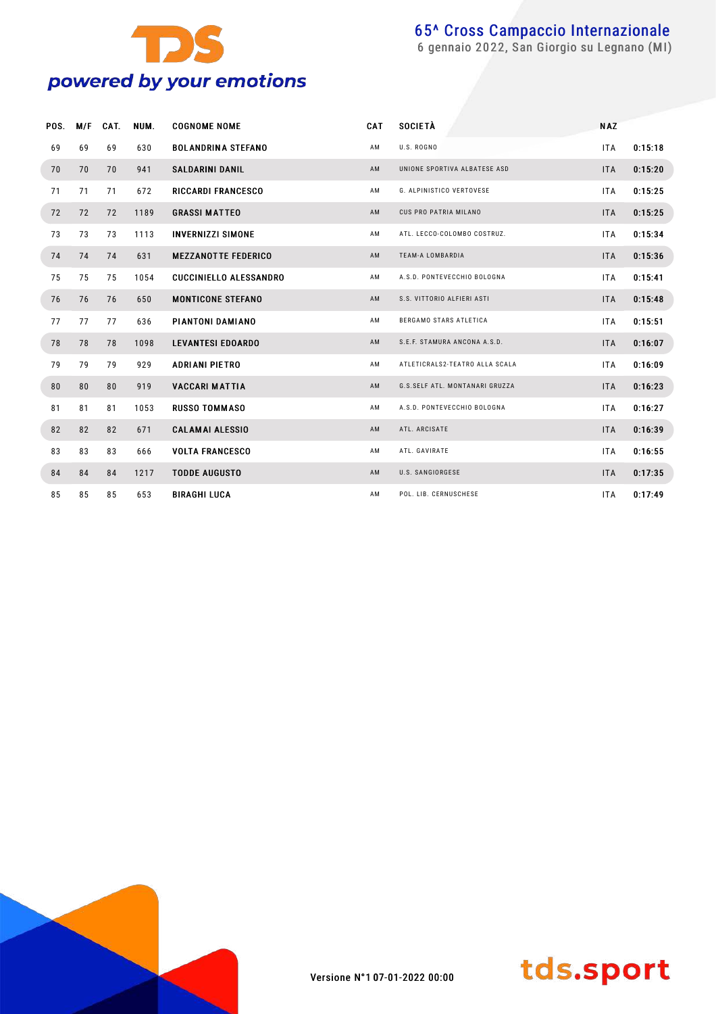

| POS. | M/F | CAT. | NUM. | <b>COGNOME NOME</b>           | CAT            | <b>SOCIETÀ</b>                 | <b>NAZ</b> |         |
|------|-----|------|------|-------------------------------|----------------|--------------------------------|------------|---------|
| 69   | 69  | 69   | 630  | <b>BOLANDRINA STEFANO</b>     | AM             | U.S. ROGNO                     | <b>ITA</b> | 0:15:18 |
| 70   | 70  | 70   | 941  | <b>SALDARINI DANIL</b>        | AM             | UNIONE SPORTIVA ALBATESE ASD   | <b>ITA</b> | 0:15:20 |
| 71   | 71  | 71   | 672  | <b>RICCARDI FRANCESCO</b>     | AM             | G. ALPINISTICO VERTOVESE       | <b>ITA</b> | 0:15:25 |
| 72   | 72  | 72   | 1189 | <b>GRASSI MATTEO</b>          | AM             | CUS PRO PATRIA MILANO          | <b>ITA</b> | 0:15:25 |
| 73   | 73  | 73   | 1113 | <b>INVERNIZZI SIMONE</b>      | AM             | ATL. LECCO-COLOMBO COSTRUZ.    | <b>ITA</b> | 0:15:34 |
| 74   | 74  | 74   | 631  | <b>MEZZANOTTE FEDERICO</b>    | AM             | <b>TEAM-A LOMBARDIA</b>        | <b>ITA</b> | 0:15:36 |
| 75   | 75  | 75   | 1054 | <b>CUCCINIELLO ALESSANDRO</b> | AM             | A.S.D. PONTEVECCHIO BOLOGNA    | <b>ITA</b> | 0:15:41 |
| 76   | 76  | 76   | 650  | <b>MONTICONE STEFANO</b>      | AM             | S.S. VITTORIO ALFIERI ASTI     | <b>ITA</b> | 0:15:48 |
| 77   | 77  | 77   | 636  | PIANTONI DAMIANO              | AM             | BERGAMO STARS ATLETICA         | <b>ITA</b> | 0:15:51 |
| 78   | 78  | 78   | 1098 | <b>LEVANTESI EDOARDO</b>      | AM             | S.E.F. STAMURA ANCONA A.S.D.   | <b>ITA</b> | 0:16:07 |
| 79   | 79  | 79   | 929  | <b>ADRIANI PIETRO</b>         | AM             | ATLETICRALS2-TEATRO ALLA SCALA | <b>ITA</b> | 0:16:09 |
| 80   | 80  | 80   | 919  | <b>VACCARI MATTIA</b>         | AM             | G.S.SELF ATL. MONTANARI GRUZZA | <b>ITA</b> | 0:16:23 |
| 81   | 81  | 81   | 1053 | <b>RUSSO TOMMASO</b>          | AM             | A.S.D. PONTEVECCHIO BOLOGNA    | <b>ITA</b> | 0:16:27 |
| 82   | 82  | 82   | 671  | <b>CALAMAI ALESSIO</b>        | A <sub>M</sub> | ATL. ARCISATE                  | <b>ITA</b> | 0:16:39 |
| 83   | 83  | 83   | 666  | <b>VOLTA FRANCESCO</b>        | ΑM             | ATL. GAVIRATE                  | <b>ITA</b> | 0:16:55 |
| 84   | 84  | 84   | 1217 | <b>TODDE AUGUSTO</b>          | AM             | U.S. SANGIORGESE               | <b>ITA</b> | 0:17:35 |
| 85   | 85  | 85   | 653  | <b>BIRAGHI LUCA</b>           | AM.            | POL. LIB. CERNUSCHESE          | <b>ITA</b> | 0:17:49 |



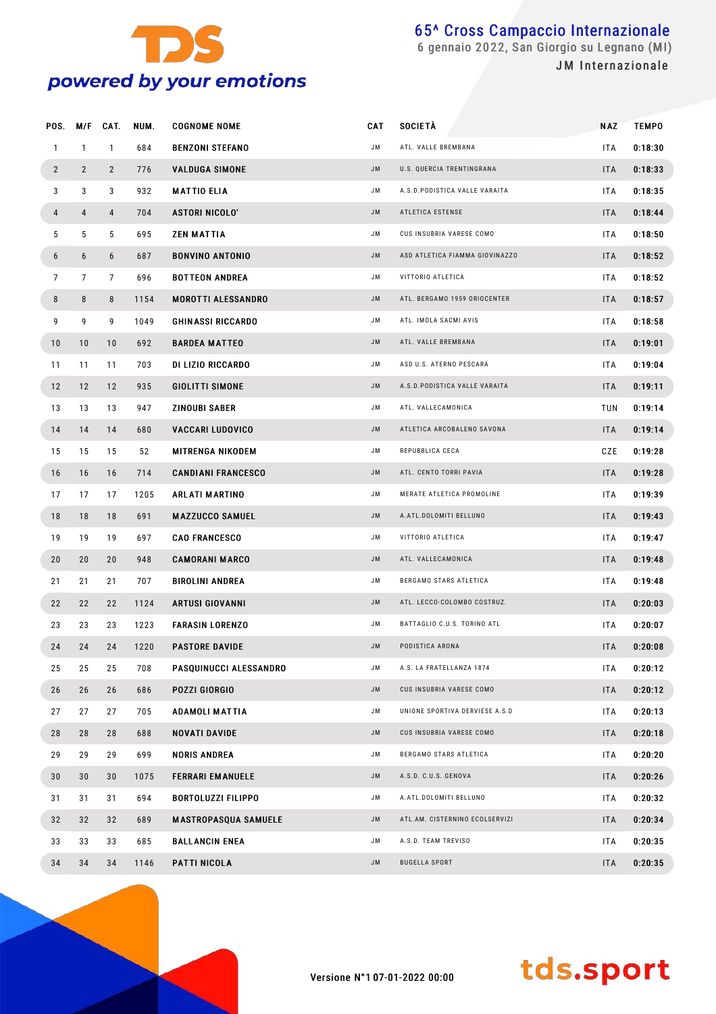

 gennaio 2022, San Giorgio su Legnano (MI) JM Internazionale

| POS.           | M/F            | CAT.           | NUM. | <b>COGNOME NOME</b>         | CAT       | <b>SOCIETÀ</b>                 | NAZ        | <b>TEMPO</b> |
|----------------|----------------|----------------|------|-----------------------------|-----------|--------------------------------|------------|--------------|
| $\mathbf{1}$   | $\mathbf{1}$   | $\mathbf{1}$   | 684  | <b>BENZONI STEFANO</b>      | JM        | ATL. VALLE BREMBANA            | <b>ITA</b> | 0:18:30      |
| $\overline{2}$ | $\overline{2}$ | $\overline{2}$ | 776  | <b>VALDUGA SIMONE</b>       | <b>JM</b> | U.S. QUERCIA TRENTINGRANA      | ITA        | 0:18:33      |
| 3              | 3              | 3              | 932  | <b>MATTIO ELIA</b>          | JM        | A.S.D.PODISTICA VALLE VARAITA  | <b>ITA</b> | 0:18:35      |
| 4              | 4              | 4              | 704  | <b>ASTORI NICOLO'</b>       | <b>JM</b> | ATLETICA ESTENSE               | ITA        | 0:18:44      |
| 5              | 5              | 5              | 695  | <b>ZEN MATTIA</b>           | JM        | CUS INSUBRIA VARESE COMO       | <b>ITA</b> | 0:18:50      |
| 6              | 6              | 6              | 687  | <b>BONVINO ANTONIO</b>      | <b>JM</b> | ASD ATLETICA FIAMMA GIOVINAZZO | ITA        | 0:18:52      |
| $\overline{7}$ | $\overline{7}$ | $\overline{7}$ | 696  | <b>BOTTEON ANDREA</b>       | JM        | VITTORIO ATLETICA              | <b>ITA</b> | 0:18:52      |
| 8              | 8              | 8              | 1154 | <b>MOROTTI ALESSANDRO</b>   | <b>JM</b> | ATL. BERGAMO 1959 ORIOCENTER   | ITA        | 0:18:57      |
| 9              | 9              | 9              | 1049 | <b>GHINASSI RICCARDO</b>    | JM        | ATL. IMOLA SACMI AVIS          | <b>ITA</b> | 0:18:58      |
| 10             | 10             | 10             | 692  | <b>BARDEA MATTEO</b>        | <b>JM</b> | ATL. VALLE BREMBANA            | ITA        | 0:19:01      |
| 11             | 11             | 11             | 703  | DI LIZIO RICCARDO           | JM        | ASD U.S. ATERNO PESCARA        | <b>ITA</b> | 0:19:04      |
| 12             | 12             | 12             | 935  | <b>GIOLITTI SIMONE</b>      | <b>JM</b> | A.S.D. PODISTICA VALLE VARAITA | ITA        | 0:19:11      |
| 13             | 13             | 13             | 947  | ZINOUBI SABER               | JM        | ATL. VALLECAMONICA             | TUN        | 0:19:14      |
| 14             | 14             | 14             | 680  | <b>VACCARI LUDOVICO</b>     | <b>JM</b> | ATLETICA ARCOBALENO SAVONA     | ITA        | 0:19:14      |
| 15             | 15             | 15             | 52   | <b>MITRENGA NIKODEM</b>     | JM        | REPUBBLICA CECA                | CZE        | 0:19:28      |
| 16             | 16             | 16             | 714  | <b>CANDIANI FRANCESCO</b>   | <b>JM</b> | ATL. CENTO TORRI PAVIA         | ITA        | 0:19:28      |
| 17             | 17             | 17             | 1205 | <b>ARLATI MARTINO</b>       | JM        | MERATE ATLETICA PROMOLINE      | <b>ITA</b> | 0:19:39      |
| 18             | 18             | 18             | 691  | <b>MAZZUCCO SAMUEL</b>      | <b>JM</b> | A.ATL.DOLOMITI BELLUNO         | ITA        | 0:19:43      |
| 19             | 19             | 19             | 697  | <b>CAO FRANCESCO</b>        | JM        | VITTORIO ATLETICA              | <b>ITA</b> | 0:19:47      |
| 20             | 20             | 20             | 948  | <b>CAMORANI MARCO</b>       | <b>JM</b> | ATL. VALLECAMONICA             | ITA        | 0:19:48      |
| 21             | 21             | 21             | 707  | <b>BIROLINI ANDREA</b>      | JM        | BERGAMO STARS ATLETICA         | <b>ITA</b> | 0:19:48      |
| 22             | 22             | 22             | 1124 | <b>ARTUSI GIOVANNI</b>      | JM        | ATL. LECCO-COLOMBO COSTRUZ.    | ITA        | 0:20:03      |
| 23             | 23             | 23             | 1223 | <b>FARASIN LORENZO</b>      | JM        | BATTAGLIO C.U.S. TORINO ATL    | <b>ITA</b> | 0:20:07      |
| 24             | 24             | 24             | 1220 | <b>PASTORE DAVIDE</b>       | JM        | PODISTICA ARONA                | <b>ITA</b> | 0:20:08      |
| 25             | 25             | 25             | 708  | PASQUINUCCI ALESSANDRO      | JM        | A.S. LA FRATELLANZA 1874       | <b>ITA</b> | 0:20:12      |
| 26             | 26             | 26             | 686  | <b>POZZI GIORGIO</b>        | <b>JM</b> | CUS INSUBRIA VARESE COMO       | ITA        | 0:20:12      |
| 27             | 27             | 27             | 705  | <b>ADAMOLI MATTIA</b>       | JM        | UNIONE SPORTIVA DERVIESE A.S.D | <b>ITA</b> | 0:20:13      |
| 28             | 28             | 28             | 688  | <b>NOVATI DAVIDE</b>        | <b>JM</b> | CUS INSUBRIA VARESE COMO       | ITA        | 0:20:18      |
| 29             | 29             | 29             | 699  | <b>NORIS ANDREA</b>         | JM        | BERGAMO STARS ATLETICA         | <b>ITA</b> | 0:20:20      |
| 30             | 30             | 30             | 1075 | <b>FERRARI EMANUELE</b>     | <b>JM</b> | A.S.D. C.U.S. GENOVA           | ITA        | 0:20:26      |
| 31             | 31             | 31             | 694  | <b>BORTOLUZZI FILIPPO</b>   | JM        | A.ATL.DOLOMITI BELLUNO         | <b>ITA</b> | 0:20:32      |
| 32             | 32             | 32             | 689  | <b>MASTROPASQUA SAMUELE</b> | <b>JM</b> | ATL.AM. CISTERNINO ECOLSERVIZI | <b>ITA</b> | 0:20:34      |
| 33             | 33             | 33             | 685  | <b>BALLANCIN ENEA</b>       | JM        | A.S.D. TEAM TREVISO            | <b>ITA</b> | 0:20:35      |
| 34             | 34             | 34             | 1146 | PATTI NICOLA                | JM        | <b>BUGELLA SPORT</b>           | ITA        | 0:20:35      |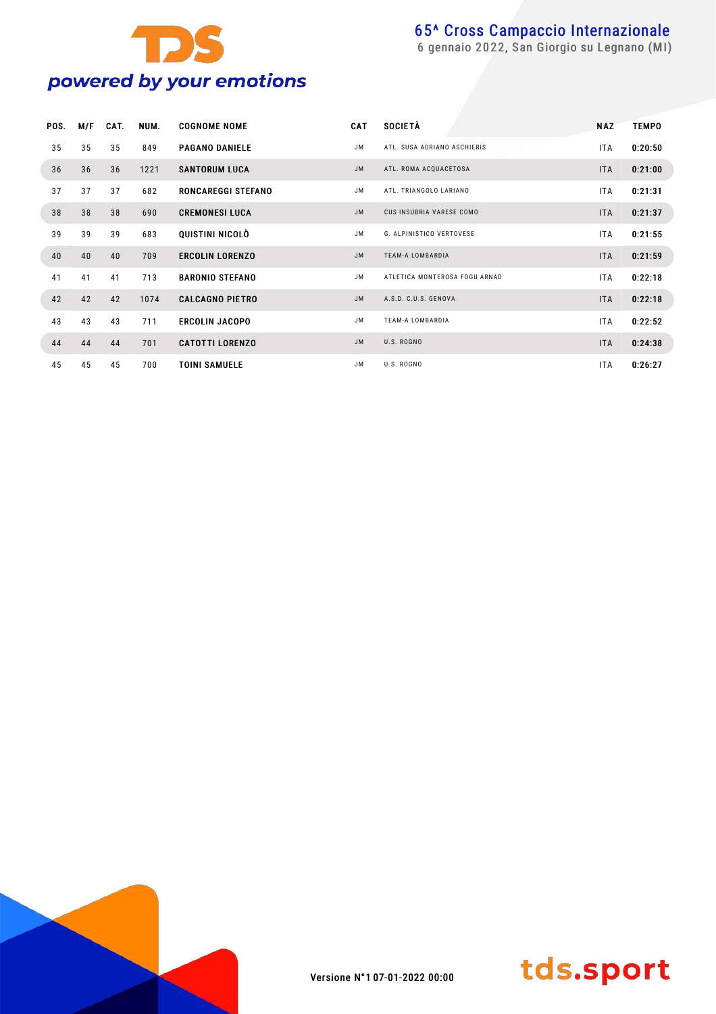

| POS. | M/F | CAT. | NUM. | <b>COGNOME NOME</b>       | <b>CAT</b> | <b>SOCIETÀ</b>                  | <b>NAZ</b> | <b>TEMPO</b> |
|------|-----|------|------|---------------------------|------------|---------------------------------|------------|--------------|
| 35   | 35  | 35   | 849  | <b>PAGANO DANIELE</b>     | JM.        | ATL. SUSA ADRIANO ASCHIERIS     | ITA.       | 0:20:50      |
| 36   | 36  | 36   | 1221 | <b>SANTORUM LUCA</b>      | <b>JM</b>  | ATL. ROMA ACQUACETOSA           | <b>ITA</b> | 0:21:00      |
| 37   | 37  | 37   | 682  | <b>RONCAREGGI STEFANO</b> | JM.        | ATL. TRIANGOLO LARIANO          | <b>ITA</b> | 0:21:31      |
| 38   | 38  | 38   | 690  | <b>CREMONESI LUCA</b>     | JM.        | CUS INSUBRIA VARESE COMO        | <b>ITA</b> | 0:21:37      |
| 39   | 39  | 39   | 683  | QUISTINI NICOLÒ           | JM.        | <b>G. ALPINISTICO VERTOVESE</b> | <b>ITA</b> | 0:21:55      |
| 40   | 40  | 40   | 709  | <b>ERCOLIN LORENZO</b>    | <b>JM</b>  | <b>TEAM-A LOMBARDIA</b>         | <b>ITA</b> | 0:21:59      |
| 41   | 41  | 41   | 713  | <b>BARONIO STEFANO</b>    | JM.        | ATLETICA MONTEROSA FOGU ARNAD   | <b>ITA</b> | 0:22:18      |
| 42   | 42  | 42   | 1074 | <b>CALCAGNO PIETRO</b>    | <b>JM</b>  | A.S.D. C.U.S. GENOVA            | <b>ITA</b> | 0:22:18      |
| 43   | 43  | 43   | 711  | <b>ERCOLIN JACOPO</b>     | JM.        | <b>TEAM-A LOMBARDIA</b>         | <b>ITA</b> | 0:22:52      |
| 44   | 44  | 44   | 701  | <b>CATOTTI LORENZO</b>    | <b>JM</b>  | U.S. ROGNO                      | <b>ITA</b> | 0:24:38      |
| 45   | 45  | 45   | 700  | <b>TOINI SAMUELE</b>      | JM.        | U.S. ROGNO                      | <b>ITA</b> | 0:26:27      |



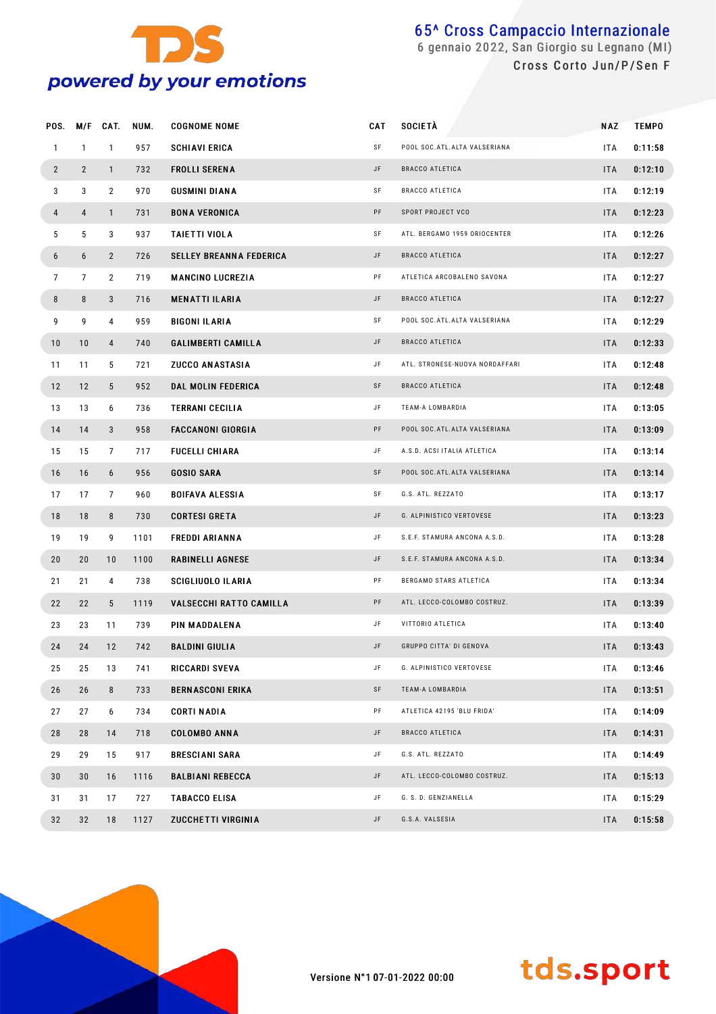

#### 65^ Cross Campaccio Internazionale gennaio 2022, San Giorgio su Legnano (MI) Cross Corto Jun/P/Sen F

| POS.           | M/F            | CAT.            | NUM. | <b>COGNOME NOME</b>            | <b>CAT</b> | <b>SOCIETÀ</b>                 | NAZ        | <b>TEMPO</b> |  |
|----------------|----------------|-----------------|------|--------------------------------|------------|--------------------------------|------------|--------------|--|
| $\mathbf{1}$   | $\mathbf{1}$   | $\mathbf{1}$    | 957  | <b>SCHIAVI ERICA</b>           | SF         | POOL SOC. ATL. ALTA VALSERIANA | ITA        | 0:11:58      |  |
| $\overline{2}$ | $\overline{2}$ | $\mathbf{1}$    | 732  | <b>FROLLI SERENA</b>           | JF         | <b>BRACCO ATLETICA</b>         | <b>ITA</b> | 0:12:10      |  |
| 3              | 3              | $\overline{2}$  | 970  | GUSMINI DIANA                  | SF         | BRACCO ATLETICA                | ITA        | 0:12:19      |  |
| 4              | $\overline{4}$ | $\mathbf{1}$    | 731  | <b>BONA VERONICA</b>           | PF         | SPORT PROJECT VCO              | <b>ITA</b> | 0:12:23      |  |
| 5              | 5              | 3               | 937  | <b>TAIETTI VIOLA</b>           | SF         | ATL. BERGAMO 1959 ORIOCENTER   | ITA        | 0:12:26      |  |
| 6              | 6              | $\overline{2}$  | 726  | <b>SELLEY BREANNA FEDERICA</b> | JF         | <b>BRACCO ATLETICA</b>         | <b>ITA</b> | 0:12:27      |  |
| $\overline{7}$ | $\overline{7}$ | $\overline{2}$  | 719  | <b>MANCINO LUCREZIA</b>        | PF         | ATLETICA ARCOBALENO SAVONA     | ITA        | 0:12:27      |  |
| 8              | 8              | 3               | 716  | <b>MENATTI ILARIA</b>          | JF         | <b>BRACCO ATLETICA</b>         | <b>ITA</b> | 0:12:27      |  |
| 9              | 9              | 4               | 959  | <b>BIGONI ILARIA</b>           | SF         | POOL SOC. ATL. ALTA VALSERIANA | ITA        | 0:12:29      |  |
| 10             | 10             | 4               | 740  | <b>GALIMBERTI CAMILLA</b>      | JF         | <b>BRACCO ATLETICA</b>         | <b>ITA</b> | 0:12:33      |  |
| 11             | 11             | 5               | 721  | <b>ZUCCO ANASTASIA</b>         | JF         | ATL. STRONESE-NUOVA NORDAFFARI | ITA        | 0:12:48      |  |
| 12             | 12             | $5\phantom{.0}$ | 952  | DAL MOLIN FEDERICA             | SF         | <b>BRACCO ATLETICA</b>         | <b>ITA</b> | 0:12:48      |  |
| 13             | 13             | 6               | 736  | <b>TERRANI CECILIA</b>         | JF         | TEAM-A LOMBARDIA               | ITA        | 0:13:05      |  |
| 14             | 14             | 3               | 958  | <b>FACCANONI GIORGIA</b>       | PF         | POOL SOC. ATL. ALTA VALSERIANA | <b>ITA</b> | 0:13:09      |  |
| 15             | 15             | $\overline{7}$  | 717  | <b>FUCELLI CHIARA</b>          | JF         | A.S.D. ACSI ITALIA ATLETICA    | ITA        | 0:13:14      |  |
| 16             | 16             | 6               | 956  | <b>GOSIO SARA</b>              | SF         | POOL SOC. ATL. ALTA VALSERIANA | <b>ITA</b> | 0:13:14      |  |
| 17             | 17             | $\overline{7}$  | 960  | <b>BOIFAVA ALESSIA</b>         | SF         | G.S. ATL. REZZATO              | ITA        | 0:13:17      |  |
| 18             | 18             | 8               | 730  | <b>CORTESI GRETA</b>           | JF         | G. ALPINISTICO VERTOVESE       | <b>ITA</b> | 0:13:23      |  |
| 19             | 19             | 9               | 1101 | <b>FREDDI ARIANNA</b>          | JF         | S.E.F. STAMURA ANCONA A.S.D.   | ITA        | 0:13:28      |  |
| 20             | 20             | 10              | 1100 | <b>RABINELLI AGNESE</b>        | JF         | S.E.F. STAMURA ANCONA A.S.D.   | <b>ITA</b> | 0:13:34      |  |
| 21             | 21             | 4               | 738  | SCIGLIUOLO ILARIA              | PF         | BERGAMO STARS ATLETICA         | ITA        | 0:13:34      |  |
| 22             | 22             | $5\phantom{.0}$ | 1119 | <b>VALSECCHI RATTO CAMILLA</b> | PF         | ATL. LECCO-COLOMBO COSTRUZ.    | <b>ITA</b> | 0:13:39      |  |
| 23             | 23             | 11              | 739  | PIN MADDALENA                  | JF         | VITTORIO ATLETICA              | ITA        | 0:13:40      |  |
| 24             | 24             | 12              | 742  | <b>BALDINI GIULIA</b>          | JF         | GRUPPO CITTA' DI GENOVA        | <b>ITA</b> | 0:13:43      |  |
| 25             | 25             | 13              | 741  | RICCARDI SVEVA                 | JF         | G. ALPINISTICO VERTOVESE       | ITA        | 0:13:46      |  |
| 26             | 26             | 8               | 733  | <b>BERNASCONI ERIKA</b>        | SF         | TEAM-A LOMBARDIA               | <b>ITA</b> | 0:13:51      |  |
| 27             | 27             | 6               | 734  | CORTI NADIA                    | PF         | ATLETICA 42195 'BLU FRIDA'     | ITA        | 0:14:09      |  |
| 28             | 28             | 14              | 718  | <b>COLOMBO ANNA</b>            | JF         | <b>BRACCO ATLETICA</b>         | <b>ITA</b> | 0:14:31      |  |
| 29             | 29             | 15              | 917  | <b>BRESCIANI SARA</b>          | JF         | G.S. ATL. REZZATO              | ITA        | 0:14:49      |  |
| 30             | 30             | 16              | 1116 | <b>BALBIANI REBECCA</b>        | JF         | ATL. LECCO-COLOMBO COSTRUZ.    | <b>ITA</b> | 0:15:13      |  |
| 31             | 31             | 17              | 727  | <b>TABACCO ELISA</b>           | JF         | G. S. D. GENZIANELLA           | ITA        | 0:15:29      |  |
| 32             | 32             | 18              | 1127 | ZUCCHETTI VIRGINIA             | JF         | G.S.A. VALSESIA                | <b>ITA</b> | 0:15:58      |  |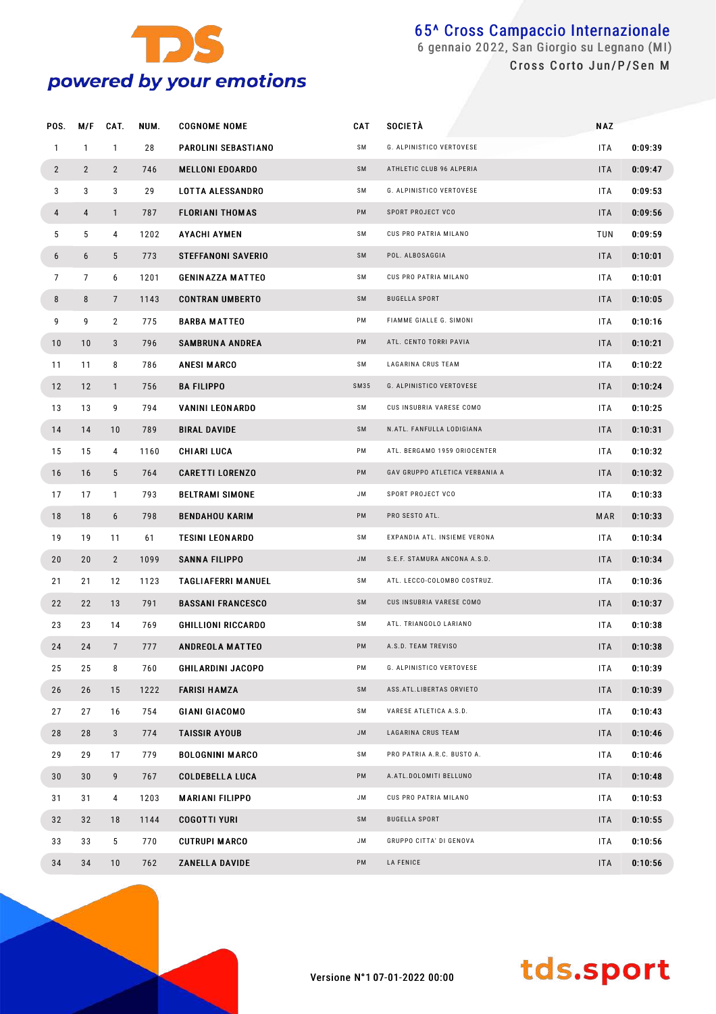

#### 65^ Cross Campaccio Internazionale gennaio 2022, San Giorgio su Legnano (MI) Cross Corto Jun/P/Sen M

| POS.           | M/F            | CAT.            | NUM. | <b>COGNOME NOME</b>       | <b>CAT</b> | <b>SOCIETÀ</b>                 | <b>NAZ</b> |         |
|----------------|----------------|-----------------|------|---------------------------|------------|--------------------------------|------------|---------|
| $\mathbf{1}$   | $\mathbf{1}$   | $\mathbf{1}$    | 28   | PAROLINI SEBASTIANO       | SM         | G. ALPINISTICO VERTOVESE       | ITA        | 0:09:39 |
| $\overline{2}$ | $\overline{2}$ | $\overline{2}$  | 746  | <b>MELLONI EDOARDO</b>    | SM         | ATHLETIC CLUB 96 ALPERIA       | <b>ITA</b> | 0:09:47 |
| 3              | 3              | 3               | 29   | <b>LOTTA ALESSANDRO</b>   | SΜ         | G. ALPINISTICO VERTOVESE       | ITA.       | 0:09:53 |
| 4              | 4              | $\mathbf{1}$    | 787  | <b>FLORIANI THOMAS</b>    | PM         | SPORT PROJECT VCO              | <b>ITA</b> | 0:09:56 |
| 5              | 5              | 4               | 1202 | <b>AYACHI AYMEN</b>       | SΜ         | CUS PRO PATRIA MILANO          | TUN        | 0:09:59 |
| 6              | 6              | 5               | 773  | <b>STEFFANONI SAVERIO</b> | SM         | POL. ALBOSAGGIA                | <b>ITA</b> | 0:10:01 |
| $\overline{7}$ | $\overline{7}$ | 6               | 1201 | <b>GENINAZZA MATTEO</b>   | SΜ         | CUS PRO PATRIA MILANO          | ITA        | 0:10:01 |
| 8              | 8              | $\overline{7}$  | 1143 | <b>CONTRAN UMBERTO</b>    | SM         | <b>BUGELLA SPORT</b>           | <b>ITA</b> | 0:10:05 |
| 9              | 9              | $\overline{2}$  | 775  | <b>BARBA MATTEO</b>       | PM         | FIAMME GIALLE G. SIMONI        | ITA        | 0:10:16 |
| 10             | 10             | 3               | 796  | <b>SAMBRUNA ANDREA</b>    | PM         | ATL. CENTO TORRI PAVIA         | <b>ITA</b> | 0:10:21 |
| 11             | 11             | 8               | 786  | <b>ANESI MARCO</b>        | SM         | LAGARINA CRUS TEAM             | ITA        | 0:10:22 |
| 12             | 12             | $\mathbf{1}$    | 756  | <b>BA FILIPPO</b>         | SM35       | G. ALPINISTICO VERTOVESE       | <b>ITA</b> | 0:10:24 |
| 13             | 13             | 9               | 794  | <b>VANINI LEONARDO</b>    | SM         | CUS INSUBRIA VARESE COMO       | ITA        | 0:10:25 |
| 14             | 14             | 10              | 789  | <b>BIRAL DAVIDE</b>       | SM         | N.ATL. FANFULLA LODIGIANA      | <b>ITA</b> | 0:10:31 |
| 15             | 15             | 4               | 1160 | <b>CHIARI LUCA</b>        | PM         | ATL. BERGAMO 1959 ORIOCENTER   | ITA.       | 0:10:32 |
| 16             | 16             | 5               | 764  | <b>CARETTI LORENZO</b>    | PM         | GAV GRUPPO ATLETICA VERBANIA A | <b>ITA</b> | 0:10:32 |
| 17             | 17             | $\mathbf{1}$    | 793  | <b>BELTRAMI SIMONE</b>    | JM         | SPORT PROJECT VCO              | ITA        | 0:10:33 |
| 18             | 18             | 6               | 798  | <b>BENDAHOU KARIM</b>     | PM         | PRO SESTO ATL.                 | MAR        | 0:10:33 |
| 19             | 19             | 11              | 61   | <b>TESINI LEONARDO</b>    | SΜ         | EXPANDIA ATL. INSIEME VERONA   | ITA        | 0:10:34 |
| 20             | 20             | $\overline{2}$  | 1099 | <b>SANNA FILIPPO</b>      | JM         | S.E.F. STAMURA ANCONA A.S.D.   | <b>ITA</b> | 0:10:34 |
| 21             | 21             | 12              | 1123 | <b>TAGLIAFERRI MANUEL</b> | SΜ         | ATL. LECCO-COLOMBO COSTRUZ.    | ITA.       | 0:10:36 |
| 22             | 22             | 13              | 791  | <b>BASSANI FRANCESCO</b>  | SM         | CUS INSUBRIA VARESE COMO       | <b>ITA</b> | 0:10:37 |
| 23             | 23             | 14              | 769  | <b>GHILLIONI RICCARDO</b> | SΜ         | ATL. TRIANGOLO LARIANO         | ITA        | 0:10:38 |
| 24             | 24             | $7\overline{ }$ | 777  | <b>ANDREOLA MATTEO</b>    | PM         | A.S.D. TEAM TREVISO            | <b>ITA</b> | 0:10:38 |
| 25             | 25             | 8               | 760  | <b>GHILARDINI JACOPO</b>  | PM         | G. ALPINISTICO VERTOVESE       | ITA        | 0:10:39 |
| 26             | 26             | 15              | 1222 | <b>FARISI HAMZA</b>       | SM         | ASS.ATL.LIBERTAS ORVIETO       | <b>ITA</b> | 0:10:39 |
| 27             | 27             | 16              | 754  | <b>GIANI GIACOMO</b>      | SM         | VARESE ATLETICA A.S.D.         | ITA        | 0:10:43 |
| 28             | 28             | 3               | 774  | <b>TAISSIR AYOUB</b>      | <b>JM</b>  | LAGARINA CRUS TEAM             | <b>ITA</b> | 0:10:46 |
| 29             | 29             | 17              | 779  | <b>BOLOGNINI MARCO</b>    | SM         | PRO PATRIA A.R.C. BUSTO A.     | ITA        | 0:10:46 |
| 30             | 30             | 9               | 767  | <b>COLDEBELLA LUCA</b>    | PM         | A.ATL.DOLOMITI BELLUNO         | <b>ITA</b> | 0:10:48 |
| 31             | 31             | 4               | 1203 | <b>MARIANI FILIPPO</b>    | JM.        | CUS PRO PATRIA MILANO          | ITA        | 0:10:53 |
| 32             | 32             | 18              | 1144 | <b>COGOTTI YURI</b>       | SM         | <b>BUGELLA SPORT</b>           | <b>ITA</b> | 0:10:55 |
| 33             | 33             | 5               | 770  | <b>CUTRUPI MARCO</b>      | JM         | GRUPPO CITTA' DI GENOVA        | ITA        | 0:10:56 |
| 34             | 34             | 10              | 762  | ZANELLA DAVIDE            | PM         | LA FENICE                      | <b>ITA</b> | 0:10:56 |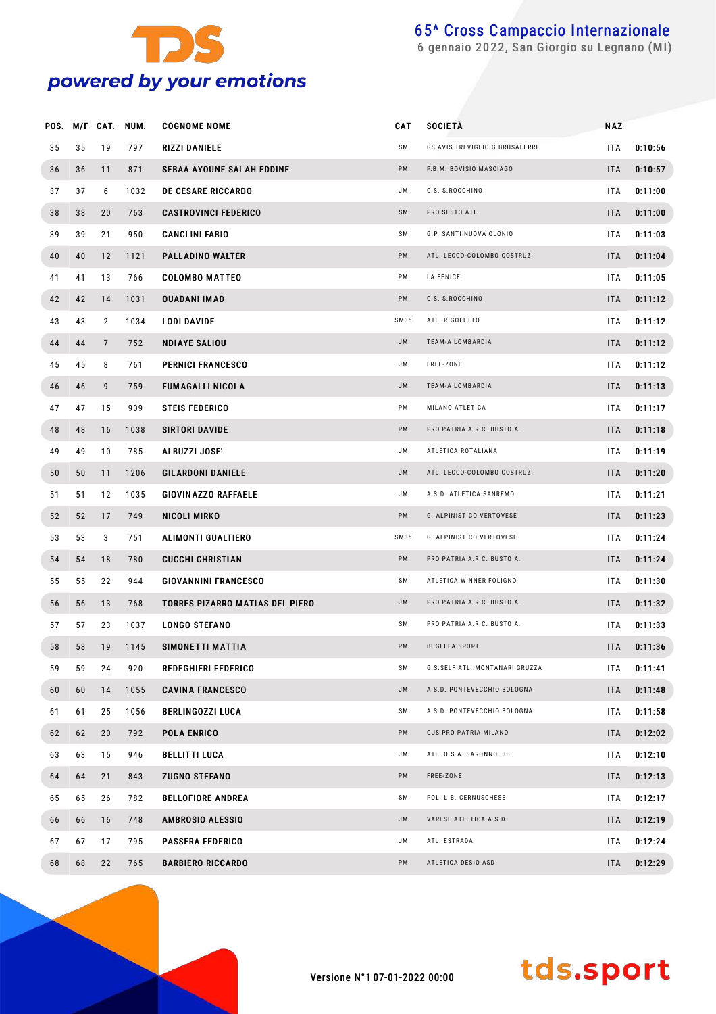

gennaio 2022, San Giorgio su Legnano (MI)

|    |    |                | POS. M/F CAT. NUM. | <b>COGNOME NOME</b>                    | CAT  | <b>SOCIETA</b>                 | <b>NAZ</b> |         |
|----|----|----------------|--------------------|----------------------------------------|------|--------------------------------|------------|---------|
| 35 | 35 | 19             | 797                | RIZZI DANIELE                          | SΜ   | GS AVIS TREVIGLIO G.BRUSAFERRI | <b>ITA</b> | 0:10:56 |
| 36 | 36 | 11             | 871                | <b>SEBAA AYOUNE SALAH EDDINE</b>       | PM   | P.B.M. BOVISIO MASCIAGO        | <b>ITA</b> | 0:10:57 |
| 37 | 37 | 6              | 1032               | <b>DE CESARE RICCARDO</b>              | JM   | C.S. S.ROCCHINO                | <b>ITA</b> | 0:11:00 |
| 38 | 38 | 20             | 763                | <b>CASTROVINCI FEDERICO</b>            | SM   | PRO SESTO ATL.                 | <b>ITA</b> | 0:11:00 |
| 39 | 39 | 21             | 950                | <b>CANCLINI FABIO</b>                  | SΜ   | G.P. SANTI NUOVA OLONIO        | <b>ITA</b> | 0:11:03 |
| 40 | 40 | 12             | 1121               | PALLADINO WALTER                       | PM   | ATL. LECCO-COLOMBO COSTRUZ.    | <b>ITA</b> | 0:11:04 |
| 41 | 41 | 13             | 766                | <b>COLOMBO MATTEO</b>                  | PM   | LA FENICE                      | <b>ITA</b> | 0:11:05 |
| 42 | 42 | 14             | 1031               | <b>OUADANI IMAD</b>                    | PM   | C.S. S.ROCCHINO                | <b>ITA</b> | 0:11:12 |
| 43 | 43 | $\overline{2}$ | 1034               | LODI DAVIDE                            | SM35 | ATL. RIGOLETTO                 | ITA        | 0:11:12 |
| 44 | 44 | $\overline{7}$ | 752                | <b>NDIAYE SALIOU</b>                   | JM   | TEAM-A LOMBARDIA               | <b>ITA</b> | 0:11:12 |
| 45 | 45 | 8              | 761                | <b>PERNICI FRANCESCO</b>               | JM.  | FREE-ZONE                      | ITA        | 0:11:12 |
| 46 | 46 | 9              | 759                | <b>FUMAGALLI NICOLA</b>                | JM   | TEAM-A LOMBARDIA               | <b>ITA</b> | 0:11:13 |
| 47 | 47 | 15             | 909                | <b>STEIS FEDERICO</b>                  | PM   | MILANO ATLETICA                | ITA        | 0:11:17 |
| 48 | 48 | 16             | 1038               | SIRTORI DAVIDE                         | PM   | PRO PATRIA A.R.C. BUSTO A.     | <b>ITA</b> | 0:11:18 |
| 49 | 49 | 10             | 785                | ALBUZZI JOSE'                          | JM   | ATLETICA ROTALIANA             | ITA        | 0:11:19 |
| 50 | 50 | 11             | 1206               | <b>GILARDONI DANIELE</b>               | JM   | ATL. LECCO-COLOMBO COSTRUZ.    | <b>ITA</b> | 0:11:20 |
| 51 | 51 | 12             | 1035               | GIOVINAZZO RAFFAELE                    | JM   | A.S.D. ATLETICA SANREMO        | <b>ITA</b> | 0:11:21 |
| 52 | 52 | 17             | 749                | NICOLI MIRKO                           | PM   | G. ALPINISTICO VERTOVESE       | <b>ITA</b> | 0:11:23 |
| 53 | 53 | 3              | 751                | ALIMONTI GUALTIERO                     | SM35 | G. ALPINISTICO VERTOVESE       | ITA        | 0:11:24 |
| 54 | 54 | 18             | 780                | <b>CUCCHI CHRISTIAN</b>                | PM   | PRO PATRIA A.R.C. BUSTO A.     | <b>ITA</b> | 0:11:24 |
| 55 | 55 | 22             | 944                | <b>GIOVANNINI FRANCESCO</b>            | SΜ   | ATLETICA WINNER FOLIGNO        | <b>ITA</b> | 0:11:30 |
| 56 | 56 | 13             | 768                | <b>TORRES PIZARRO MATIAS DEL PIERO</b> | JM   | PRO PATRIA A.R.C. BUSTO A.     | <b>ITA</b> | 0:11:32 |
| 57 | 57 | 23             | 1037               | <b>LONGO STEFANO</b>                   | SΜ   | PRO PATRIA A.R.C. BUSTO A.     | ITA        | 0:11:33 |
| 58 | 58 | 19             | 1145               | SIMONETTI MATTIA                       | PM   | <b>BUGELLA SPORT</b>           | <b>ITA</b> | 0:11:36 |
| 59 | 59 | 24             | 920                | REDEGHIERI FEDERICO                    | SM   | G.S.SELF ATL. MONTANARI GRUZZA | ITA        | 0:11:41 |
| 60 | 60 | 14             | 1055               | <b>CAVINA FRANCESCO</b>                | JM.  | A.S.D. PONTEVECCHIO BOLOGNA    | <b>ITA</b> | 0:11:48 |
| 61 | 61 | 25             | 1056               | <b>BERLINGOZZI LUCA</b>                | SM   | A.S.D. PONTEVECCHIO BOLOGNA    | ITA        | 0:11:58 |
| 62 | 62 | 20             | 792                | POLA ENRICO                            | PM   | CUS PRO PATRIA MILANO          | <b>ITA</b> | 0:12:02 |
| 63 | 63 | 15             | 946                | BELLITTI LUCA                          | JM.  | ATL. O.S.A. SARONNO LIB.       | ITA        | 0:12:10 |
| 64 | 64 | 21             | 843                | <b>ZUGNO STEFANO</b>                   | PM   | FREE-ZONE                      | <b>ITA</b> | 0:12:13 |
| 65 | 65 | 26             | 782                | <b>BELLOFIORE ANDREA</b>               | SM   | POL. LIB. CERNUSCHESE          | ITA        | 0:12:17 |
| 66 | 66 | 16             | 748                | AMBROSIO ALESSIO                       | JM.  | VARESE ATLETICA A.S.D.         | <b>ITA</b> | 0:12:19 |
| 67 | 67 | 17             | 795                | <b>PASSERA FEDERICO</b>                | JM.  | ATL. ESTRADA                   | ITA        | 0:12:24 |
| 68 | 68 | 22             | 765                | <b>BARBIERO RICCARDO</b>               | PM   | ATLETICA DESIO ASD             | <b>ITA</b> | 0:12:29 |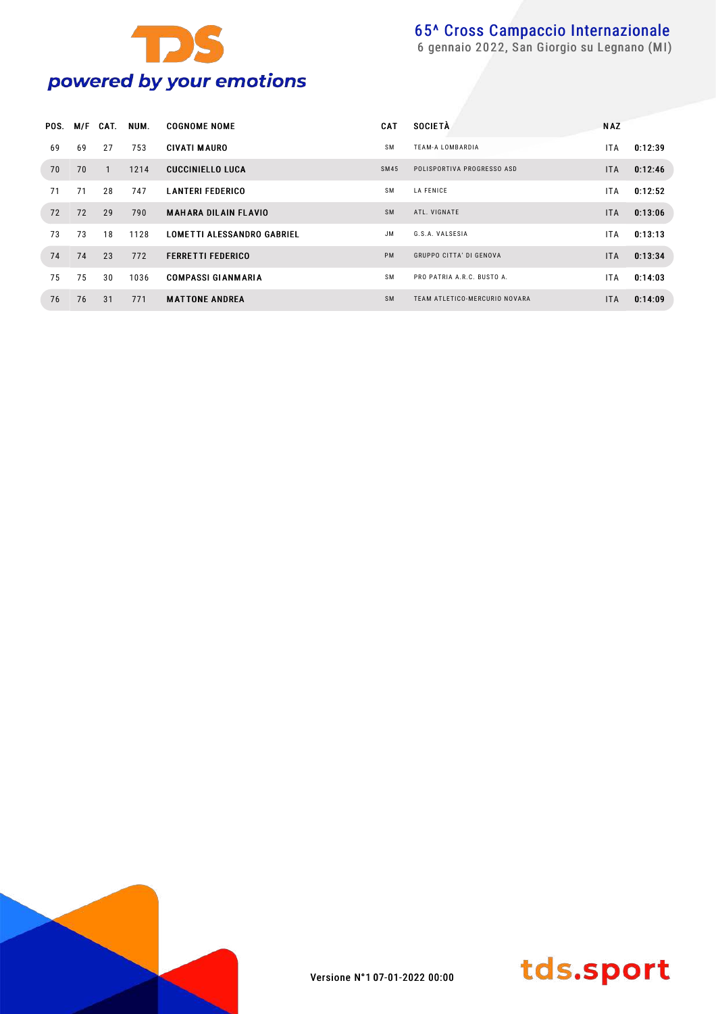

| POS. | M/F | CAT. | NUM. | <b>COGNOME NOME</b>               | <b>CAT</b> | <b>SOCIETÀ</b>                | <b>NAZ</b> |         |
|------|-----|------|------|-----------------------------------|------------|-------------------------------|------------|---------|
| 69   | 69  | 27   | 753  | <b>CIVATI MAURO</b>               | <b>SM</b>  | <b>TEAM-A LOMBARDIA</b>       | ITA.       | 0:12:39 |
| 70   | 70  |      | 1214 | <b>CUCCINIELLO LUCA</b>           | SM45       | POLISPORTIVA PROGRESSO ASD    | <b>ITA</b> | 0:12:46 |
| 71   | 71  | 28   | 747  | <b>LANTERI FEDERICO</b>           | <b>SM</b>  | <b>LA FENICE</b>              | ITA.       | 0:12:52 |
| 72   | 72  | 29   | 790  | <b>MAHARA DILAIN FLAVIO</b>       | <b>SM</b>  | ATL. VIGNATE                  | <b>ITA</b> | 0:13:06 |
| 73   | 73  | 18   | 1128 | <b>LOMETTI ALESSANDRO GABRIEL</b> | <b>JM</b>  | G.S.A. VALSESIA               | ITA.       | 0:13:13 |
| 74   | 74  | 23   | 772  | <b>FERRETTI FEDERICO</b>          | <b>PM</b>  | GRUPPO CITTA' DI GENOVA       | <b>ITA</b> | 0:13:34 |
| 75   | 75  | 30   | 1036 | <b>COMPASSI GIANMARIA</b>         | <b>SM</b>  | PRO PATRIA A.R.C. BUSTO A.    | ITA.       | 0:14:03 |
| 76   | 76  | 31   | 771  | <b>MATTONE ANDREA</b>             | <b>SM</b>  | TEAM ATLETICO-MERCURIO NOVARA | <b>ITA</b> | 0:14:09 |



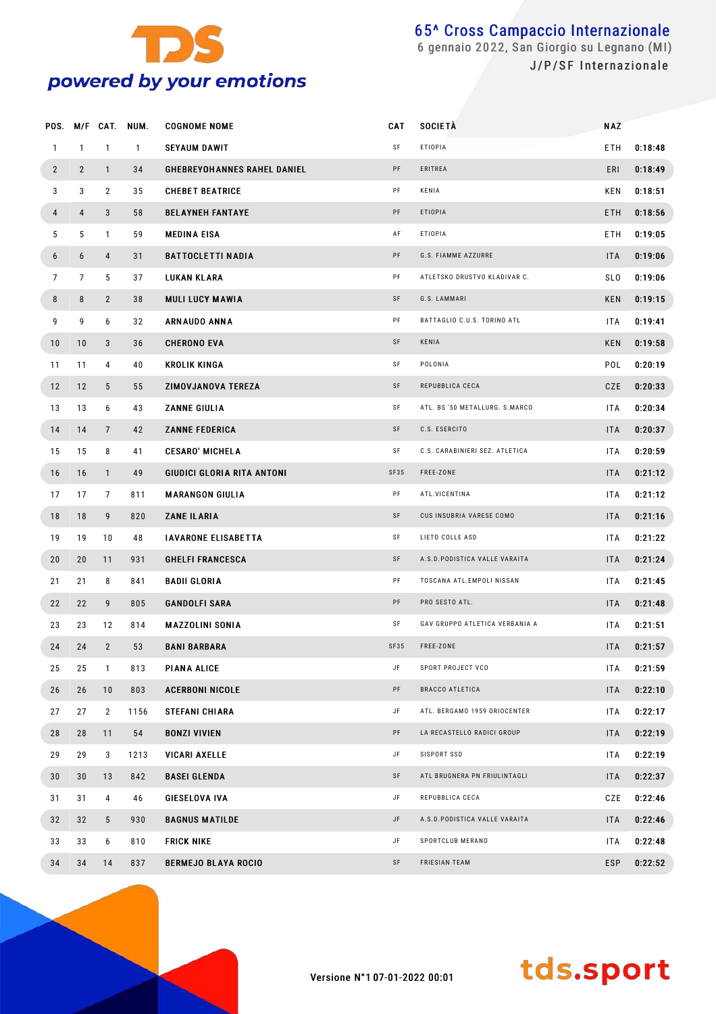

|                 |                | POS. M/F CAT.   | NUM.         | <b>COGNOME NOME</b>                | CAT  | <b>SOCIETÀ</b>                 | <b>NAZ</b> |         |
|-----------------|----------------|-----------------|--------------|------------------------------------|------|--------------------------------|------------|---------|
| $\mathbf{1}$    | $\mathbf{1}$   | $\mathbf{1}$    | $\mathbf{1}$ | <b>SEYAUM DAWIT</b>                | SF   | <b>ETIOPIA</b>                 | ETH        | 0:18:48 |
| $\overline{2}$  | $2^{\circ}$    | $\mathbf{1}$    | 34           | <b>GHEBREYOHANNES RAHEL DANIEL</b> | PF   | ERITREA                        | ERI        | 0:18:49 |
| 3               | 3              | $\overline{2}$  | 35           | <b>CHEBET BEATRICE</b>             | PF   | KENIA                          | KEN        | 0:18:51 |
| 4               | 4              | 3               | 58           | <b>BELAYNEH FANTAYE</b>            | PF   | <b>ETIOPIA</b>                 | ETH        | 0:18:56 |
| 5               | 5              | $\mathbf{1}$    | 59           | <b>MEDINA EISA</b>                 | AF   | <b>ETIOPIA</b>                 | ETH        | 0:19:05 |
| 6               | 6              | 4               | 31           | <b>BATTOCLETTI NADIA</b>           | PF   | G.S. FIAMME AZZURRE            | <b>ITA</b> | 0:19:06 |
| $7\overline{ }$ | $\overline{7}$ | 5               | 37           | LUKAN KLARA                        | PF   | ATLETSKO DRUSTVO KLADIVAR C.   | <b>SLO</b> | 0:19:06 |
| 8               | 8              | $\mathbf{2}$    | 38           | <b>MULI LUCY MAWIA</b>             | SF   | G.S. LAMMARI                   | <b>KEN</b> | 0:19:15 |
| 9               | 9              | 6               | 32           | <b>ARNAUDO ANNA</b>                | PF   | BATTAGLIO C.U.S. TORINO ATL    | ITA        | 0:19:41 |
| 10              | 10             | 3               | 36           | <b>CHERONO EVA</b>                 | SF   | KENIA                          | <b>KEN</b> | 0:19:58 |
| 11              | 11             | 4               | 40           | <b>KROLIK KINGA</b>                | SF   | POLONIA                        | POL        | 0:20:19 |
| 12              | 12             | 5 <sup>5</sup>  | 55           | ZIMOVJANOVA TEREZA                 | SF   | REPUBBLICA CECA                | CZE        | 0:20:33 |
| 13              | 13             | 6               | 43           | <b>ZANNE GIULIA</b>                | SF   | ATL. BS '50 METALLURG. S.MARCO | ITA        | 0:20:34 |
| 14              | 14             | $7\phantom{.}$  | 42           | <b>ZANNE FEDERICA</b>              | SF   | C.S. ESERCITO                  | <b>ITA</b> | 0:20:37 |
| 15              | 15             | 8               | 41           | <b>CESARO' MICHELA</b>             | SF   | C.S. CARABINIERI SEZ. ATLETICA | ITA        | 0:20:59 |
| 16              | 16             | $\mathbf{1}$    | 49           | <b>GIUDICI GLORIA RITA ANTONI</b>  | SF35 | FREE-ZONE                      | ITA        | 0:21:12 |
| 17              | 17             | $7\overline{ }$ | 811          | <b>MARANGON GIULIA</b>             | PF   | ATL.VICENTINA                  | ITA        | 0:21:12 |
| 18              | 18             | 9               | 820          | <b>ZANE ILARIA</b>                 | SF   | CUS INSUBRIA VARESE COMO       | ITA        | 0:21:16 |
| 19              | 19             | 10              | 48           | <b>IAVARONE ELISABETTA</b>         | SF   | LIETO COLLE ASD                | ITA        | 0:21:22 |
| 20              | 20             | 11              | 931          | <b>GHELFI FRANCESCA</b>            | SF   | A.S.D.PODISTICA VALLE VARAITA  | ITA        | 0:21:24 |
| 21              | 21             | 8               | 841          | <b>BADII GLORIA</b>                | PF   | TOSCANA ATL.EMPOLI NISSAN      | ITA        | 0:21:45 |
| 22              | 22             | 9               | 805          | <b>GANDOLFI SARA</b>               | PF   | PRO SESTO ATL.                 | ITA        | 0:21:48 |
| 23              | 23             | 12              | 814          | <b>MAZZOLINI SONIA</b>             | SF   | GAV GRUPPO ATLETICA VERBANIA A | ITA        | 0:21:51 |
| 24              | 24             | $\mathbf{2}$    | 53           | <b>BANI BARBARA</b>                | SF35 | FREE-ZONE                      | ITA        | 0:21:57 |
| 25              | 25             | $\mathbf{1}$    | 813          | PIANA ALICE                        | JF   | SPORT PROJECT VCO              | ITA        | 0:21:59 |
| 26              | 26             | 10              | 803          | <b>ACERBONI NICOLE</b>             | PF   | <b>BRACCO ATLETICA</b>         | <b>ITA</b> | 0:22:10 |
| 27              | 27             | $\mathbf{2}$    | 1156         | STEFANI CHIARA                     | JF   | ATL. BERGAMO 1959 ORIOCENTER   | ITA        | 0:22:17 |
| 28              | 28             | 11              | 54           | <b>BONZI VIVIEN</b>                | PF   | LA RECASTELLO RADICI GROUP     | <b>ITA</b> | 0:22:19 |
| 29              | 29             | 3               | 1213         | <b>VICARI AXELLE</b>               | JF   | SISPORT SSD                    | ITA        | 0:22:19 |
| 30              | 30             | 13              | 842          | <b>BASEI GLENDA</b>                | SF   | ATL BRUGNERA PN FRIULINTAGLI   | <b>ITA</b> | 0:22:37 |
| 31              | 31             | 4               | 46           | GIESELOVA IVA                      | JF   | REPUBBLICA CECA                | CZE        | 0:22:46 |
| 32              | 32             | 5 <sup>5</sup>  | 930          | <b>BAGNUS MATILDE</b>              | JF   | A.S.D.PODISTICA VALLE VARAITA  | ITA        | 0:22:46 |
| 33              | 33             | 6               | 810          | <b>FRICK NIKE</b>                  | JF   | SPORTCLUB MERANO               | ITA        | 0:22:48 |
| 34              | 34             | 14              | 837          | <b>BERMEJO BLAYA ROCIO</b>         | SF   | FRIESIAN TEAM                  | <b>ESP</b> | 0:22:52 |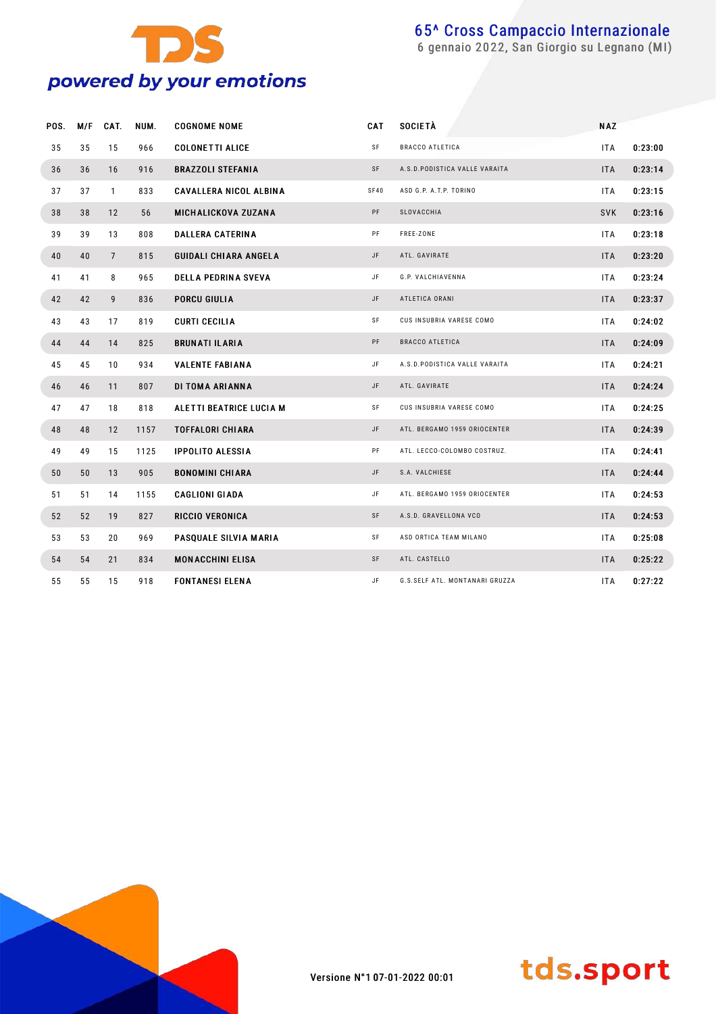

gennaio 2022, San Giorgio su Legnano (MI)

| POS. | M/F | CAT.            | NUM. | <b>COGNOME NOME</b>           | CAT       | SOCIETÀ                        | <b>NAZ</b> |         |
|------|-----|-----------------|------|-------------------------------|-----------|--------------------------------|------------|---------|
| 35   | 35  | 15              | 966  | <b>COLONETTI ALICE</b>        | SF        | <b>BRACCO ATLETICA</b>         | <b>ITA</b> | 0:23:00 |
| 36   | 36  | 16              | 916  | <b>BRAZZOLI STEFANIA</b>      | SF        | A.S.D. PODISTICA VALLE VARAITA | <b>ITA</b> | 0:23:14 |
| 37   | 37  | $\mathbf{1}$    | 833  | <b>CAVALLERA NICOL ALBINA</b> | SF40      | ASD G.P. A.T.P. TORINO         | ITA.       | 0:23:15 |
| 38   | 38  | 12              | 56   | <b>MICHALICKOVA ZUZANA</b>    | PF        | SLOVACCHIA                     | <b>SVK</b> | 0:23:16 |
| 39   | 39  | 13              | 808  | <b>DALLERA CATERINA</b>       | PF        | FREE-ZONE                      | <b>ITA</b> | 0:23:18 |
| 40   | 40  | $7\overline{ }$ | 815  | <b>GUIDALI CHIARA ANGELA</b>  | JF        | ATL. GAVIRATE                  | <b>ITA</b> | 0:23:20 |
| 41   | 41  | 8               | 965  | <b>DELLA PEDRINA SVEVA</b>    | JF        | G.P. VALCHIAVENNA              | <b>ITA</b> | 0:23:24 |
| 42   | 42  | 9               | 836  | <b>PORCU GIULIA</b>           | JF        | ATLETICA ORANI                 | <b>ITA</b> | 0:23:37 |
| 43   | 43  | 17              | 819  | <b>CURTI CECILIA</b>          | <b>SF</b> | CUS INSUBRIA VARESE COMO       | ITA.       | 0:24:02 |
| 44   | 44  | 14              | 825  | <b>BRUNATI ILARIA</b>         | PF        | <b>BRACCO ATLETICA</b>         | <b>ITA</b> | 0:24:09 |
| 45   | 45  | 10              | 934  | <b>VALENTE FABIANA</b>        | JF        | A.S.D. PODISTICA VALLE VARAITA | <b>ITA</b> | 0:24:21 |
| 46   | 46  | 11              | 807  | DI TOMA ARIANNA               | JF        | ATL. GAVIRATE                  | <b>ITA</b> | 0:24:24 |
| 47   | 47  | 18              | 818  | ALETTI BEATRICE LUCIA M       | SF        | CUS INSUBRIA VARESE COMO       | <b>ITA</b> | 0:24:25 |
| 48   | 48  | 12              | 1157 | <b>TOFFALORI CHIARA</b>       | JF        | ATL. BERGAMO 1959 ORIOCENTER   | <b>ITA</b> | 0:24:39 |
| 49   | 49  | 15              | 1125 | <b>IPPOLITO ALESSIA</b>       | PF        | ATL. LECCO-COLOMBO COSTRUZ.    | <b>ITA</b> | 0:24:41 |
| 50   | 50  | 13              | 905  | <b>BONOMINI CHIARA</b>        | JF        | S.A. VALCHIESE                 | <b>ITA</b> | 0:24:44 |
| 51   | 51  | 14              | 1155 | <b>CAGLIONI GIADA</b>         | JF        | ATL. BERGAMO 1959 ORIOCENTER   | <b>ITA</b> | 0:24:53 |
| 52   | 52  | 19              | 827  | <b>RICCIO VERONICA</b>        | SF        | A.S.D. GRAVELLONA VCO          | <b>ITA</b> | 0:24:53 |
| 53   | 53  | 20              | 969  | PASQUALE SILVIA MARIA         | SF        | ASD ORTICA TEAM MILANO         | ITA.       | 0:25:08 |
| 54   | 54  | 21              | 834  | <b>MONACCHINI ELISA</b>       | <b>SF</b> | ATL. CASTELLO                  | <b>ITA</b> | 0:25:22 |
| 55   | 55  | 15              | 918  | FONTANESI ELENA               | JF        | G.S.SELF ATL. MONTANARI GRUZZA | <b>ITA</b> | 0:27:22 |



Versione N°1 07-01-2022 00:01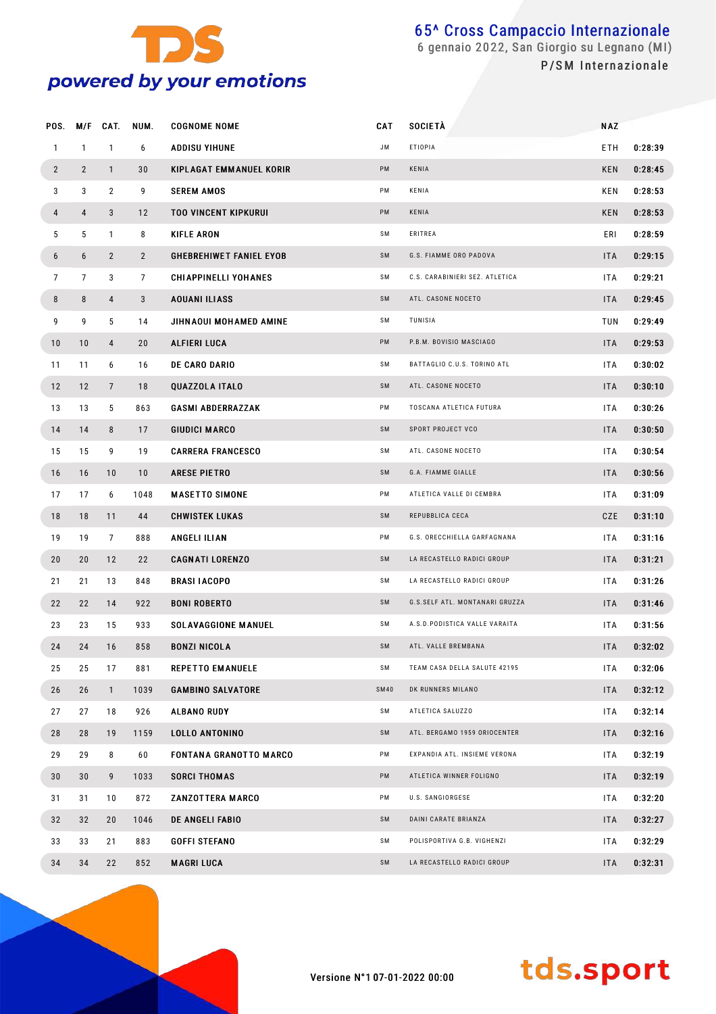

| POS.            | M/F             | CAT.           | NUM.            | <b>COGNOME NOME</b>            | CAT         | <b>SOCIETÀ</b>                 | <b>NAZ</b> |         |
|-----------------|-----------------|----------------|-----------------|--------------------------------|-------------|--------------------------------|------------|---------|
| $\mathbf{1}$    | $\mathbf{1}$    | $\mathbf{1}$   | 6               | ADDISU YIHUNE                  | <b>JM</b>   | <b>ETIOPIA</b>                 | ETH        | 0:28:39 |
| $\overline{2}$  | $\overline{2}$  | $\mathbf{1}$   | 30              | KIPLAGAT EMMANUEL KORIR        | PM          | KENIA                          | KEN        | 0:28:45 |
| 3               | 3               | $\overline{2}$ | 9               | <b>SEREM AMOS</b>              | PM          | KENIA                          | KEN        | 0:28:53 |
| 4               | $\overline{4}$  | 3              | 12              | <b>TOO VINCENT KIPKURUI</b>    | PM          | KENIA                          | KEN        | 0:28:53 |
| 5               | 5               | $\mathbf{1}$   | 8               | <b>KIFLE ARON</b>              | SM          | ERITREA                        | ERI        | 0:28:59 |
| 6               | 6               | $\overline{2}$ | $\overline{2}$  | <b>GHEBREHIWET FANIEL EYOB</b> | SM          | G.S. FIAMME ORO PADOVA         | <b>ITA</b> | 0:29:15 |
| $7\overline{ }$ | $7\overline{ }$ | 3              | $7\overline{ }$ | <b>CHIAPPINELLI YOHANES</b>    | SΜ          | C.S. CARABINIERI SEZ. ATLETICA | <b>ITA</b> | 0:29:21 |
| 8               | 8               | 4              | 3               | <b>AOUANI ILIASS</b>           | SM          | ATL. CASONE NOCETO             | <b>ITA</b> | 0:29:45 |
| 9               | 9               | 5              | 14              | JIHNAOUI MOHAMED AMINE         | SM          | TUNISIA                        | TUN        | 0:29:49 |
| 10              | 10              | 4              | 20              | ALFIERI LUCA                   | PM          | P.B.M. BOVISIO MASCIAGO        | <b>ITA</b> | 0:29:53 |
| 11              | 11              | 6              | 16              | <b>DE CARO DARIO</b>           | SΜ          | BATTAGLIO C.U.S. TORINO ATL    | <b>ITA</b> | 0:30:02 |
| 12              | 12              | $\overline{7}$ | 18              | <b>QUAZZOLA ITALO</b>          | SM          | ATL. CASONE NOCETO             | <b>ITA</b> | 0:30:10 |
| 13              | 13              | 5              | 863             | <b>GASMI ABDERRAZZAK</b>       | PM          | TOSCANA ATLETICA FUTURA        | <b>ITA</b> | 0:30:26 |
| 14              | 14              | 8              | 17              | <b>GIUDICI MARCO</b>           | SM          | SPORT PROJECT VCO              | <b>ITA</b> | 0:30:50 |
| 15              | 15              | 9              | 19              | <b>CARRERA FRANCESCO</b>       | SM          | ATL. CASONE NOCETO             | <b>ITA</b> | 0:30:54 |
| 16              | 16              | 10             | 10              | <b>ARESE PIETRO</b>            | SM          | G.A. FIAMME GIALLE             | <b>ITA</b> | 0:30:56 |
| 17              | 17              | 6              | 1048            | <b>MASETTO SIMONE</b>          | PM          | ATLETICA VALLE DI CEMBRA       | <b>ITA</b> | 0:31:09 |
| 18              | 18              | 11             | 44              | <b>CHWISTEK LUKAS</b>          | SM          | REPUBBLICA CECA                | CZE        | 0:31:10 |
| 19              | 19              | $\overline{7}$ | 888             | ANGELI ILIAN                   | PM          | G.S. ORECCHIELLA GARFAGNANA    | <b>ITA</b> | 0:31:16 |
| 20              | 20              | 12             | 22              | <b>CAGNATI LORENZO</b>         | SM          | LA RECASTELLO RADICI GROUP     | <b>ITA</b> | 0:31:21 |
| 21              | 21              | 13             | 848             | <b>BRASI IACOPO</b>            | SΜ          | LA RECASTELLO RADICI GROUP     | ITA.       | 0:31:26 |
| 22              | 22              | 14             | 922             | <b>BONI ROBERTO</b>            | SM          | G.S.SELF ATL. MONTANARI GRUZZA | <b>ITA</b> | 0:31:46 |
| 23              | 23              | 15             | 933             | <b>SOLAVAGGIONE MANUEL</b>     | SΜ          | A.S.D.PODISTICA VALLE VARAITA  | <b>ITA</b> | 0:31:56 |
| 24              | 24              | 16             | 858             | <b>BONZI NICOLA</b>            | SM          | ATL. VALLE BREMBANA            | ITA        | 0:32:02 |
| 25              | 25              | 17             | 881             | <b>REPETTO EMANUELE</b>        | SΜ          | TEAM CASA DELLA SALUTE 42195   | <b>ITA</b> | 0:32:06 |
| 26              | 26              | $\mathbf{1}$   | 1039            | <b>GAMBINO SALVATORE</b>       | <b>SM40</b> | DK RUNNERS MILANO              | <b>ITA</b> | 0:32:12 |
| 27              | 27              | 18             | 926             | ALBANO RUDY                    | SM          | ATLETICA SALUZZO               | <b>ITA</b> | 0:32:14 |
| 28              | 28              | 19             | 1159            | LOLLO ANTONINO                 | SM          | ATL. BERGAMO 1959 ORIOCENTER   | <b>ITA</b> | 0:32:16 |
| 29              | 29              | 8              | 60              | <b>FONTANA GRANOTTO MARCO</b>  | PM          | EXPANDIA ATL. INSIEME VERONA   | ITA.       | 0:32:19 |
| 30              | 30              | 9              | 1033            | <b>SORCI THOMAS</b>            | PM          | ATLETICA WINNER FOLIGNO        | <b>ITA</b> | 0:32:19 |
| 31              | 31              | 10             | 872             | ZANZOTTERA MARCO               | PM          | U.S. SANGIORGESE               | ITA        | 0:32:20 |
| 32              | 32              | 20             | 1046            | DE ANGELI FABIO                | SM          | DAINI CARATE BRIANZA           | <b>ITA</b> | 0:32:27 |
| 33              | 33              | 21             | 883             | <b>GOFFI STEFANO</b>           | SM          | POLISPORTIVA G.B. VIGHENZI     | <b>ITA</b> | 0:32:29 |
| 34              | 34              | 22             | 852             | <b>MAGRI LUCA</b>              | SM          | LA RECASTELLO RADICI GROUP     | <b>ITA</b> | 0:32:31 |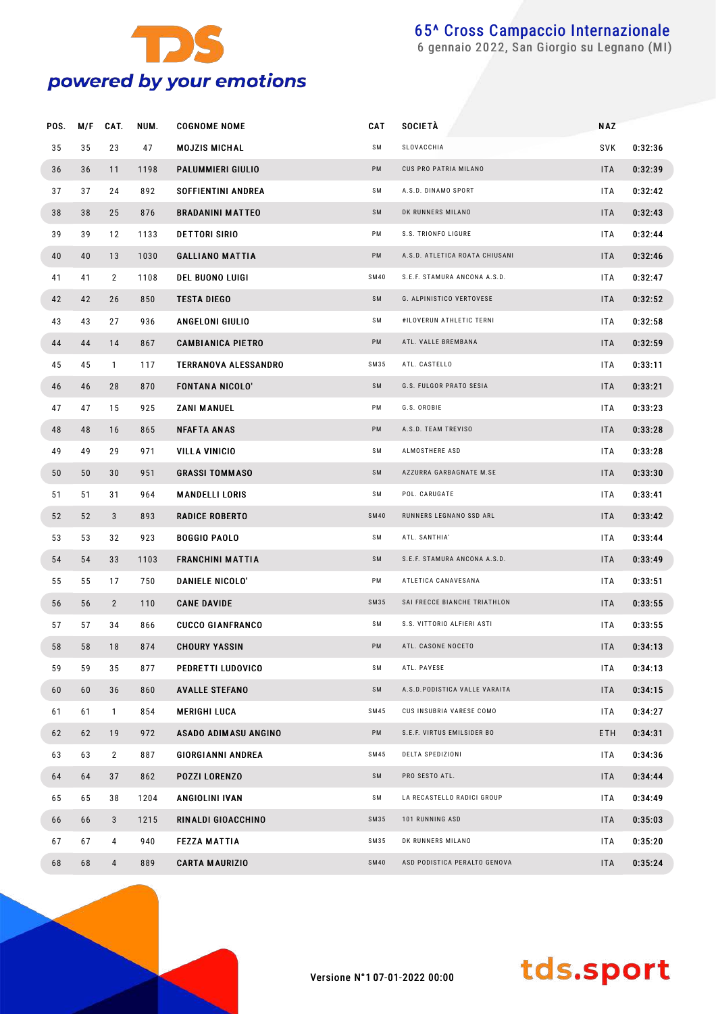

gennaio 2022, San Giorgio su Legnano (MI)

| POS. | M/F | CAT.           | NUM. | <b>COGNOME NOME</b>         | CAT         | <b>SOCIETA</b>                 | NAZ        |         |
|------|-----|----------------|------|-----------------------------|-------------|--------------------------------|------------|---------|
| 35   | 35  | 23             | 47   | <b>MOJZIS MICHAL</b>        | SΜ          | SLOVACCHIA                     | SVK        | 0:32:36 |
| 36   | 36  | 11             | 1198 | PALUMMIERI GIULIO           | PM          | CUS PRO PATRIA MILANO          | <b>ITA</b> | 0:32:39 |
| 37   | 37  | 24             | 892  | SOFFIENTINI ANDREA          | SΜ          | A.S.D. DINAMO SPORT            | ITA        | 0:32:42 |
| 38   | 38  | 25             | 876  | <b>BRADANINI MATTEO</b>     | SM          | DK RUNNERS MILANO              | <b>ITA</b> | 0:32:43 |
| 39   | 39  | 12             | 1133 | <b>DETTORI SIRIO</b>        | PM          | S.S. TRIONFO LIGURE            | ITA        | 0:32:44 |
| 40   | 40  | 13             | 1030 | <b>GALLIANO MATTIA</b>      | PM          | A.S.D. ATLETICA ROATA CHIUSANI | <b>ITA</b> | 0:32:46 |
| 41   | 41  | $\overline{2}$ | 1108 | <b>DEL BUONO LUIGI</b>      | <b>SM40</b> | S.E.F. STAMURA ANCONA A.S.D.   | ITA        | 0:32:47 |
| 42   | 42  | 26             | 850  | <b>TESTA DIEGO</b>          | SM          | G. ALPINISTICO VERTOVESE       | <b>ITA</b> | 0:32:52 |
| 43   | 43  | 27             | 936  | ANGELONI GIULIO             | SM          | #ILOVERUN ATHLETIC TERNI       | ITA        | 0:32:58 |
| 44   | 44  | 14             | 867  | <b>CAMBIANICA PIETRO</b>    | PM          | ATL. VALLE BREMBANA            | <b>ITA</b> | 0:32:59 |
| 45   | 45  | $\mathbf{1}$   | 117  | <b>TERRANOVA ALESSANDRO</b> | SM35        | ATL. CASTELLO                  | ITA        | 0:33:11 |
| 46   | 46  | 28             | 870  | <b>FONTANA NICOLO'</b>      | SM          | G.S. FULGOR PRATO SESIA        | <b>ITA</b> | 0:33:21 |
| 47   | 47  | 15             | 925  | ZANI MANUEL                 | PM          | G.S. OROBIE                    | ITA        | 0:33:23 |
| 48   | 48  | 16             | 865  | <b>NFAFTA ANAS</b>          | PM          | A.S.D. TEAM TREVISO            | <b>ITA</b> | 0:33:28 |
| 49   | 49  | 29             | 971  | VILLA VINICIO               | SM          | ALMOSTHERE ASD                 | ITA        | 0:33:28 |
| 50   | 50  | 30             | 951  | <b>GRASSI TOMMASO</b>       | SM          | AZZURRA GARBAGNATE M.SE        | <b>ITA</b> | 0:33:30 |
| 51   | 51  | 31             | 964  | <b>MANDELLI LORIS</b>       | SM          | POL. CARUGATE                  | ITA        | 0:33:41 |
| 52   | 52  | 3              | 893  | <b>RADICE ROBERTO</b>       | <b>SM40</b> | RUNNERS LEGNANO SSD ARL        | <b>ITA</b> | 0:33:42 |
| 53   | 53  | 32             | 923  | <b>BOGGIO PAOLO</b>         | SM          | ATL. SANTHIA'                  | ITA        | 0:33:44 |
| 54   | 54  | 33             | 1103 | <b>FRANCHINI MATTIA</b>     | SM          | S.E.F. STAMURA ANCONA A.S.D.   | <b>ITA</b> | 0:33:49 |
| 55   | 55  | 17             | 750  | DANIELE NICOLO'             | PM          | ATLETICA CANAVESANA            | ITA        | 0:33:51 |
| 56   | 56  | $\overline{2}$ | 110  | <b>CANE DAVIDE</b>          | <b>SM35</b> | SAI FRECCE BIANCHE TRIATHLON   | <b>ITA</b> | 0:33:55 |
| 57   | 57  | 34             | 866  | <b>CUCCO GIANFRANCO</b>     | SΜ          | S.S. VITTORIO ALFIERI ASTI     | ITA        | 0:33:55 |
| 58   | 58  | 18             | 874  | <b>CHOURY YASSIN</b>        | PM          | ATL. CASONE NOCETO             | <b>ITA</b> | 0:34:13 |
| 59   | 59  | 35             | 877  | PEDRETTI LUDOVICO           | SM          | ATL. PAVESE                    | <b>ITA</b> | 0:34:13 |
| 60   | 60  | 36             | 860  | <b>AVALLE STEFANO</b>       | SM          | A.S.D.PODISTICA VALLE VARAITA  | ITA        | 0:34:15 |
| 61   | 61  | $\mathbf{1}$   | 854  | <b>MERIGHI LUCA</b>         | SM45        | CUS INSUBRIA VARESE COMO       | <b>ITA</b> | 0:34:27 |
| 62   | 62  | 19             | 972  | ASADO ADIMASU ANGINO        | PM          | S.E.F. VIRTUS EMILSIDER BO     | ETH        | 0:34:31 |
| 63   | 63  | $\overline{2}$ | 887  | <b>GIORGIANNI ANDREA</b>    | SM45        | DELTA SPEDIZIONI               | <b>ITA</b> | 0:34:36 |
| 64   | 64  | 37             | 862  | <b>POZZI LORENZO</b>        | SM          | PRO SESTO ATL.                 | ITA        | 0:34:44 |
| 65   | 65  | 38             | 1204 | ANGIOLINI IVAN              | SM          | LA RECASTELLO RADICI GROUP     | <b>ITA</b> | 0:34:49 |
| 66   | 66  | $\mathbf{3}$   | 1215 | RINALDI GIOACCHINO          | SM35        | 101 RUNNING ASD                | ITA        | 0:35:03 |
| 67   | 67  | 4              | 940  | <b>FEZZA MATTIA</b>         | SM35        | DK RUNNERS MILANO              | <b>ITA</b> | 0:35:20 |
| 68   | 68  | $\overline{4}$ | 889  | <b>CARTA MAURIZIO</b>       | <b>SM40</b> | ASD PODISTICA PERALTO GENOVA   | ITA        | 0:35:24 |